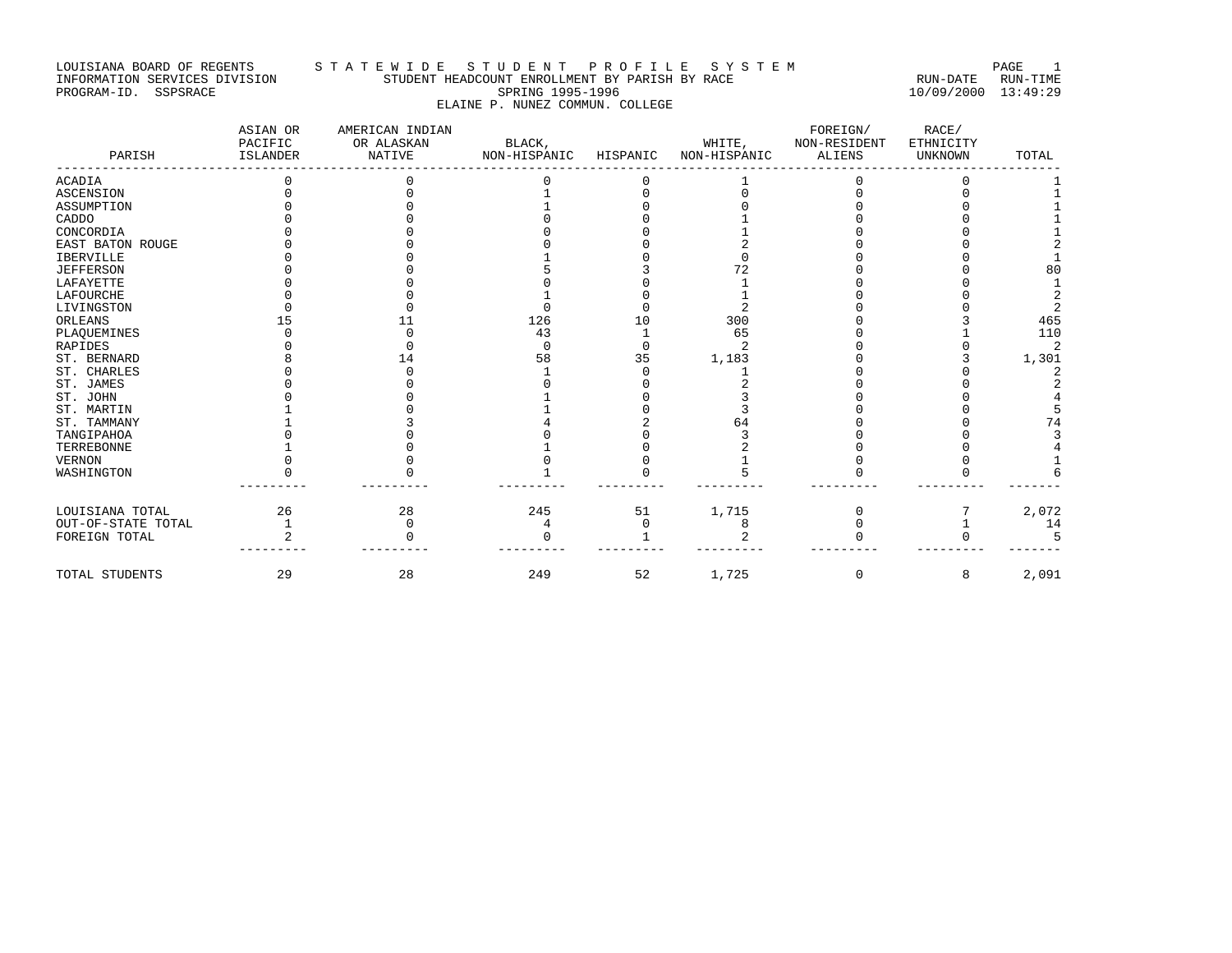#### LOUISIANA BOARD OF REGENTS STA TE WIDE STUDENT PROFILE SYSTEM NAGE 1 INFORMATION SERVICES DIVISION STUDENT HEADCOUNT ENROLLMENT BY PARISH BY RACE RUN-DATE RUN-TIME PROGRAM-ID. SSPSRACE SPRING 1995-1996 10/09/2000 13:49:29 ELAINE P. NUNEZ COMMUN. COLLEGE

| PARISH             | ASIAN OR<br>PACIFIC<br><b>ISLANDER</b> | AMERICAN INDIAN<br>OR ALASKAN<br><b>NATIVE</b> | BLACK,<br>NON-HISPANIC | HISPANIC | WHITE,<br>NON-HISPANIC | FOREIGN/<br>NON-RESIDENT<br><b>ALIENS</b> | RACE/<br>ETHNICITY<br><b>UNKNOWN</b> | TOTAL |
|--------------------|----------------------------------------|------------------------------------------------|------------------------|----------|------------------------|-------------------------------------------|--------------------------------------|-------|
| ACADIA             |                                        |                                                |                        |          |                        |                                           |                                      |       |
| ASCENSION          |                                        |                                                |                        |          |                        |                                           |                                      |       |
| ASSUMPTION         |                                        |                                                |                        |          |                        |                                           |                                      |       |
| CADDO              |                                        |                                                |                        |          |                        |                                           |                                      |       |
| CONCORDIA          |                                        |                                                |                        |          |                        |                                           |                                      |       |
| EAST BATON ROUGE   |                                        |                                                |                        |          |                        |                                           |                                      |       |
| <b>IBERVILLE</b>   |                                        |                                                |                        |          |                        |                                           |                                      |       |
| <b>JEFFERSON</b>   |                                        |                                                |                        |          | 72                     |                                           |                                      | 80    |
| LAFAYETTE          |                                        |                                                |                        |          |                        |                                           |                                      |       |
| LAFOURCHE          |                                        |                                                |                        |          |                        |                                           |                                      |       |
| LIVINGSTON         |                                        |                                                |                        |          |                        |                                           |                                      |       |
| ORLEANS            |                                        |                                                | 126                    | 10       | 300                    |                                           |                                      | 465   |
| PLAQUEMINES        |                                        |                                                | 43                     |          | 65                     |                                           |                                      | 110   |
| RAPIDES            |                                        |                                                | ∩                      |          | $\mathcal{D}$          |                                           |                                      |       |
| ST. BERNARD        |                                        | 14                                             | 58                     | 35       | 1,183                  |                                           |                                      | 1,301 |
| ST. CHARLES        |                                        |                                                |                        |          |                        |                                           |                                      |       |
| ST. JAMES          |                                        |                                                |                        |          |                        |                                           |                                      |       |
| ST. JOHN           |                                        |                                                |                        |          |                        |                                           |                                      |       |
| ST. MARTIN         |                                        |                                                |                        |          |                        |                                           |                                      |       |
| ST. TAMMANY        |                                        |                                                |                        |          | 64                     |                                           |                                      | 74    |
| TANGIPAHOA         |                                        |                                                |                        |          |                        |                                           |                                      |       |
| TERREBONNE         |                                        |                                                |                        |          |                        |                                           |                                      |       |
| VERNON             |                                        |                                                |                        |          |                        |                                           |                                      |       |
| WASHINGTON         |                                        |                                                |                        |          |                        |                                           |                                      |       |
| LOUISIANA TOTAL    | 26                                     | 28                                             | 245                    | 51       | 1,715                  | n                                         |                                      | 2,072 |
| OUT-OF-STATE TOTAL |                                        |                                                | 4                      | O        | 8                      |                                           |                                      | 14    |
| FOREIGN TOTAL      | $\mathfrak{D}$                         |                                                |                        |          |                        |                                           |                                      | 5     |
| TOTAL STUDENTS     | 29                                     | 28                                             | 249                    | 52       | 1,725                  | 0                                         | 8                                    | 2,091 |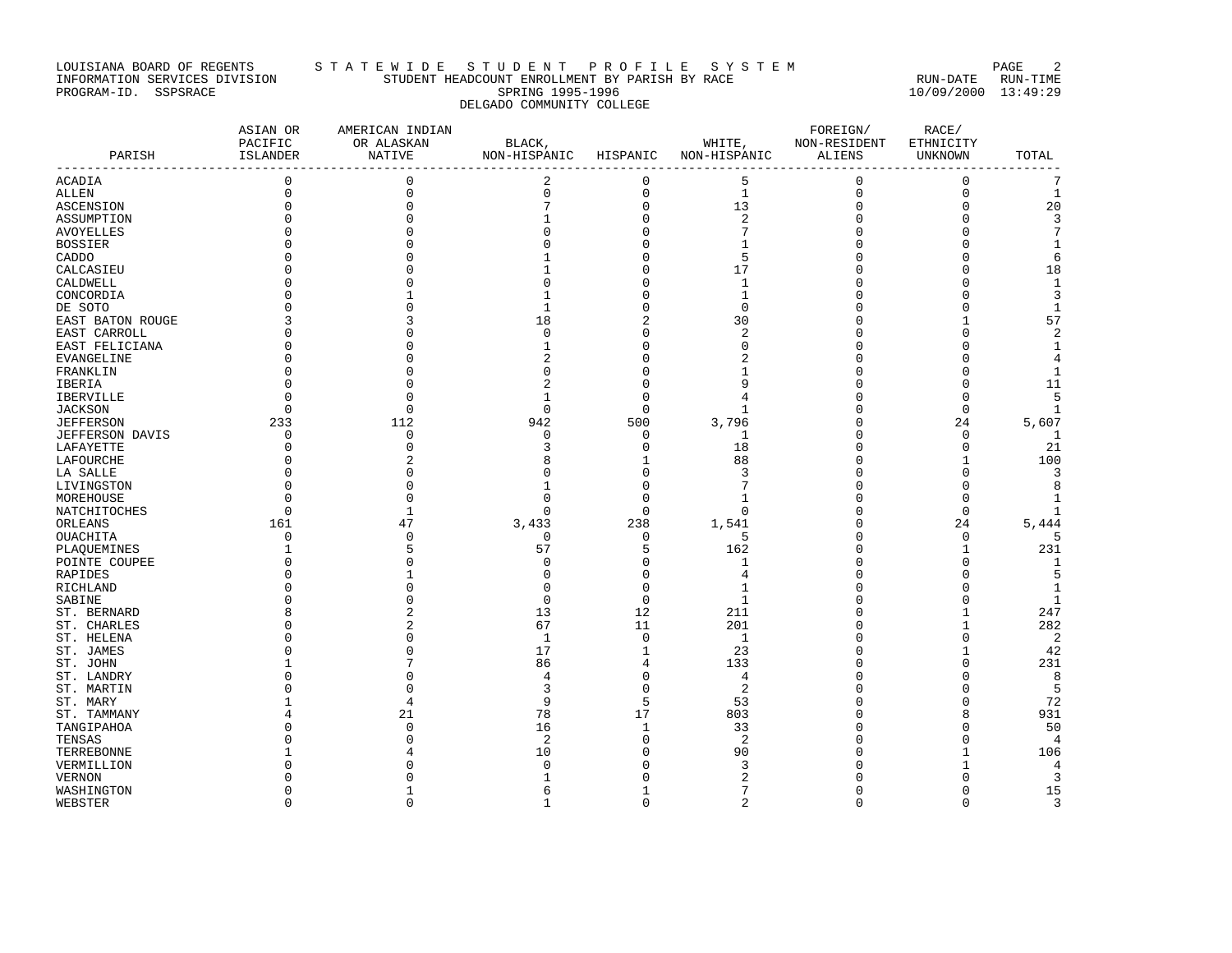# LOUISIANA BOARD OF REGENTS STA TE WIDE STUDENT PROFILE SYSTEM PAGE 2 INFORMATION SERVICES DIVISION STUDENT HEADCOUNT ENROLLMENT BY PARISH BY RACE RUN-DATE RUN-TIME PROGRAM-ID. SSPSRACE SPRING 1995-1996 10/09/2000 13:49:29 DELGADO COMMUNITY COLLEGE

| PARISH                    | ASIAN OR<br>PACIFIC<br>ISLANDER<br>__________________________ | AMERICAN INDIAN<br>OR ALASKAN<br>NATIVE | BLACK,<br>NON-HISPANIC HISPANIC |                   | WHITE,<br>NON-HISPANIC | FOREIGN/<br>NON-RESIDENT<br>ALIENS | RACE/<br>ETHNICITY<br>UNKNOWN | TOTAL           |
|---------------------------|---------------------------------------------------------------|-----------------------------------------|---------------------------------|-------------------|------------------------|------------------------------------|-------------------------------|-----------------|
| ACADIA                    | $\mathbf 0$                                                   | $\mathbf{0}$                            | 2                               | $\mathbf 0$       | 5                      | 0                                  | 0                             | 7               |
| ALLEN                     | $\mathbf 0$                                                   | $\mathbf 0$                             | $\mathsf 0$                     | $\mathsf 0$       | $\mathbf{1}$           | $\mathbf 0$                        | $\mathbf 0$                   | $\mathbf{1}$    |
| <b>ASCENSION</b>          | $\mathbf 0$                                                   | $\mathbf{0}$                            | 7                               | 0                 | 13                     | $\mathbf 0$                        | $\mathbf 0$                   | 20              |
| ASSUMPTION                |                                                               | $\Omega$                                |                                 | 0                 | $\overline{2}$         |                                    | ∩                             | 3               |
| <b>AVOYELLES</b>          | <sup>0</sup>                                                  | $\Omega$                                |                                 | $\Omega$          |                        |                                    | $\cap$                        | $7\overline{ }$ |
| BOSSIER                   |                                                               |                                         |                                 | 0                 |                        |                                    |                               | 1               |
| CADDO                     |                                                               |                                         |                                 | $\Omega$          | 5                      |                                    |                               | 6               |
| CALCASIEU                 |                                                               |                                         |                                 | $\Omega$          | 17                     |                                    |                               | 18              |
| CALDWELL                  |                                                               |                                         |                                 | $\Omega$          |                        |                                    |                               | $\mathbf{1}$    |
| CONCORDIA                 |                                                               |                                         |                                 | $\Omega$          |                        |                                    | ∩                             | 3               |
| DE SOTO                   |                                                               |                                         | 1                               | 0                 | U                      |                                    |                               | $\mathbf{1}$    |
| EAST BATON ROUGE          |                                                               |                                         | 18                              | 2                 | 30                     |                                    |                               | 57              |
| EAST CARROLL              | $\Omega$                                                      | O                                       | $\Omega$                        | 0                 | 2                      | Ω                                  | ∩                             | $\overline{a}$  |
| EAST FELICIANA            | 0                                                             |                                         |                                 | 0                 |                        | Ω                                  | O                             | 1               |
| EVANGELINE                | $\Omega$                                                      |                                         |                                 | $\Omega$          |                        |                                    |                               | 4               |
| FRANKLIN                  |                                                               |                                         |                                 | $\Omega$          |                        |                                    |                               | 1               |
| IBERIA                    |                                                               |                                         |                                 | 0                 |                        |                                    | ∩                             | 11              |
| IBERVILLE                 | $\Omega$                                                      | $\Omega$                                | 1                               | $\Omega$          | 4                      |                                    | $\Omega$                      | 5               |
| JACKSON                   | 0                                                             | $\mathbf 0$                             | $\mathbf 0$                     | 0                 |                        |                                    | $\mathbf 0$                   | 1               |
| <b>JEFFERSON</b>          | 233                                                           | 112                                     | 942                             | 500               | 3,796                  |                                    | 24                            | 5,607           |
| JEFFERSON DAVIS           | 0                                                             | $\mathbf 0$                             | $\mathbf 0$                     | 0                 | 1                      | Ω                                  | $\Omega$                      | 1               |
| LAFAYETTE                 | ∩                                                             | $\Omega$                                | κ                               | $\Omega$          | 18                     |                                    | ∩                             | 21              |
| LAFOURCHE                 | U                                                             | 2                                       | 8                               |                   | 88                     |                                    |                               | 100             |
| LA SALLE                  |                                                               | $\Omega$                                |                                 | 0                 |                        | U                                  |                               | 3               |
| LIVINGSTON                | <sup>0</sup>                                                  | $\Omega$                                |                                 | $\Omega$          |                        |                                    |                               | 8               |
| MOREHOUSE                 | ∩                                                             | $\Omega$                                | $\cap$                          | 0                 |                        |                                    | $\Omega$                      | 1               |
| NATCHITOCHES              | $\Omega$                                                      | 1                                       | $\Omega$                        | 0                 | $\Omega$               |                                    | $\mathbf 0$                   |                 |
| ORLEANS                   | 161                                                           | 47                                      | 3,433                           | 238               | 1,541                  | U                                  | 24                            | 5,444           |
| OUACHITA                  | 0                                                             | $\mathbf 0$                             | $\mathbf 0$                     | $\mathbf 0$       | 5                      | Ω                                  | $\mathbf 0$                   | 5               |
| PLAQUEMINES               | 1                                                             | 5                                       | 57                              | 5                 | 162                    | U                                  | -1                            | 231             |
| POINTE COUPEE             | $\Omega$                                                      | $\Omega$                                | $\Omega$                        | $\Omega$          | 1                      |                                    | $\Omega$                      | 1               |
| RAPIDES                   |                                                               | 1                                       | 0                               | 0                 |                        | U                                  | ∩                             | 5               |
| RICHLAND                  |                                                               | O                                       | $\Omega$                        | $\Omega$          |                        |                                    | $\cap$                        | 1               |
| SABINE                    | 8                                                             |                                         | $\Omega$<br>13                  | $\mathbf 0$<br>12 | $\mathbf{1}$<br>211    |                                    | -1                            | 1<br>247        |
| ST. BERNARD               | U                                                             | 2                                       | 67                              | 11                | 201                    |                                    | $\mathbf{1}$                  | 282             |
| ST. CHARLES<br>ST. HELENA |                                                               | $\Omega$                                | 1                               | 0                 | 1                      | U                                  | $\Omega$                      | 2               |
| ST. JAMES                 |                                                               | $\Omega$                                | 17                              | $\mathbf{1}$      | 23                     |                                    |                               | 42              |
| ST. JOHN                  |                                                               | 7                                       | 86                              | 4                 | 133                    | Ω                                  | O                             | 231             |
| ST. LANDRY                |                                                               | O                                       | $\overline{4}$                  | 0                 | $\overline{4}$         | Ω                                  | O                             | 8               |
| ST. MARTIN                |                                                               | $\mathbf 0$                             | 3                               | 0                 | 2                      |                                    | ∩                             | 5               |
| ST. MARY                  |                                                               | 4                                       | 9                               | 5                 | 53                     |                                    | $\Omega$                      | 72              |
| ST. TAMMANY               |                                                               | 21                                      | 78                              | 17                | 803                    |                                    | 8                             | 931             |
| TANGIPAHOA                |                                                               | $\mathbf 0$                             | 16                              | $\mathbf{1}$      | 33                     |                                    |                               | 50              |
| TENSAS                    |                                                               | 0                                       | $\overline{2}$                  | 0                 | 2                      |                                    | O                             | 4               |
| TERREBONNE                |                                                               |                                         | 10                              | $\Omega$          | 90                     |                                    |                               | 106             |
| VERMILLION                |                                                               |                                         | $\Omega$                        | 0                 | 3                      |                                    |                               | 4               |
| VERNON                    |                                                               |                                         |                                 |                   |                        |                                    |                               | 3               |
| WASHINGTON                | 0                                                             |                                         | 6                               |                   | 7                      | Ω                                  | $\Omega$                      | 15              |
| WEBSTER                   | $\Omega$                                                      | $\Omega$                                | $\mathbf{1}$                    | $\Omega$          | $\overline{2}$         | $\Omega$                           | $\Omega$                      | 3               |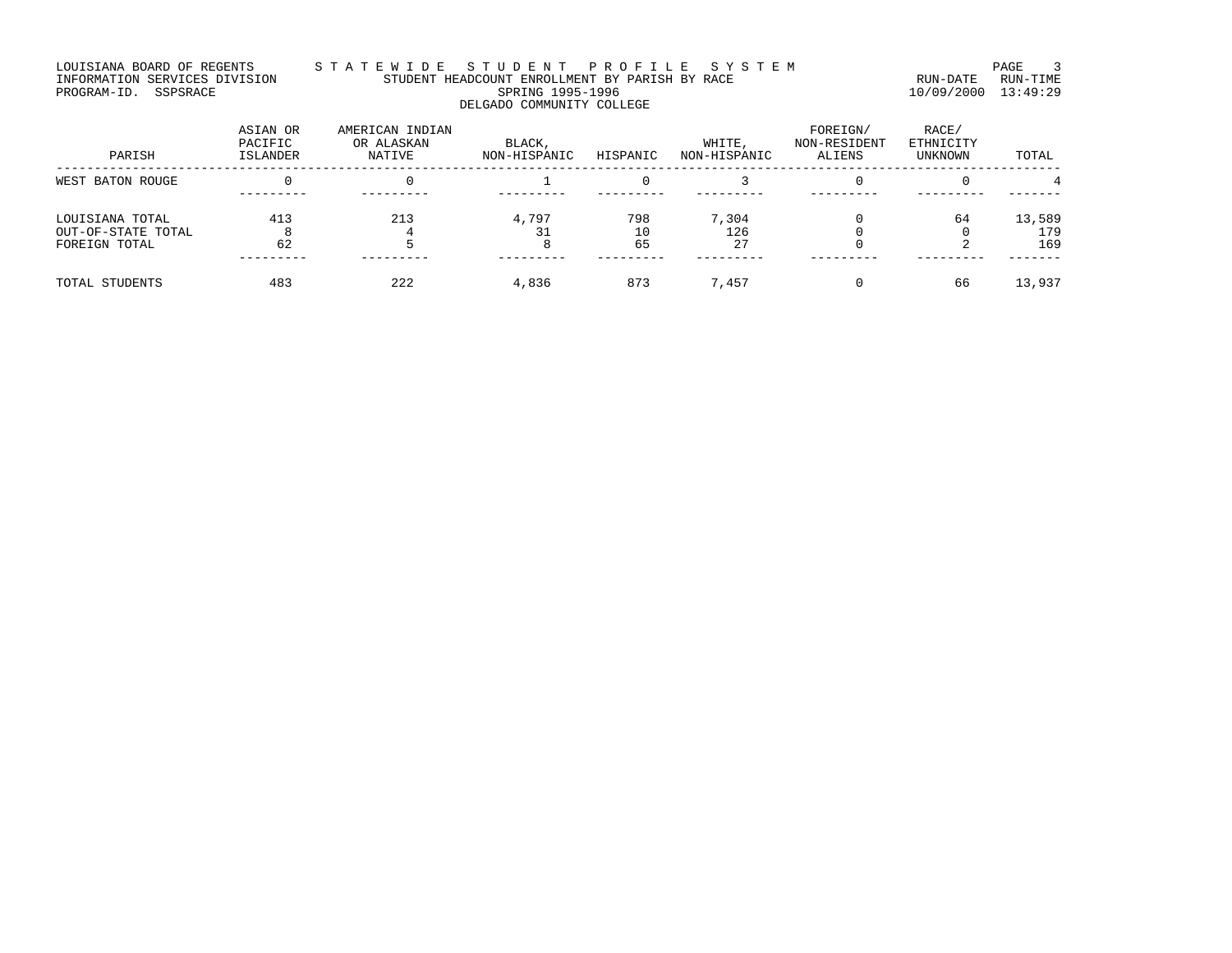# LOUISIANA BOARD OF REGENTS STA T E W I D E S T U D E N T P R O F I L E S Y S T E M PAGE 3 INFORMATION SERVICES DIVISION STUDENT HEADCOUNT ENROLLMENT BY PARISH BY RACE RUN-DATE RUN-TIME PROGRAM-ID. SSPSRACE SPRING 1995-1996 10/09/2000 13:49:29 DELGADO COMMUNITY COLLEGE

| PARISH                                                 | ASIAN OR<br>PACIFIC<br><b>ISLANDER</b> | AMERICAN INDIAN<br>OR ALASKAN<br>NATIVE | BLACK,<br>NON-HISPANIC | HISPANIC        | WHITE,<br>NON-HISPANIC | FOREIGN/<br>NON-RESIDENT<br>ALIENS | RACE/<br>ETHNICITY<br>UNKNOWN | TOTAL                |
|--------------------------------------------------------|----------------------------------------|-----------------------------------------|------------------------|-----------------|------------------------|------------------------------------|-------------------------------|----------------------|
| WEST BATON ROUGE                                       |                                        |                                         |                        |                 |                        |                                    |                               |                      |
| LOUISIANA TOTAL<br>OUT-OF-STATE TOTAL<br>FOREIGN TOTAL | 413<br>62                              | 213                                     | 4,797<br>31<br>8       | 798<br>10<br>65 | 7,304<br>126<br>27     |                                    | 64                            | 13,589<br>179<br>169 |
| TOTAL STUDENTS                                         | 483                                    | 222                                     | 4,836                  | 873             | 7,457                  |                                    | 66                            | 13,937               |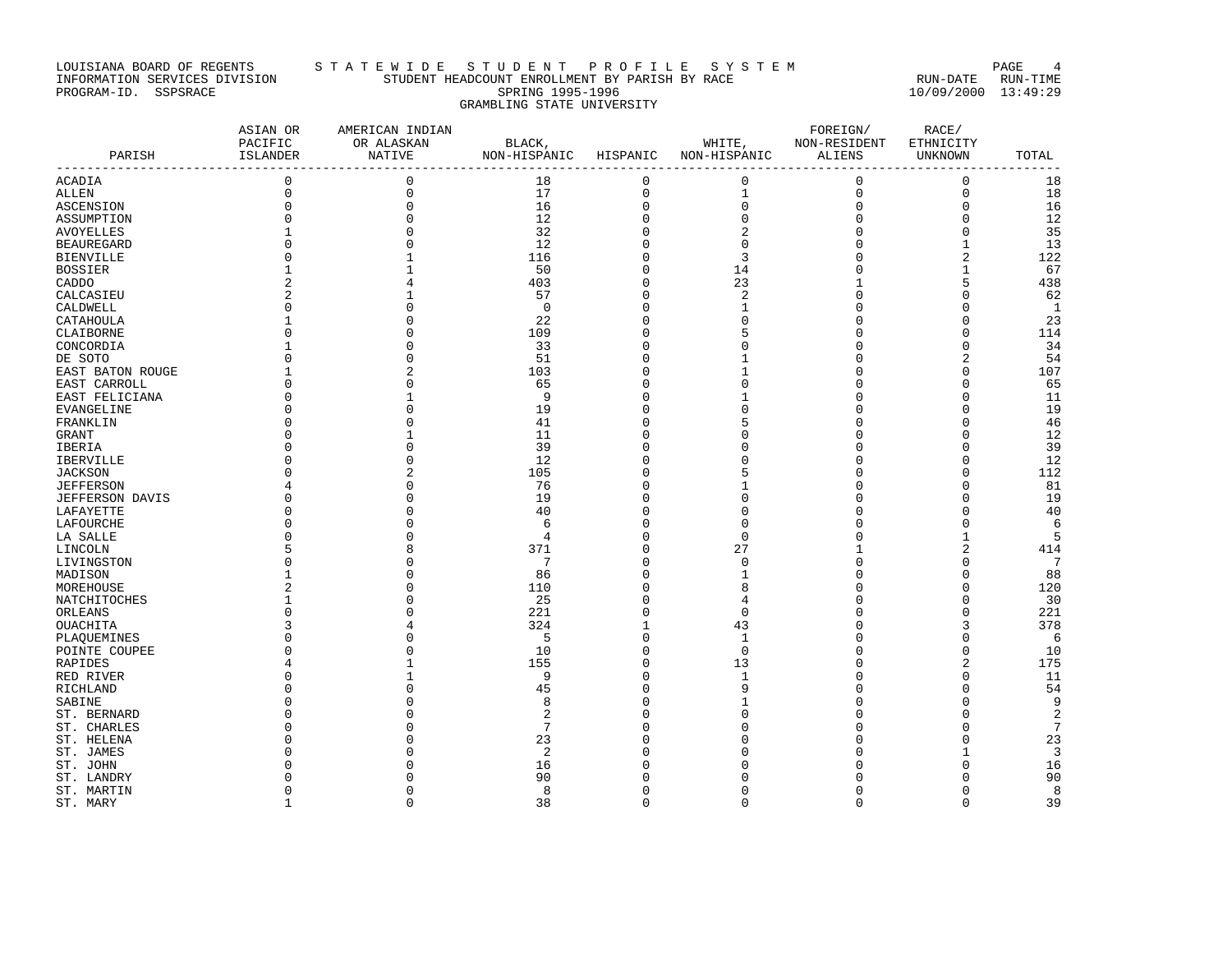# LOUISIANA BOARD OF REGENTS STA T E W I D E S T U D E N T P R O F I L E S Y S T E M PAGE 4 INFORMATION SERVICES DIVISION STUDENT HEADCOUNT ENROLLMENT BY PARISH BY RACE RUN-DATE RUN-TIME PROGRAM-ID. SSPSRACE SPRING 1995-1996 10/09/2000 13:49:29 GRAMBLING STATE UNIVERSITY

| PARISH                 | ASIAN OR<br>PACIFIC<br>ISLANDER | AMERICAN INDIAN<br>OR ALASKAN<br>NATIVE | BLACK,<br>NON-HISPANIC HISPANIC |             | WHITE,<br>NON-HISPANIC | FOREIGN/<br>NON-RESIDENT<br>ALIENS | RACE/<br>ETHNICITY<br>UNKNOWN | TOTAL           |
|------------------------|---------------------------------|-----------------------------------------|---------------------------------|-------------|------------------------|------------------------------------|-------------------------------|-----------------|
|                        | $\mathbf 0$                     | $\mathbf 0$                             | 18                              | $\mathbf 0$ | $\mathbf 0$            | $\mathbf 0$                        | $\mathsf 0$                   | 18              |
| ACADIA                 | $\mathbf 0$                     | $\mathbf{0}$                            |                                 |             |                        |                                    |                               |                 |
| ALLEN                  |                                 |                                         | 17                              | 0           | $\mathbf{1}$           | $\mathbf 0$                        | $\mathbf 0$                   | 18              |
| ASCENSION              | $\Omega$                        | $\mathbf{0}$                            | 16                              | 0           | $\mathsf 0$            | $\mathbf 0$                        | $\mathbf 0$                   | 16              |
| ASSUMPTION             | $\Omega$                        | $\mathbf{0}$                            | 12                              | 0           | $\mathbf 0$            | 0                                  | $\mathbf 0$                   | 12              |
| AVOYELLES              |                                 | $\Omega$                                | 32                              | $\Omega$    | 2                      | $\Omega$                           | $\Omega$                      | 35              |
| <b>BEAUREGARD</b>      | $\Omega$                        |                                         | 12                              | 0           | $\Omega$               | 0                                  | 1                             | 13              |
| <b>BIENVILLE</b>       | $\Omega$                        |                                         | 116                             | 0           | 3                      | $\Omega$                           | 2                             | 122             |
| <b>BOSSIER</b>         |                                 |                                         | 50                              | 0           | 14                     | $\Omega$                           | $\mathbf{1}$                  | 67              |
| CADDO                  |                                 |                                         | 403                             | 0           | 23                     | 1                                  | 5                             | 438             |
| CALCASIEU              |                                 |                                         | 57                              | 0           | 2                      | $\Omega$                           | $\mathbf 0$                   | 62              |
| CALDWELL               | $\Omega$                        | $\cap$                                  | $\mathbf 0$                     | 0           | -1                     | O                                  | $\Omega$                      | $\mathbf{1}$    |
| CATAHOULA              |                                 | $\Omega$                                | 22                              | $\Omega$    | $\Omega$               |                                    | $\Omega$                      | 23              |
| CLAIBORNE              | $\cap$                          | $\cap$                                  | 109                             | 0           |                        | O                                  | $\Omega$                      | 114             |
| CONCORDIA              |                                 | $\Omega$                                | 33                              | $\Omega$    |                        | O                                  | $\mathbf 0$                   | 34              |
| DE SOTO                | $\Omega$                        | $\Omega$                                | 51                              | 0           |                        | 0                                  | 2                             | 54              |
| EAST BATON ROUGE       |                                 | $\overline{2}$                          | 103                             | $\Omega$    |                        | O                                  | $\Omega$                      | 107             |
| EAST CARROLL           |                                 |                                         | 65                              | O           |                        |                                    | $\Omega$                      | 65              |
| EAST FELICIANA         | U                               |                                         | 9                               | O           |                        | U                                  | O                             | 11              |
| EVANGELINE             | $\Omega$                        | $\Omega$                                | 19                              | $\Omega$    |                        | O                                  | $\Omega$                      | 19              |
| FRANKLIN               |                                 |                                         | 41                              | 0           |                        | U                                  | $\Omega$                      | 46              |
| GRANT                  |                                 |                                         | 11                              | O           |                        | Λ                                  | $\Omega$                      | 12              |
| IBERIA                 |                                 |                                         | 39                              | $\Omega$    |                        | U                                  | $\Omega$                      | 39              |
| IBERVILLE              | <sup>0</sup>                    | O                                       | 12                              | 0           |                        | Ω                                  | $\Omega$                      | 12              |
| <b>JACKSON</b>         |                                 |                                         | 105                             | 0           |                        | O                                  | $\Omega$                      | 112             |
| <b>JEFFERSON</b>       |                                 | $\Omega$                                | 76                              | $\Omega$    |                        |                                    | $\Omega$                      | 81              |
| <b>JEFFERSON DAVIS</b> |                                 | ∩                                       | 19                              | $\Omega$    |                        | U                                  | $\Omega$                      | 19              |
| LAFAYETTE              |                                 | $\Omega$                                | 40                              | $\Omega$    |                        | Ω                                  | $\Omega$                      | 40              |
| LAFOURCHE              |                                 |                                         | 6                               | 0           | $\Omega$               | U                                  | 0                             | 6               |
| LA SALLE               |                                 |                                         | $\overline{4}$                  | O           | ∩                      | U                                  | 1                             | 5               |
| LINCOLN                |                                 |                                         | 371                             | O           | 27                     | 1                                  | $\overline{c}$                | 414             |
| LIVINGSTON             | <sup>0</sup>                    | O                                       | 7                               | 0           | $\Omega$               | O                                  | $\Omega$                      | $7\phantom{.0}$ |
| MADISON                |                                 | $\cap$                                  | 86                              | 0           |                        | O                                  | $\Omega$                      | 88              |
| MOREHOUSE              |                                 |                                         | 110                             | $\Omega$    | 8                      |                                    | $\Omega$                      | 120             |
| NATCHITOCHES           |                                 |                                         | 25                              | 0           | 4                      |                                    | $\Omega$                      | 30              |
| ORLEANS                |                                 |                                         | 221                             | $\Omega$    | $\Omega$               | U                                  | $\Omega$                      | 221             |
| OUACHITA               |                                 |                                         | 324                             | 1           | 43                     | U                                  | 3                             | 378             |
| PLAQUEMINES            |                                 |                                         | 5                               | 0           | -1                     | U                                  | $\Omega$                      | 6               |
| POINTE COUPEE          |                                 | $\Omega$                                | 10                              | 0           | $\Omega$               |                                    | $\mathbf 0$                   | 10              |
| RAPIDES                |                                 |                                         | 155                             | 0           | 13                     | U                                  | $\overline{2}$                | 175             |
| RED RIVER              |                                 |                                         | 9                               | $\Omega$    | 1                      | U                                  | $\Omega$                      | 11              |
| RICHLAND               |                                 | $\Omega$                                | 45                              | 0           | 9                      | U                                  | $\Omega$                      | 54              |
| SABINE                 |                                 | $\Omega$                                | 8                               | $\Omega$    |                        | Ω                                  | $\Omega$                      | 9               |
| ST. BERNARD            |                                 |                                         | $\overline{2}$                  | U           |                        |                                    | $\Omega$                      | $\overline{a}$  |
| ST. CHARLES            |                                 | O                                       | 7                               | O           |                        |                                    | $\Omega$                      | $7\phantom{.0}$ |
| ST. HELENA             |                                 |                                         | 23                              | U           |                        |                                    | $\Omega$                      | 23              |
| ST. JAMES              |                                 |                                         | $\overline{2}$                  |             |                        |                                    |                               | 3               |
| ST. JOHN               |                                 |                                         | 16                              | U           |                        |                                    | ∩                             | 16              |
| ST. LANDRY             |                                 |                                         | 90                              |             |                        |                                    | ∩                             | 90              |
| ST. MARTIN             | $\Omega$                        | O                                       | 8                               | 0           | $\Omega$               | O                                  | $\mathbf 0$                   | 8               |
| ST. MARY               | $\mathbf{1}$                    | $\Omega$                                | 38                              | $\Omega$    | $\Omega$               | $\Omega$                           | $\Omega$                      | 39              |
|                        |                                 |                                         |                                 |             |                        |                                    |                               |                 |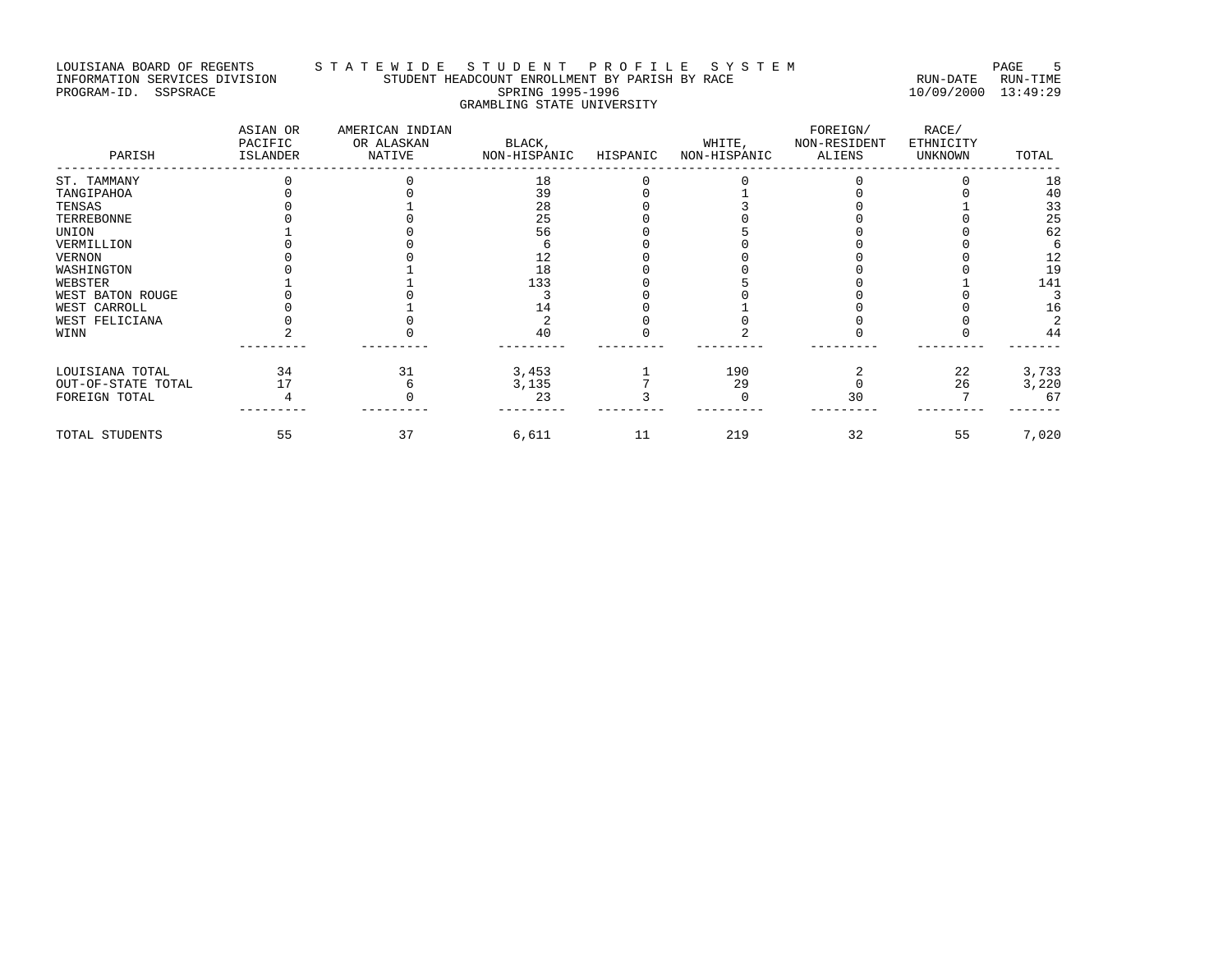# LOUISIANA BOARD OF REGENTS STA T E W I D E S T U D E N T P R O F I L E S Y S T E M PAGE 5 INFORMATION SERVICES DIVISION STUDENT HEADCOUNT ENROLLMENT BY PARISH BY RACE RUN-DATE RUN-TIME PROGRAM-ID. SSPSRACE SPRING 1995-1996 10/09/2000 13:49:29 GRAMBLING STATE UNIVERSITY

| PARISH             | ASIAN OR<br>PACIFIC<br>ISLANDER | AMERICAN INDIAN<br>OR ALASKAN<br>NATIVE | BLACK,<br>NON-HISPANIC | HISPANIC | WHITE,<br>NON-HISPANIC | FOREIGN/<br>NON-RESIDENT<br>ALIENS | RACE/<br>ETHNICITY<br><b>UNKNOWN</b> | TOTAL |
|--------------------|---------------------------------|-----------------------------------------|------------------------|----------|------------------------|------------------------------------|--------------------------------------|-------|
| ST. TAMMANY        |                                 |                                         | 18                     |          |                        |                                    |                                      | 18    |
| TANGIPAHOA         |                                 |                                         | 39                     |          |                        |                                    |                                      | 40    |
| TENSAS             |                                 |                                         | 28                     |          |                        |                                    |                                      | 33    |
| TERREBONNE         |                                 |                                         | 25                     |          |                        |                                    |                                      | 25    |
| UNION              |                                 |                                         | 56                     |          |                        |                                    |                                      | 62    |
| VERMILLION         |                                 |                                         |                        |          |                        |                                    |                                      |       |
| VERNON             |                                 |                                         | 12                     |          |                        |                                    |                                      | 12    |
| WASHINGTON         |                                 |                                         | 18                     |          |                        |                                    |                                      | 19    |
| WEBSTER            |                                 |                                         | 133                    |          |                        |                                    |                                      | 141   |
| WEST BATON ROUGE   |                                 |                                         |                        |          |                        |                                    |                                      |       |
| WEST CARROLL       |                                 |                                         | 14                     |          |                        |                                    |                                      | 16    |
| WEST FELICIANA     |                                 |                                         |                        |          |                        |                                    |                                      |       |
| WINN               |                                 |                                         | 40                     |          |                        |                                    |                                      | 44    |
| LOUISIANA TOTAL    | 34                              | 31                                      | 3,453                  |          | 190                    |                                    | 22                                   | 3,733 |
| OUT-OF-STATE TOTAL | 17                              |                                         | 3,135                  |          | 29                     |                                    | 26                                   | 3,220 |
| FOREIGN TOTAL      |                                 |                                         | 23                     |          |                        | 30                                 |                                      | 67    |
| TOTAL STUDENTS     | 55                              | 37                                      | 6,611                  | 11       | 219                    | 32                                 | 55                                   | 7,020 |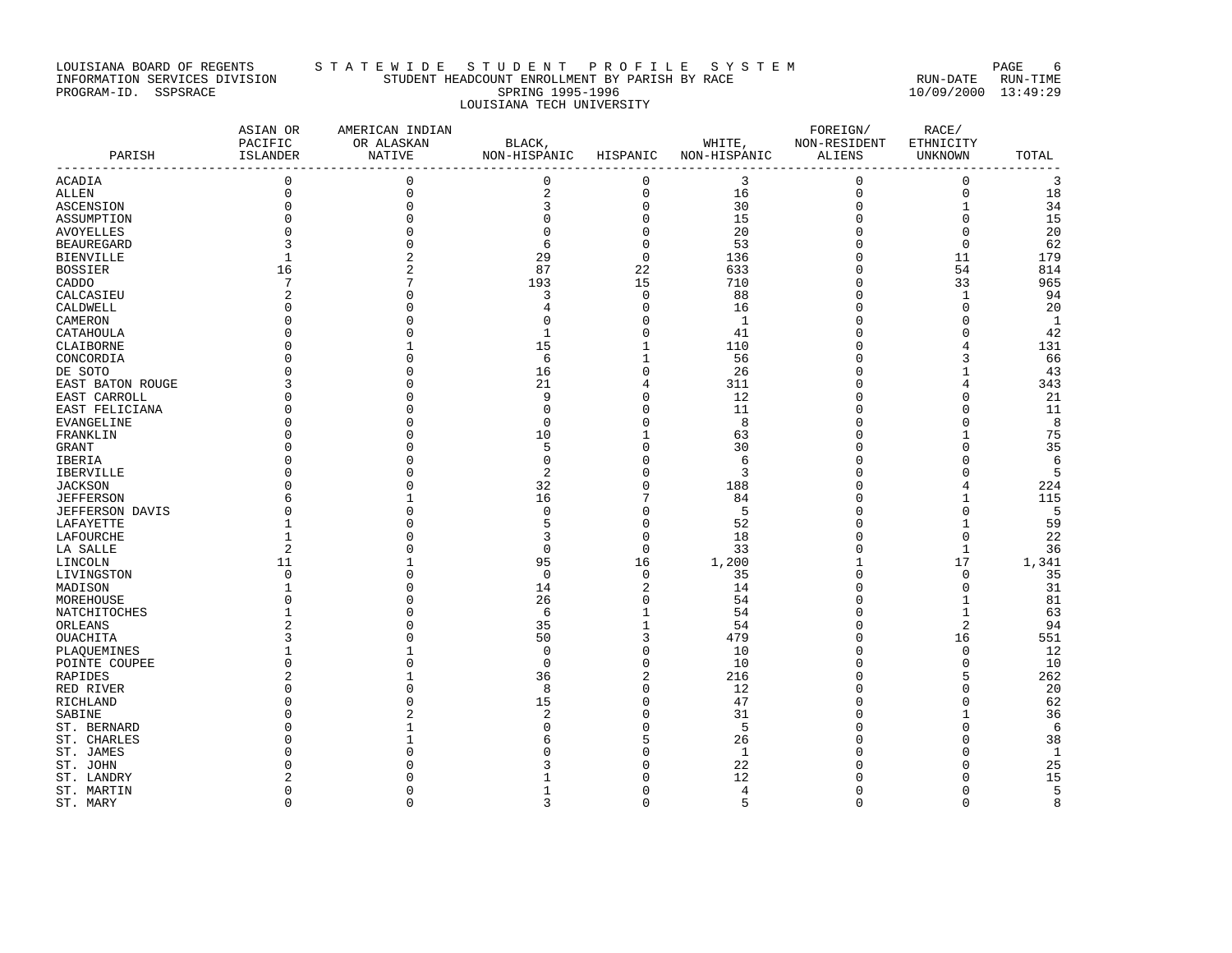# LOUISIANA BOARD OF REGENTS STA T E W I D E S T U D E N T P R O F I L E S Y S T E M PAGE 6 INFORMATION SERVICES DIVISION STUDENT HEADCOUNT ENROLLMENT BY PARISH BY RACE RUN-DATE RUN-TIME PROGRAM-ID. SSPSRACE SPRING 1995-1996 10/09/2000 13:49:29 LOUISIANA TECH UNIVERSITY

| --------------------<br>____________________________<br>3<br>$\mathbf 0$<br>$\mathbf 0$<br>0<br>$\mathbf 0$<br>3<br>$\mathbf 0$<br>0<br>$\mathbf 0$<br>$\mathbf 0$<br>2<br>$\mathbf 0$<br>16<br>$\mathbf 0$<br>$\mathbf 0$<br>18<br>$\mathbf 0$<br>$\Omega$<br>$\mathsf 0$<br>34<br>3<br>30<br>0<br>$\mathbf 1$<br>15<br>$\Omega$<br>$\mathbf 0$<br>15<br>$\mathbf 0$<br>$\Omega$<br>$\mathbf 0$<br>$\Omega$<br>20<br>$\mathbf 0$<br>20<br>$\Omega$<br>$\Omega$<br><sup>0</sup><br>62<br>$\mathbf 0$<br>53<br>$\mathbf 0$<br><b>BEAUREGARD</b><br>3<br>$\Omega$<br>6<br>$\Omega$<br>$\mathsf 0$<br>29<br>179<br>136<br>11<br>1<br>$\Omega$<br>87<br>22<br>633<br>54<br>814<br>16<br>2<br>$\Omega$<br>7<br>193<br>15<br>710<br>33<br>965<br>$\Omega$<br>$\overline{2}$<br>$\mathbf 0$<br>88<br>94<br>3<br>1<br>O<br>$\Omega$<br>20<br>$\mathbf 0$<br>16<br>$\mathbf 0$<br>$\Omega$<br>$\Omega$<br>O<br>4<br>$\mathsf 0$<br>-1<br>1<br>$\Omega$<br>0<br><sup>0</sup><br>$\mathsf 0$<br>41<br>42<br>1<br>$\Omega$<br>$\Omega$<br>15<br>131<br>1<br>110<br><sup>0</sup><br>4<br>1<br>56<br>66<br>6<br>3<br>O<br><sup>0</sup><br>$\mathbf 0$<br>43<br>16<br>26<br>O<br>$\Omega$<br>-1<br>343<br>21<br>4<br>311<br>$\Omega$<br>4<br>21<br>9<br>$\mathbf 0$<br>12<br><sup>0</sup><br>U<br>$\mathbf 0$<br>11<br>11<br><sup>0</sup><br>∩<br>O<br>n<br>O<br>$\mathsf 0$<br>8<br>8<br>$\Omega$<br>$\mathbf 0$<br>$\Omega$<br>O<br><sup>0</sup><br>75<br>10<br>1<br>63<br>$\Omega$<br>$\mathbf{1}$<br>$\Omega$<br>35<br>$\mathbf 0$<br>5<br>30<br>∩<br>O<br>n<br>$\mathbf 0$<br>6<br>$\Omega$<br>$\Omega$<br>6<br>$\Omega$<br><sup>0</sup><br>5<br>2<br>$\mathsf 0$<br>3<br>0<br>$\Omega$<br>O<br>$\Omega$<br>32<br>$\mathbf 0$<br>224<br>$\Omega$<br>$\Omega$<br>188<br><sup>0</sup><br>4<br>7<br>16<br>115<br><b>JEFFERSON</b><br>84<br>$\mathbf{1}$<br>6<br>1<br><sup>0</sup><br>5<br><b>JEFFERSON DAVIS</b><br>$\Omega$<br>0<br>5<br>$\Omega$<br><sup>0</sup><br>O<br><sup>0</sup><br>59<br>0<br>52<br>$\mathbf{1}$<br>LAFAYETTE<br>1<br>O<br>5<br><sup>0</sup><br>$\mathbf 0$<br>22<br>18<br>$\mathbf 0$<br>LAFOURCHE<br>1<br>3<br>$\Omega$<br>$\mathbf 0$<br>36<br>2<br>33<br>1<br>LA SALLE<br>0<br>$\Omega$<br>n<br>1,200<br>17<br>95<br>16<br>1,341<br>LINCOLN<br>11<br>1<br>$\mathbf 0$<br>35<br>35<br>LIVINGSTON<br>$\mathbf 0$<br>$\Omega$<br>0<br>$\Omega$<br>$\mathbf 0$<br>31<br>2<br>14<br>14<br>0<br>MADISON<br>1<br>O<br>$\Omega$<br>54<br>81<br>26<br>$\mathsf 0$<br>$\mathbf{1}$<br>MOREHOUSE<br>$\Omega$<br>$\Omega$<br>$\Omega$<br>63<br>1<br>54<br>NATCHITOCHES<br>6<br>1<br>1<br><sup>0</sup><br>$\overline{c}$<br>35<br>$\mathbf 1$<br>2<br>94<br>ORLEANS<br>54<br>O<br>$\Omega$<br>3<br>551<br>3<br>50<br>479<br>16<br><b>OUACHITA</b><br>$\Omega$<br>O<br>$\mathsf 0$<br>10<br>12<br>$\Omega$<br>$\Omega$<br>$\mathbf 0$<br>PLAQUEMINES<br>$\mathbf 0$<br>10<br>10<br>$\Omega$<br>$\Omega$<br>POINTE COUPEE<br>n<br>∩<br><sup>0</sup><br>$\overline{2}$<br>262<br>$\overline{c}$<br>36<br>216<br>5<br>RAPIDES<br>1<br>$\Omega$<br>$\mathsf 0$<br>20<br>$\Omega$<br>$\Omega$<br>8<br>12<br>RED RIVER<br>$\Omega$<br>$\Omega$<br>15<br>$\mathbf 0$<br>47<br>62<br>$\Omega$<br>$\Omega$<br>$\cap$<br>RICHLAND<br><sup>0</sup><br>$\overline{a}$<br>$\mathbf 0$<br>36<br>SABINE<br>$\overline{2}$<br>31<br>n<br><sup>0</sup><br>-1<br>$\mathsf 0$<br>5<br>6<br>ST. BERNARD<br>$\mathbf 0$<br>5<br>38<br>26<br>ST. CHARLES<br><sup>0</sup><br>$\Omega$<br>O<br>$\mathbf{1}$<br>$\Omega$<br>ST. JAMES<br>1<br>C<br>25<br>$\Omega$<br>22<br>ST. JOHN<br>C<br>O<br>15<br>$\Omega$<br>12<br>ST. LANDRY<br>$\cap$<br>5<br>$\mathbf 0$<br>$\overline{4}$<br>ST. MARTIN<br>$\Omega$<br>$\Omega$<br>O<br>$\Omega$<br>$\Omega$<br>$\Omega$<br>3<br>$\Omega$<br>5<br>$\Omega$<br>$\Omega$ | PARISH           | ASIAN OR<br>PACIFIC<br>ISLANDER | AMERICAN INDIAN<br>OR ALASKAN<br>NATIVE | BLACK,<br>NON-HISPANIC HISPANIC | WHITE,<br>NON-HISPANIC | FOREIGN/<br>NON-RESIDENT<br>ALIENS | RACE/<br>ETHNICITY<br>UNKNOWN | TOTAL |
|------------------------------------------------------------------------------------------------------------------------------------------------------------------------------------------------------------------------------------------------------------------------------------------------------------------------------------------------------------------------------------------------------------------------------------------------------------------------------------------------------------------------------------------------------------------------------------------------------------------------------------------------------------------------------------------------------------------------------------------------------------------------------------------------------------------------------------------------------------------------------------------------------------------------------------------------------------------------------------------------------------------------------------------------------------------------------------------------------------------------------------------------------------------------------------------------------------------------------------------------------------------------------------------------------------------------------------------------------------------------------------------------------------------------------------------------------------------------------------------------------------------------------------------------------------------------------------------------------------------------------------------------------------------------------------------------------------------------------------------------------------------------------------------------------------------------------------------------------------------------------------------------------------------------------------------------------------------------------------------------------------------------------------------------------------------------------------------------------------------------------------------------------------------------------------------------------------------------------------------------------------------------------------------------------------------------------------------------------------------------------------------------------------------------------------------------------------------------------------------------------------------------------------------------------------------------------------------------------------------------------------------------------------------------------------------------------------------------------------------------------------------------------------------------------------------------------------------------------------------------------------------------------------------------------------------------------------------------------------------------------------------------------------------------------------------------------------------------------------------------------------------------------------------------------------------------------------------------------------------------------------------------------------------------------------------------------------------------------------------------------------------------------------------------------------------------------------------------------------------------------------------------------------------------------------------------------------------------------------------------------------------------------------------------------------------------------------------------------------------------------------------------------------------|------------------|---------------------------------|-----------------------------------------|---------------------------------|------------------------|------------------------------------|-------------------------------|-------|
|                                                                                                                                                                                                                                                                                                                                                                                                                                                                                                                                                                                                                                                                                                                                                                                                                                                                                                                                                                                                                                                                                                                                                                                                                                                                                                                                                                                                                                                                                                                                                                                                                                                                                                                                                                                                                                                                                                                                                                                                                                                                                                                                                                                                                                                                                                                                                                                                                                                                                                                                                                                                                                                                                                                                                                                                                                                                                                                                                                                                                                                                                                                                                                                                                                                                                                                                                                                                                                                                                                                                                                                                                                                                                                                                                                                          | <b>ACADIA</b>    |                                 |                                         |                                 |                        |                                    |                               |       |
|                                                                                                                                                                                                                                                                                                                                                                                                                                                                                                                                                                                                                                                                                                                                                                                                                                                                                                                                                                                                                                                                                                                                                                                                                                                                                                                                                                                                                                                                                                                                                                                                                                                                                                                                                                                                                                                                                                                                                                                                                                                                                                                                                                                                                                                                                                                                                                                                                                                                                                                                                                                                                                                                                                                                                                                                                                                                                                                                                                                                                                                                                                                                                                                                                                                                                                                                                                                                                                                                                                                                                                                                                                                                                                                                                                                          | ALLEN            |                                 |                                         |                                 |                        |                                    |                               |       |
|                                                                                                                                                                                                                                                                                                                                                                                                                                                                                                                                                                                                                                                                                                                                                                                                                                                                                                                                                                                                                                                                                                                                                                                                                                                                                                                                                                                                                                                                                                                                                                                                                                                                                                                                                                                                                                                                                                                                                                                                                                                                                                                                                                                                                                                                                                                                                                                                                                                                                                                                                                                                                                                                                                                                                                                                                                                                                                                                                                                                                                                                                                                                                                                                                                                                                                                                                                                                                                                                                                                                                                                                                                                                                                                                                                                          | ASCENSION        |                                 |                                         |                                 |                        |                                    |                               |       |
|                                                                                                                                                                                                                                                                                                                                                                                                                                                                                                                                                                                                                                                                                                                                                                                                                                                                                                                                                                                                                                                                                                                                                                                                                                                                                                                                                                                                                                                                                                                                                                                                                                                                                                                                                                                                                                                                                                                                                                                                                                                                                                                                                                                                                                                                                                                                                                                                                                                                                                                                                                                                                                                                                                                                                                                                                                                                                                                                                                                                                                                                                                                                                                                                                                                                                                                                                                                                                                                                                                                                                                                                                                                                                                                                                                                          | ASSUMPTION       |                                 |                                         |                                 |                        |                                    |                               |       |
|                                                                                                                                                                                                                                                                                                                                                                                                                                                                                                                                                                                                                                                                                                                                                                                                                                                                                                                                                                                                                                                                                                                                                                                                                                                                                                                                                                                                                                                                                                                                                                                                                                                                                                                                                                                                                                                                                                                                                                                                                                                                                                                                                                                                                                                                                                                                                                                                                                                                                                                                                                                                                                                                                                                                                                                                                                                                                                                                                                                                                                                                                                                                                                                                                                                                                                                                                                                                                                                                                                                                                                                                                                                                                                                                                                                          | AVOYELLES        |                                 |                                         |                                 |                        |                                    |                               |       |
|                                                                                                                                                                                                                                                                                                                                                                                                                                                                                                                                                                                                                                                                                                                                                                                                                                                                                                                                                                                                                                                                                                                                                                                                                                                                                                                                                                                                                                                                                                                                                                                                                                                                                                                                                                                                                                                                                                                                                                                                                                                                                                                                                                                                                                                                                                                                                                                                                                                                                                                                                                                                                                                                                                                                                                                                                                                                                                                                                                                                                                                                                                                                                                                                                                                                                                                                                                                                                                                                                                                                                                                                                                                                                                                                                                                          |                  |                                 |                                         |                                 |                        |                                    |                               |       |
|                                                                                                                                                                                                                                                                                                                                                                                                                                                                                                                                                                                                                                                                                                                                                                                                                                                                                                                                                                                                                                                                                                                                                                                                                                                                                                                                                                                                                                                                                                                                                                                                                                                                                                                                                                                                                                                                                                                                                                                                                                                                                                                                                                                                                                                                                                                                                                                                                                                                                                                                                                                                                                                                                                                                                                                                                                                                                                                                                                                                                                                                                                                                                                                                                                                                                                                                                                                                                                                                                                                                                                                                                                                                                                                                                                                          | <b>BIENVILLE</b> |                                 |                                         |                                 |                        |                                    |                               |       |
|                                                                                                                                                                                                                                                                                                                                                                                                                                                                                                                                                                                                                                                                                                                                                                                                                                                                                                                                                                                                                                                                                                                                                                                                                                                                                                                                                                                                                                                                                                                                                                                                                                                                                                                                                                                                                                                                                                                                                                                                                                                                                                                                                                                                                                                                                                                                                                                                                                                                                                                                                                                                                                                                                                                                                                                                                                                                                                                                                                                                                                                                                                                                                                                                                                                                                                                                                                                                                                                                                                                                                                                                                                                                                                                                                                                          | <b>BOSSIER</b>   |                                 |                                         |                                 |                        |                                    |                               |       |
|                                                                                                                                                                                                                                                                                                                                                                                                                                                                                                                                                                                                                                                                                                                                                                                                                                                                                                                                                                                                                                                                                                                                                                                                                                                                                                                                                                                                                                                                                                                                                                                                                                                                                                                                                                                                                                                                                                                                                                                                                                                                                                                                                                                                                                                                                                                                                                                                                                                                                                                                                                                                                                                                                                                                                                                                                                                                                                                                                                                                                                                                                                                                                                                                                                                                                                                                                                                                                                                                                                                                                                                                                                                                                                                                                                                          | CADDO            |                                 |                                         |                                 |                        |                                    |                               |       |
|                                                                                                                                                                                                                                                                                                                                                                                                                                                                                                                                                                                                                                                                                                                                                                                                                                                                                                                                                                                                                                                                                                                                                                                                                                                                                                                                                                                                                                                                                                                                                                                                                                                                                                                                                                                                                                                                                                                                                                                                                                                                                                                                                                                                                                                                                                                                                                                                                                                                                                                                                                                                                                                                                                                                                                                                                                                                                                                                                                                                                                                                                                                                                                                                                                                                                                                                                                                                                                                                                                                                                                                                                                                                                                                                                                                          | CALCASIEU        |                                 |                                         |                                 |                        |                                    |                               |       |
|                                                                                                                                                                                                                                                                                                                                                                                                                                                                                                                                                                                                                                                                                                                                                                                                                                                                                                                                                                                                                                                                                                                                                                                                                                                                                                                                                                                                                                                                                                                                                                                                                                                                                                                                                                                                                                                                                                                                                                                                                                                                                                                                                                                                                                                                                                                                                                                                                                                                                                                                                                                                                                                                                                                                                                                                                                                                                                                                                                                                                                                                                                                                                                                                                                                                                                                                                                                                                                                                                                                                                                                                                                                                                                                                                                                          | CALDWELL         |                                 |                                         |                                 |                        |                                    |                               |       |
|                                                                                                                                                                                                                                                                                                                                                                                                                                                                                                                                                                                                                                                                                                                                                                                                                                                                                                                                                                                                                                                                                                                                                                                                                                                                                                                                                                                                                                                                                                                                                                                                                                                                                                                                                                                                                                                                                                                                                                                                                                                                                                                                                                                                                                                                                                                                                                                                                                                                                                                                                                                                                                                                                                                                                                                                                                                                                                                                                                                                                                                                                                                                                                                                                                                                                                                                                                                                                                                                                                                                                                                                                                                                                                                                                                                          | CAMERON          |                                 |                                         |                                 |                        |                                    |                               |       |
|                                                                                                                                                                                                                                                                                                                                                                                                                                                                                                                                                                                                                                                                                                                                                                                                                                                                                                                                                                                                                                                                                                                                                                                                                                                                                                                                                                                                                                                                                                                                                                                                                                                                                                                                                                                                                                                                                                                                                                                                                                                                                                                                                                                                                                                                                                                                                                                                                                                                                                                                                                                                                                                                                                                                                                                                                                                                                                                                                                                                                                                                                                                                                                                                                                                                                                                                                                                                                                                                                                                                                                                                                                                                                                                                                                                          | CATAHOULA        |                                 |                                         |                                 |                        |                                    |                               |       |
|                                                                                                                                                                                                                                                                                                                                                                                                                                                                                                                                                                                                                                                                                                                                                                                                                                                                                                                                                                                                                                                                                                                                                                                                                                                                                                                                                                                                                                                                                                                                                                                                                                                                                                                                                                                                                                                                                                                                                                                                                                                                                                                                                                                                                                                                                                                                                                                                                                                                                                                                                                                                                                                                                                                                                                                                                                                                                                                                                                                                                                                                                                                                                                                                                                                                                                                                                                                                                                                                                                                                                                                                                                                                                                                                                                                          | CLAIBORNE        |                                 |                                         |                                 |                        |                                    |                               |       |
|                                                                                                                                                                                                                                                                                                                                                                                                                                                                                                                                                                                                                                                                                                                                                                                                                                                                                                                                                                                                                                                                                                                                                                                                                                                                                                                                                                                                                                                                                                                                                                                                                                                                                                                                                                                                                                                                                                                                                                                                                                                                                                                                                                                                                                                                                                                                                                                                                                                                                                                                                                                                                                                                                                                                                                                                                                                                                                                                                                                                                                                                                                                                                                                                                                                                                                                                                                                                                                                                                                                                                                                                                                                                                                                                                                                          | CONCORDIA        |                                 |                                         |                                 |                        |                                    |                               |       |
|                                                                                                                                                                                                                                                                                                                                                                                                                                                                                                                                                                                                                                                                                                                                                                                                                                                                                                                                                                                                                                                                                                                                                                                                                                                                                                                                                                                                                                                                                                                                                                                                                                                                                                                                                                                                                                                                                                                                                                                                                                                                                                                                                                                                                                                                                                                                                                                                                                                                                                                                                                                                                                                                                                                                                                                                                                                                                                                                                                                                                                                                                                                                                                                                                                                                                                                                                                                                                                                                                                                                                                                                                                                                                                                                                                                          | DE SOTO          |                                 |                                         |                                 |                        |                                    |                               |       |
|                                                                                                                                                                                                                                                                                                                                                                                                                                                                                                                                                                                                                                                                                                                                                                                                                                                                                                                                                                                                                                                                                                                                                                                                                                                                                                                                                                                                                                                                                                                                                                                                                                                                                                                                                                                                                                                                                                                                                                                                                                                                                                                                                                                                                                                                                                                                                                                                                                                                                                                                                                                                                                                                                                                                                                                                                                                                                                                                                                                                                                                                                                                                                                                                                                                                                                                                                                                                                                                                                                                                                                                                                                                                                                                                                                                          | EAST BATON ROUGE |                                 |                                         |                                 |                        |                                    |                               |       |
|                                                                                                                                                                                                                                                                                                                                                                                                                                                                                                                                                                                                                                                                                                                                                                                                                                                                                                                                                                                                                                                                                                                                                                                                                                                                                                                                                                                                                                                                                                                                                                                                                                                                                                                                                                                                                                                                                                                                                                                                                                                                                                                                                                                                                                                                                                                                                                                                                                                                                                                                                                                                                                                                                                                                                                                                                                                                                                                                                                                                                                                                                                                                                                                                                                                                                                                                                                                                                                                                                                                                                                                                                                                                                                                                                                                          | EAST CARROLL     |                                 |                                         |                                 |                        |                                    |                               |       |
|                                                                                                                                                                                                                                                                                                                                                                                                                                                                                                                                                                                                                                                                                                                                                                                                                                                                                                                                                                                                                                                                                                                                                                                                                                                                                                                                                                                                                                                                                                                                                                                                                                                                                                                                                                                                                                                                                                                                                                                                                                                                                                                                                                                                                                                                                                                                                                                                                                                                                                                                                                                                                                                                                                                                                                                                                                                                                                                                                                                                                                                                                                                                                                                                                                                                                                                                                                                                                                                                                                                                                                                                                                                                                                                                                                                          | EAST FELICIANA   |                                 |                                         |                                 |                        |                                    |                               |       |
|                                                                                                                                                                                                                                                                                                                                                                                                                                                                                                                                                                                                                                                                                                                                                                                                                                                                                                                                                                                                                                                                                                                                                                                                                                                                                                                                                                                                                                                                                                                                                                                                                                                                                                                                                                                                                                                                                                                                                                                                                                                                                                                                                                                                                                                                                                                                                                                                                                                                                                                                                                                                                                                                                                                                                                                                                                                                                                                                                                                                                                                                                                                                                                                                                                                                                                                                                                                                                                                                                                                                                                                                                                                                                                                                                                                          | EVANGELINE       |                                 |                                         |                                 |                        |                                    |                               |       |
|                                                                                                                                                                                                                                                                                                                                                                                                                                                                                                                                                                                                                                                                                                                                                                                                                                                                                                                                                                                                                                                                                                                                                                                                                                                                                                                                                                                                                                                                                                                                                                                                                                                                                                                                                                                                                                                                                                                                                                                                                                                                                                                                                                                                                                                                                                                                                                                                                                                                                                                                                                                                                                                                                                                                                                                                                                                                                                                                                                                                                                                                                                                                                                                                                                                                                                                                                                                                                                                                                                                                                                                                                                                                                                                                                                                          | FRANKLIN         |                                 |                                         |                                 |                        |                                    |                               |       |
|                                                                                                                                                                                                                                                                                                                                                                                                                                                                                                                                                                                                                                                                                                                                                                                                                                                                                                                                                                                                                                                                                                                                                                                                                                                                                                                                                                                                                                                                                                                                                                                                                                                                                                                                                                                                                                                                                                                                                                                                                                                                                                                                                                                                                                                                                                                                                                                                                                                                                                                                                                                                                                                                                                                                                                                                                                                                                                                                                                                                                                                                                                                                                                                                                                                                                                                                                                                                                                                                                                                                                                                                                                                                                                                                                                                          | GRANT            |                                 |                                         |                                 |                        |                                    |                               |       |
|                                                                                                                                                                                                                                                                                                                                                                                                                                                                                                                                                                                                                                                                                                                                                                                                                                                                                                                                                                                                                                                                                                                                                                                                                                                                                                                                                                                                                                                                                                                                                                                                                                                                                                                                                                                                                                                                                                                                                                                                                                                                                                                                                                                                                                                                                                                                                                                                                                                                                                                                                                                                                                                                                                                                                                                                                                                                                                                                                                                                                                                                                                                                                                                                                                                                                                                                                                                                                                                                                                                                                                                                                                                                                                                                                                                          | IBERIA           |                                 |                                         |                                 |                        |                                    |                               |       |
|                                                                                                                                                                                                                                                                                                                                                                                                                                                                                                                                                                                                                                                                                                                                                                                                                                                                                                                                                                                                                                                                                                                                                                                                                                                                                                                                                                                                                                                                                                                                                                                                                                                                                                                                                                                                                                                                                                                                                                                                                                                                                                                                                                                                                                                                                                                                                                                                                                                                                                                                                                                                                                                                                                                                                                                                                                                                                                                                                                                                                                                                                                                                                                                                                                                                                                                                                                                                                                                                                                                                                                                                                                                                                                                                                                                          | IBERVILLE        |                                 |                                         |                                 |                        |                                    |                               |       |
|                                                                                                                                                                                                                                                                                                                                                                                                                                                                                                                                                                                                                                                                                                                                                                                                                                                                                                                                                                                                                                                                                                                                                                                                                                                                                                                                                                                                                                                                                                                                                                                                                                                                                                                                                                                                                                                                                                                                                                                                                                                                                                                                                                                                                                                                                                                                                                                                                                                                                                                                                                                                                                                                                                                                                                                                                                                                                                                                                                                                                                                                                                                                                                                                                                                                                                                                                                                                                                                                                                                                                                                                                                                                                                                                                                                          | <b>JACKSON</b>   |                                 |                                         |                                 |                        |                                    |                               |       |
|                                                                                                                                                                                                                                                                                                                                                                                                                                                                                                                                                                                                                                                                                                                                                                                                                                                                                                                                                                                                                                                                                                                                                                                                                                                                                                                                                                                                                                                                                                                                                                                                                                                                                                                                                                                                                                                                                                                                                                                                                                                                                                                                                                                                                                                                                                                                                                                                                                                                                                                                                                                                                                                                                                                                                                                                                                                                                                                                                                                                                                                                                                                                                                                                                                                                                                                                                                                                                                                                                                                                                                                                                                                                                                                                                                                          |                  |                                 |                                         |                                 |                        |                                    |                               |       |
|                                                                                                                                                                                                                                                                                                                                                                                                                                                                                                                                                                                                                                                                                                                                                                                                                                                                                                                                                                                                                                                                                                                                                                                                                                                                                                                                                                                                                                                                                                                                                                                                                                                                                                                                                                                                                                                                                                                                                                                                                                                                                                                                                                                                                                                                                                                                                                                                                                                                                                                                                                                                                                                                                                                                                                                                                                                                                                                                                                                                                                                                                                                                                                                                                                                                                                                                                                                                                                                                                                                                                                                                                                                                                                                                                                                          |                  |                                 |                                         |                                 |                        |                                    |                               |       |
|                                                                                                                                                                                                                                                                                                                                                                                                                                                                                                                                                                                                                                                                                                                                                                                                                                                                                                                                                                                                                                                                                                                                                                                                                                                                                                                                                                                                                                                                                                                                                                                                                                                                                                                                                                                                                                                                                                                                                                                                                                                                                                                                                                                                                                                                                                                                                                                                                                                                                                                                                                                                                                                                                                                                                                                                                                                                                                                                                                                                                                                                                                                                                                                                                                                                                                                                                                                                                                                                                                                                                                                                                                                                                                                                                                                          |                  |                                 |                                         |                                 |                        |                                    |                               |       |
|                                                                                                                                                                                                                                                                                                                                                                                                                                                                                                                                                                                                                                                                                                                                                                                                                                                                                                                                                                                                                                                                                                                                                                                                                                                                                                                                                                                                                                                                                                                                                                                                                                                                                                                                                                                                                                                                                                                                                                                                                                                                                                                                                                                                                                                                                                                                                                                                                                                                                                                                                                                                                                                                                                                                                                                                                                                                                                                                                                                                                                                                                                                                                                                                                                                                                                                                                                                                                                                                                                                                                                                                                                                                                                                                                                                          |                  |                                 |                                         |                                 |                        |                                    |                               |       |
|                                                                                                                                                                                                                                                                                                                                                                                                                                                                                                                                                                                                                                                                                                                                                                                                                                                                                                                                                                                                                                                                                                                                                                                                                                                                                                                                                                                                                                                                                                                                                                                                                                                                                                                                                                                                                                                                                                                                                                                                                                                                                                                                                                                                                                                                                                                                                                                                                                                                                                                                                                                                                                                                                                                                                                                                                                                                                                                                                                                                                                                                                                                                                                                                                                                                                                                                                                                                                                                                                                                                                                                                                                                                                                                                                                                          |                  |                                 |                                         |                                 |                        |                                    |                               |       |
|                                                                                                                                                                                                                                                                                                                                                                                                                                                                                                                                                                                                                                                                                                                                                                                                                                                                                                                                                                                                                                                                                                                                                                                                                                                                                                                                                                                                                                                                                                                                                                                                                                                                                                                                                                                                                                                                                                                                                                                                                                                                                                                                                                                                                                                                                                                                                                                                                                                                                                                                                                                                                                                                                                                                                                                                                                                                                                                                                                                                                                                                                                                                                                                                                                                                                                                                                                                                                                                                                                                                                                                                                                                                                                                                                                                          |                  |                                 |                                         |                                 |                        |                                    |                               |       |
|                                                                                                                                                                                                                                                                                                                                                                                                                                                                                                                                                                                                                                                                                                                                                                                                                                                                                                                                                                                                                                                                                                                                                                                                                                                                                                                                                                                                                                                                                                                                                                                                                                                                                                                                                                                                                                                                                                                                                                                                                                                                                                                                                                                                                                                                                                                                                                                                                                                                                                                                                                                                                                                                                                                                                                                                                                                                                                                                                                                                                                                                                                                                                                                                                                                                                                                                                                                                                                                                                                                                                                                                                                                                                                                                                                                          |                  |                                 |                                         |                                 |                        |                                    |                               |       |
|                                                                                                                                                                                                                                                                                                                                                                                                                                                                                                                                                                                                                                                                                                                                                                                                                                                                                                                                                                                                                                                                                                                                                                                                                                                                                                                                                                                                                                                                                                                                                                                                                                                                                                                                                                                                                                                                                                                                                                                                                                                                                                                                                                                                                                                                                                                                                                                                                                                                                                                                                                                                                                                                                                                                                                                                                                                                                                                                                                                                                                                                                                                                                                                                                                                                                                                                                                                                                                                                                                                                                                                                                                                                                                                                                                                          |                  |                                 |                                         |                                 |                        |                                    |                               |       |
|                                                                                                                                                                                                                                                                                                                                                                                                                                                                                                                                                                                                                                                                                                                                                                                                                                                                                                                                                                                                                                                                                                                                                                                                                                                                                                                                                                                                                                                                                                                                                                                                                                                                                                                                                                                                                                                                                                                                                                                                                                                                                                                                                                                                                                                                                                                                                                                                                                                                                                                                                                                                                                                                                                                                                                                                                                                                                                                                                                                                                                                                                                                                                                                                                                                                                                                                                                                                                                                                                                                                                                                                                                                                                                                                                                                          |                  |                                 |                                         |                                 |                        |                                    |                               |       |
|                                                                                                                                                                                                                                                                                                                                                                                                                                                                                                                                                                                                                                                                                                                                                                                                                                                                                                                                                                                                                                                                                                                                                                                                                                                                                                                                                                                                                                                                                                                                                                                                                                                                                                                                                                                                                                                                                                                                                                                                                                                                                                                                                                                                                                                                                                                                                                                                                                                                                                                                                                                                                                                                                                                                                                                                                                                                                                                                                                                                                                                                                                                                                                                                                                                                                                                                                                                                                                                                                                                                                                                                                                                                                                                                                                                          |                  |                                 |                                         |                                 |                        |                                    |                               |       |
|                                                                                                                                                                                                                                                                                                                                                                                                                                                                                                                                                                                                                                                                                                                                                                                                                                                                                                                                                                                                                                                                                                                                                                                                                                                                                                                                                                                                                                                                                                                                                                                                                                                                                                                                                                                                                                                                                                                                                                                                                                                                                                                                                                                                                                                                                                                                                                                                                                                                                                                                                                                                                                                                                                                                                                                                                                                                                                                                                                                                                                                                                                                                                                                                                                                                                                                                                                                                                                                                                                                                                                                                                                                                                                                                                                                          |                  |                                 |                                         |                                 |                        |                                    |                               |       |
|                                                                                                                                                                                                                                                                                                                                                                                                                                                                                                                                                                                                                                                                                                                                                                                                                                                                                                                                                                                                                                                                                                                                                                                                                                                                                                                                                                                                                                                                                                                                                                                                                                                                                                                                                                                                                                                                                                                                                                                                                                                                                                                                                                                                                                                                                                                                                                                                                                                                                                                                                                                                                                                                                                                                                                                                                                                                                                                                                                                                                                                                                                                                                                                                                                                                                                                                                                                                                                                                                                                                                                                                                                                                                                                                                                                          |                  |                                 |                                         |                                 |                        |                                    |                               |       |
|                                                                                                                                                                                                                                                                                                                                                                                                                                                                                                                                                                                                                                                                                                                                                                                                                                                                                                                                                                                                                                                                                                                                                                                                                                                                                                                                                                                                                                                                                                                                                                                                                                                                                                                                                                                                                                                                                                                                                                                                                                                                                                                                                                                                                                                                                                                                                                                                                                                                                                                                                                                                                                                                                                                                                                                                                                                                                                                                                                                                                                                                                                                                                                                                                                                                                                                                                                                                                                                                                                                                                                                                                                                                                                                                                                                          |                  |                                 |                                         |                                 |                        |                                    |                               |       |
|                                                                                                                                                                                                                                                                                                                                                                                                                                                                                                                                                                                                                                                                                                                                                                                                                                                                                                                                                                                                                                                                                                                                                                                                                                                                                                                                                                                                                                                                                                                                                                                                                                                                                                                                                                                                                                                                                                                                                                                                                                                                                                                                                                                                                                                                                                                                                                                                                                                                                                                                                                                                                                                                                                                                                                                                                                                                                                                                                                                                                                                                                                                                                                                                                                                                                                                                                                                                                                                                                                                                                                                                                                                                                                                                                                                          |                  |                                 |                                         |                                 |                        |                                    |                               |       |
|                                                                                                                                                                                                                                                                                                                                                                                                                                                                                                                                                                                                                                                                                                                                                                                                                                                                                                                                                                                                                                                                                                                                                                                                                                                                                                                                                                                                                                                                                                                                                                                                                                                                                                                                                                                                                                                                                                                                                                                                                                                                                                                                                                                                                                                                                                                                                                                                                                                                                                                                                                                                                                                                                                                                                                                                                                                                                                                                                                                                                                                                                                                                                                                                                                                                                                                                                                                                                                                                                                                                                                                                                                                                                                                                                                                          |                  |                                 |                                         |                                 |                        |                                    |                               |       |
|                                                                                                                                                                                                                                                                                                                                                                                                                                                                                                                                                                                                                                                                                                                                                                                                                                                                                                                                                                                                                                                                                                                                                                                                                                                                                                                                                                                                                                                                                                                                                                                                                                                                                                                                                                                                                                                                                                                                                                                                                                                                                                                                                                                                                                                                                                                                                                                                                                                                                                                                                                                                                                                                                                                                                                                                                                                                                                                                                                                                                                                                                                                                                                                                                                                                                                                                                                                                                                                                                                                                                                                                                                                                                                                                                                                          |                  |                                 |                                         |                                 |                        |                                    |                               |       |
|                                                                                                                                                                                                                                                                                                                                                                                                                                                                                                                                                                                                                                                                                                                                                                                                                                                                                                                                                                                                                                                                                                                                                                                                                                                                                                                                                                                                                                                                                                                                                                                                                                                                                                                                                                                                                                                                                                                                                                                                                                                                                                                                                                                                                                                                                                                                                                                                                                                                                                                                                                                                                                                                                                                                                                                                                                                                                                                                                                                                                                                                                                                                                                                                                                                                                                                                                                                                                                                                                                                                                                                                                                                                                                                                                                                          |                  |                                 |                                         |                                 |                        |                                    |                               |       |
|                                                                                                                                                                                                                                                                                                                                                                                                                                                                                                                                                                                                                                                                                                                                                                                                                                                                                                                                                                                                                                                                                                                                                                                                                                                                                                                                                                                                                                                                                                                                                                                                                                                                                                                                                                                                                                                                                                                                                                                                                                                                                                                                                                                                                                                                                                                                                                                                                                                                                                                                                                                                                                                                                                                                                                                                                                                                                                                                                                                                                                                                                                                                                                                                                                                                                                                                                                                                                                                                                                                                                                                                                                                                                                                                                                                          |                  |                                 |                                         |                                 |                        |                                    |                               |       |
|                                                                                                                                                                                                                                                                                                                                                                                                                                                                                                                                                                                                                                                                                                                                                                                                                                                                                                                                                                                                                                                                                                                                                                                                                                                                                                                                                                                                                                                                                                                                                                                                                                                                                                                                                                                                                                                                                                                                                                                                                                                                                                                                                                                                                                                                                                                                                                                                                                                                                                                                                                                                                                                                                                                                                                                                                                                                                                                                                                                                                                                                                                                                                                                                                                                                                                                                                                                                                                                                                                                                                                                                                                                                                                                                                                                          |                  |                                 |                                         |                                 |                        |                                    |                               |       |
|                                                                                                                                                                                                                                                                                                                                                                                                                                                                                                                                                                                                                                                                                                                                                                                                                                                                                                                                                                                                                                                                                                                                                                                                                                                                                                                                                                                                                                                                                                                                                                                                                                                                                                                                                                                                                                                                                                                                                                                                                                                                                                                                                                                                                                                                                                                                                                                                                                                                                                                                                                                                                                                                                                                                                                                                                                                                                                                                                                                                                                                                                                                                                                                                                                                                                                                                                                                                                                                                                                                                                                                                                                                                                                                                                                                          |                  |                                 |                                         |                                 |                        |                                    |                               |       |
|                                                                                                                                                                                                                                                                                                                                                                                                                                                                                                                                                                                                                                                                                                                                                                                                                                                                                                                                                                                                                                                                                                                                                                                                                                                                                                                                                                                                                                                                                                                                                                                                                                                                                                                                                                                                                                                                                                                                                                                                                                                                                                                                                                                                                                                                                                                                                                                                                                                                                                                                                                                                                                                                                                                                                                                                                                                                                                                                                                                                                                                                                                                                                                                                                                                                                                                                                                                                                                                                                                                                                                                                                                                                                                                                                                                          |                  |                                 |                                         |                                 |                        |                                    |                               |       |
|                                                                                                                                                                                                                                                                                                                                                                                                                                                                                                                                                                                                                                                                                                                                                                                                                                                                                                                                                                                                                                                                                                                                                                                                                                                                                                                                                                                                                                                                                                                                                                                                                                                                                                                                                                                                                                                                                                                                                                                                                                                                                                                                                                                                                                                                                                                                                                                                                                                                                                                                                                                                                                                                                                                                                                                                                                                                                                                                                                                                                                                                                                                                                                                                                                                                                                                                                                                                                                                                                                                                                                                                                                                                                                                                                                                          |                  |                                 |                                         |                                 |                        |                                    |                               |       |
|                                                                                                                                                                                                                                                                                                                                                                                                                                                                                                                                                                                                                                                                                                                                                                                                                                                                                                                                                                                                                                                                                                                                                                                                                                                                                                                                                                                                                                                                                                                                                                                                                                                                                                                                                                                                                                                                                                                                                                                                                                                                                                                                                                                                                                                                                                                                                                                                                                                                                                                                                                                                                                                                                                                                                                                                                                                                                                                                                                                                                                                                                                                                                                                                                                                                                                                                                                                                                                                                                                                                                                                                                                                                                                                                                                                          |                  |                                 |                                         |                                 |                        |                                    |                               |       |
|                                                                                                                                                                                                                                                                                                                                                                                                                                                                                                                                                                                                                                                                                                                                                                                                                                                                                                                                                                                                                                                                                                                                                                                                                                                                                                                                                                                                                                                                                                                                                                                                                                                                                                                                                                                                                                                                                                                                                                                                                                                                                                                                                                                                                                                                                                                                                                                                                                                                                                                                                                                                                                                                                                                                                                                                                                                                                                                                                                                                                                                                                                                                                                                                                                                                                                                                                                                                                                                                                                                                                                                                                                                                                                                                                                                          | ST. MARY         |                                 |                                         |                                 |                        |                                    |                               | 8     |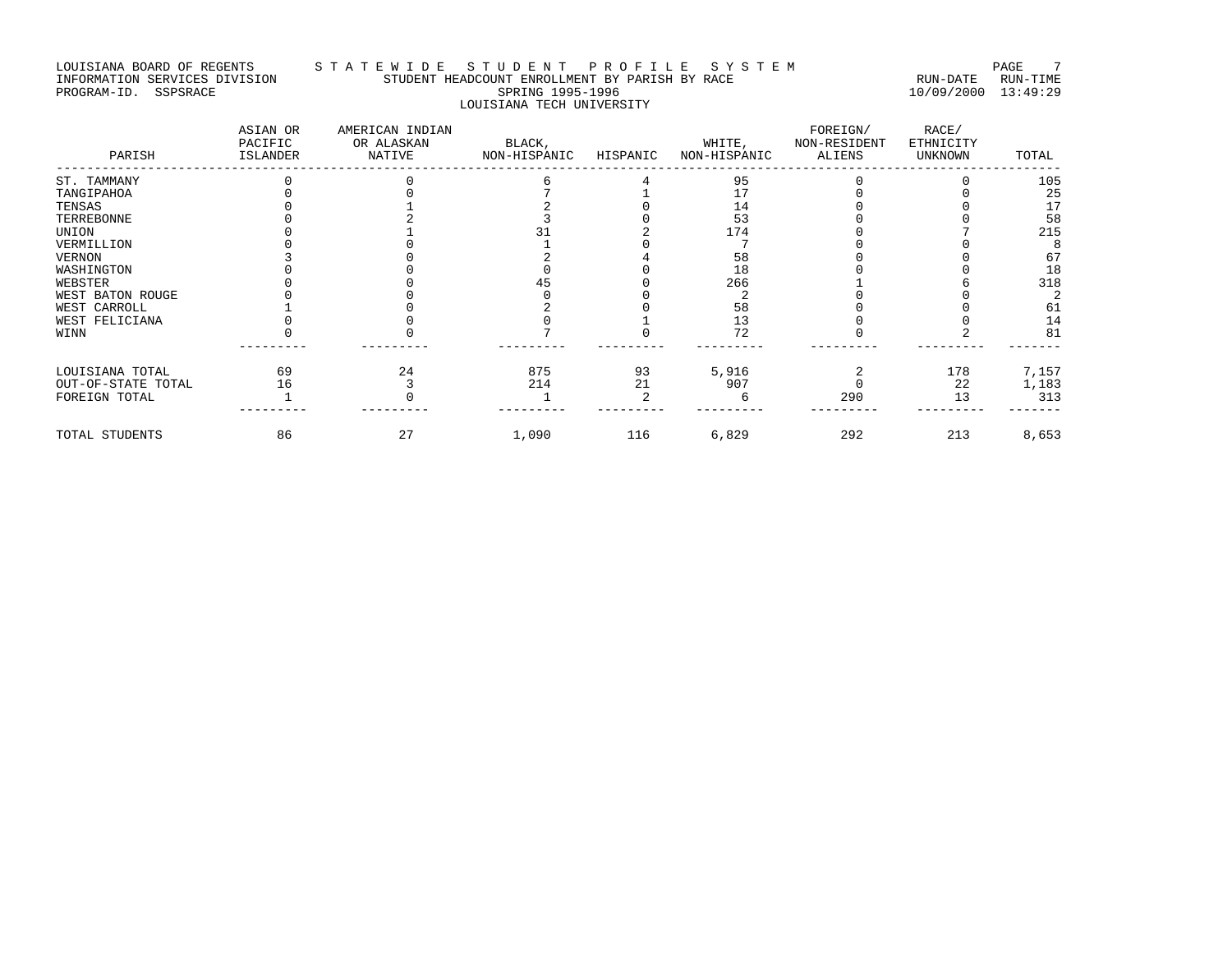# LOUISIANA BOARD OF REGENTS STATEWIDE STUDENT HEADCOUNT ENROLLMENT BY PARISH BY RACE STE MUNICIPATE RUN-TIME TO<br>INFORMATION SERVICES DIVISION STUDENT HEADCOUNT ENROLLMENT BY PARISH BY RACE INFORMATION SERVICES DIVISION STUDENT HEADCOUNT ENROLLMENT BY PARISH BY RACE RUN-DATE RUN-TIME PROGRAM-ID. SSPSRACE SPRING 1995-1996 10/09/2000 13:49:29 LOUISIANA TECH UNIVERSITY

| PARISH             | ASIAN OR<br>PACIFIC<br>ISLANDER | AMERICAN INDIAN<br>OR ALASKAN<br>NATIVE | BLACK,<br>NON-HISPANIC | HISPANIC | WHITE,<br>NON-HISPANIC | FOREIGN/<br>NON-RESIDENT<br>ALIENS | RACE/<br>ETHNICITY<br><b>UNKNOWN</b> | TOTAL |
|--------------------|---------------------------------|-----------------------------------------|------------------------|----------|------------------------|------------------------------------|--------------------------------------|-------|
| ST. TAMMANY        |                                 |                                         |                        |          | 95                     |                                    |                                      | 105   |
| TANGIPAHOA         |                                 |                                         |                        |          |                        |                                    |                                      | 25    |
| TENSAS             |                                 |                                         |                        |          |                        |                                    |                                      | 17    |
| TERREBONNE         |                                 |                                         |                        |          | 53                     |                                    |                                      | 58    |
| UNION              |                                 |                                         |                        |          | 174                    |                                    |                                      | 215   |
| VERMILLION         |                                 |                                         |                        |          |                        |                                    |                                      |       |
| VERNON             |                                 |                                         |                        |          | 58                     |                                    |                                      | 67    |
| WASHINGTON         |                                 |                                         |                        |          | 18                     |                                    |                                      | 18    |
| WEBSTER            |                                 |                                         |                        |          | 266                    |                                    |                                      | 318   |
| WEST BATON ROUGE   |                                 |                                         |                        |          |                        |                                    |                                      |       |
| WEST CARROLL       |                                 |                                         |                        |          | 58                     |                                    |                                      | 61    |
| WEST FELICIANA     |                                 |                                         |                        |          | 13                     |                                    |                                      | 14    |
| WINN               |                                 |                                         |                        |          | 72                     |                                    |                                      | 81    |
| LOUISIANA TOTAL    | 69                              | 24                                      | 875                    | 93       | 5,916                  |                                    | 178                                  | 7,157 |
| OUT-OF-STATE TOTAL | 16                              |                                         | 214                    | 21       | 907                    |                                    | 22                                   | 1,183 |
| FOREIGN TOTAL      |                                 |                                         |                        |          |                        | 290                                | 13                                   | 313   |
| TOTAL STUDENTS     | 86                              | 27                                      | 1,090                  | 116      | 6,829                  | 292                                | 213                                  | 8,653 |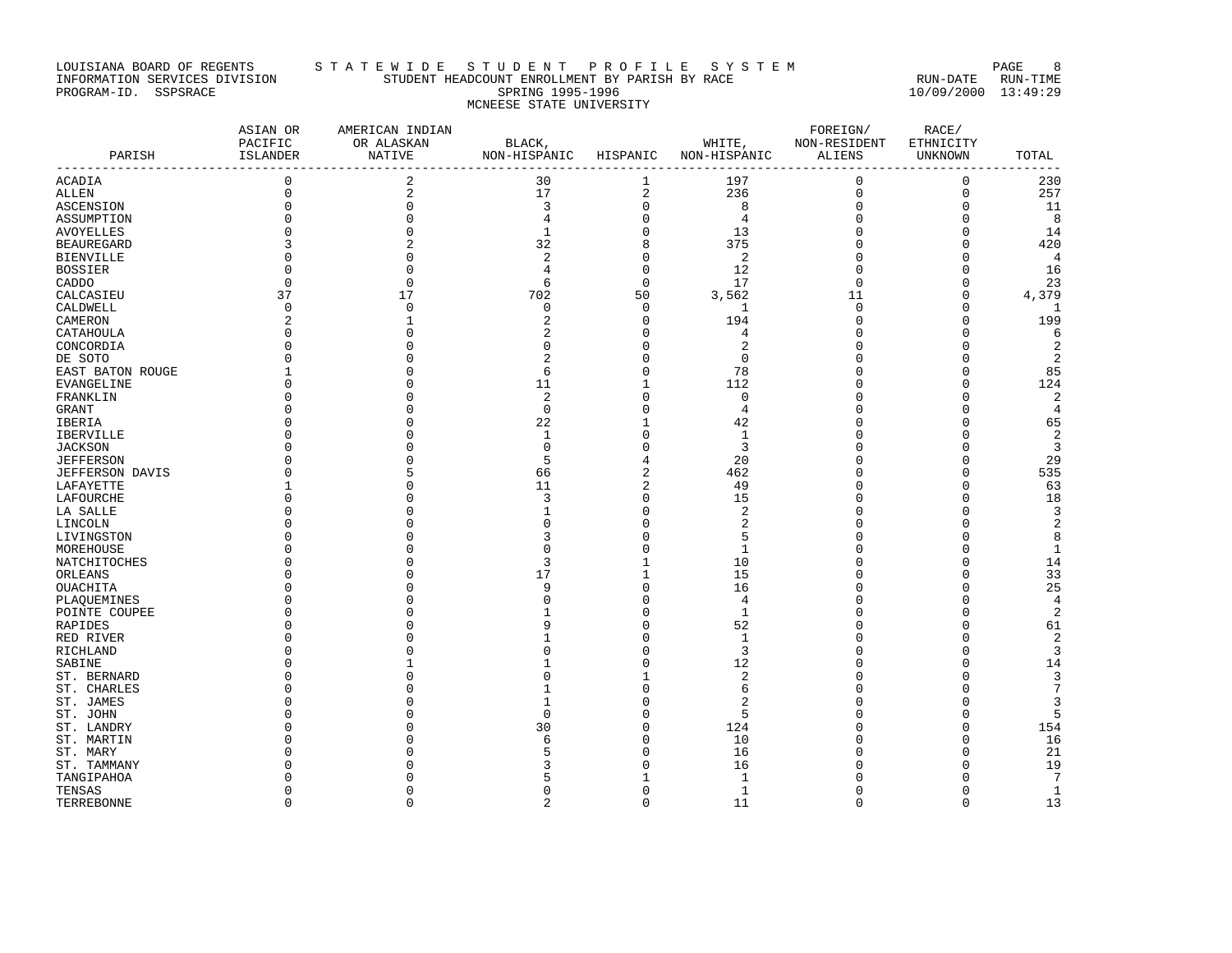# LOUISIANA BOARD OF REGENTS STA T E W I D E S T U D E N T P R O F I L E S Y S T E M PAGE 8 INFORMATION SERVICES DIVISION STUDENT HEADCOUNT ENROLLMENT BY PARISH BY RACE RUN-DATE RUN-TIME PROGRAM-ID. SSPSRACE SPRING 1995-1996 10/09/2000 13:49:29 MCNEESE STATE UNIVERSITY

| PARISH             | ASIAN OR<br>PACIFIC<br><b>ISLANDER</b> | AMERICAN INDIAN<br>OR ALASKAN | BLACK,         |                      | WHITE,         | FOREIGN/<br>NON-RESIDENT | RACE/<br>ETHNICITY<br>UNKNOWN | TOTAL<br>----  |
|--------------------|----------------------------------------|-------------------------------|----------------|----------------------|----------------|--------------------------|-------------------------------|----------------|
| ACADIA             | 0                                      | 2                             | 30             | 1                    | 197            | $\mathbf 0$              | $\mathbf 0$                   | 230            |
| ALLEN              | $\Omega$                               | $\overline{2}$                | 17             | 2                    | 236            | $\mathbf 0$              | $\mathbf 0$                   | 257            |
| ASCENSION          | $\Omega$                               | $\mathbf 0$                   | 3              | $\mathbf 0$          | 8              | $\mathbf 0$              | $\mathbf 0$                   | - 11           |
| ASSUMPTION         | $\Omega$                               | $\Omega$                      | 4              | $\mathbf 0$          | $\overline{4}$ | $\Omega$                 | $\Omega$                      | - 8            |
| AVOYELLES          | <sup>n</sup>                           | $\Omega$                      | -1             | $\mathbf 0$          | 13             | n                        | $\Omega$                      | 14             |
| BEAUREGARD         |                                        |                               | 32             | 8                    | 375            | $\Omega$                 | $\Omega$                      | 420            |
| BIENVILLE          | 0                                      | $\Omega$                      | 2              | $\mathbf 0$          | $\overline{2}$ | $\Omega$                 | 0                             | $\overline{4}$ |
| BOSSIER            | $\Omega$                               | $\cap$                        | 4              | $\mathbf 0$          | 12             | $\Omega$                 | O                             | 16             |
| CADDO              | $\Omega$                               | $\Omega$                      | 6              | $\mathbf 0$          | 17             | $\Omega$                 | O                             | 23             |
| CALCASIEU          | 37                                     | 17                            | 702            | 50                   | 3,562          | 11                       | 0                             | 4,379          |
| CALDWELL           | $\Omega$                               | $\Omega$                      | $\Omega$       | $\mathbf 0$          | 1              | $\mathbf 0$              | $\Omega$                      | -1             |
| CAMERON            | 2                                      |                               | 2              | $\mathbf 0$          | 194            | $\Omega$                 | O                             | 199            |
| CATAHOULA          |                                        |                               |                | 0                    | 4              |                          | O                             | 6              |
| CONCORDIA          |                                        |                               |                | $\Omega$             | 2              |                          |                               | 2              |
| DE SOTO            |                                        |                               |                | $\Omega$             | $\mathbf 0$    |                          | O                             | $\overline{2}$ |
| EAST BATON ROUGE   |                                        |                               | 6              | $\Omega$             | 78             |                          | O                             | 85             |
| EVANGELINE         | $\Omega$                               |                               | 11             | 1                    | 112            |                          | O                             | 124            |
| FRANKLIN           |                                        |                               | 2              | $\Omega$             | 0              |                          |                               | $\overline{c}$ |
| GRANT              |                                        | ∩                             | $\Omega$       | $\Omega$             | 4              |                          | U                             | 4              |
| IBERIA             |                                        |                               | 22             | $\mathbf{1}$         | 42             |                          | O                             | 65             |
| IBERVILLE          |                                        |                               | -1             | $\Omega$             | 1              |                          | O                             | 2              |
| JACKSON            |                                        |                               | $\Omega$       | $\Omega$             | 3              |                          | U                             | 3              |
| JEFFERSON          |                                        |                               | 5              | 4                    | 20             |                          | $\Omega$                      | 29             |
| JEFFERSON DAVIS    |                                        |                               | 66             | 2                    | 462            | Λ                        | O                             | 535            |
| LAFAYETTE          |                                        |                               | 11             | 2                    | 49             |                          | U                             | 63             |
| LAFOURCHE          |                                        |                               | 3              | 0                    | 15             |                          | O                             | 18             |
| LA SALLE           |                                        |                               | -1             | $\Omega$             | 2              |                          | O                             | 3              |
| LINCOLN            |                                        |                               | U              | $\Omega$             | 2              |                          |                               | 2              |
| LIVINGSTON         |                                        |                               |                | $\Omega$             | 5              |                          |                               | 8              |
| MOREHOUSE          |                                        |                               |                | $\Omega$             | 1              |                          |                               | 1              |
| NATCHITOCHES       |                                        |                               | 3              |                      | 10             |                          |                               | 14             |
| ORLEANS            |                                        | O                             | 17             | 1                    | 15             |                          | O                             | 33             |
| OUACHITA           |                                        |                               | 9              | $\Omega$             | 16             |                          | O                             | 25             |
| PLAOUEMINES        |                                        |                               |                | $\Omega$<br>$\Omega$ | $\overline{4}$ |                          | U                             | $\overline{4}$ |
| POINTE COUPEE      |                                        |                               |                |                      | 1              |                          |                               | $\overline{2}$ |
| RAPIDES            |                                        |                               |                | $\Omega$<br>$\Omega$ | 52<br>1        | ∩                        | O<br>U                        | 61<br>2        |
| RED RIVER          |                                        |                               |                | $\Omega$             | 3              |                          | O                             | 3              |
| RICHLAND<br>SABINE |                                        |                               |                | $\Omega$             | 12             |                          | U                             | 14             |
| ST. BERNARD        |                                        | $\cap$                        |                | $\mathbf{1}$         | $\overline{c}$ |                          | $\Omega$                      | 3              |
| ST. CHARLES        |                                        |                               |                | $\Omega$             | 6              |                          | O                             | 7              |
| ST. JAMES          |                                        |                               |                | $\Omega$             | $\mathfrak{D}$ |                          | U                             | 3              |
| ST. JOHN           |                                        |                               | $\Omega$       | $\Omega$             | 5              |                          | O                             | 5              |
| ST. LANDRY         |                                        |                               | 30             | $\Omega$             | 124            |                          | O                             | 154            |
| ST. MARTIN         |                                        |                               | 6              | 0                    | 10             |                          | O                             | 16             |
| ST. MARY           |                                        |                               |                | $\Omega$             | 16             |                          |                               | 21             |
| ST. TAMMANY        |                                        |                               |                | $\Omega$             | 16             |                          |                               | 19             |
| TANGIPAHOA         |                                        |                               |                |                      | $\mathbf{1}$   |                          |                               | 7              |
| TENSAS             | O                                      |                               |                | $\Omega$             | 1              |                          | O                             | $\mathbf{1}$   |
| TERREBONNE         | $\Omega$                               | $\Omega$                      | $\overline{a}$ | $\Omega$             | 11             | $\Omega$                 | $\Omega$                      | 13             |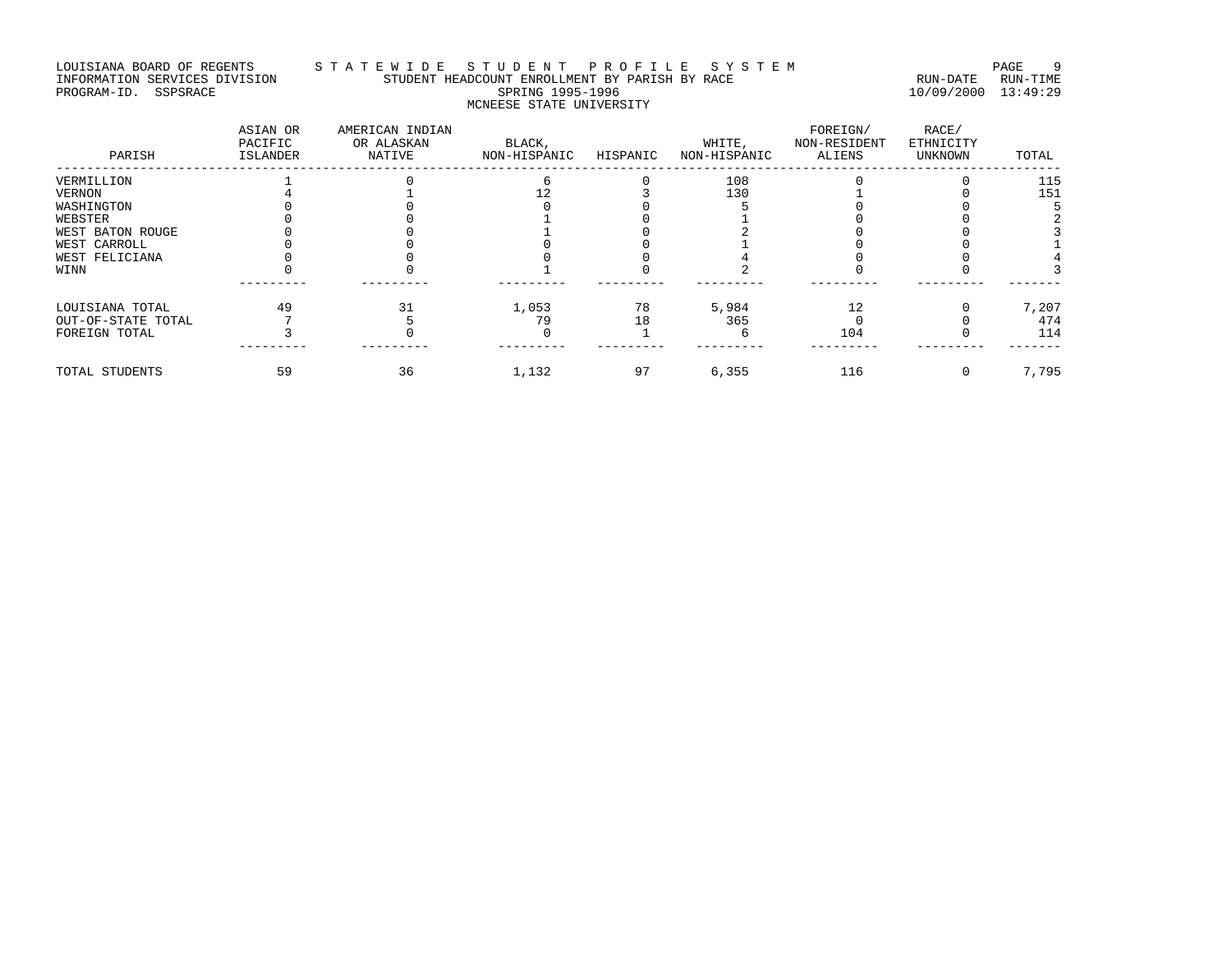# LOUISIANA BOARD OF REGENTS STATEWIDE STUDENT ENROLLMENT BY PARISH BY STE MANUSIANA BOARD OF REGENTS STATE WIDE<br>INFORMATION SERVICES DIVISION STUDENT HEADCOUNT ENROLLMENT BY PARISH BY RACE INFORMATION SERVICES DIVISION STUDENT HEADCOUNT ENROLLMENT BY PARISH BY RACE RUN-DATE RUN-TIME PROGRAM-ID. SSPSRACE SPRING 1995-1996 10/09/2000 13:49:29 MCNEESE STATE UNIVERSITY

| PARISH             | ASIAN OR<br>PACIFIC<br>ISLANDER | AMERICAN INDIAN<br>OR ALASKAN<br>NATIVE | BLACK,<br>NON-HISPANIC | HISPANIC | WHITE,<br>NON-HISPANIC | FOREIGN/<br>NON-RESIDENT<br>ALIENS | RACE/<br>ETHNICITY<br>UNKNOWN | TOTAL |
|--------------------|---------------------------------|-----------------------------------------|------------------------|----------|------------------------|------------------------------------|-------------------------------|-------|
| VERMILLION         |                                 |                                         |                        |          | 108                    |                                    |                               | 115   |
| VERNON             |                                 |                                         |                        |          | 130                    |                                    |                               | 151   |
| WASHINGTON         |                                 |                                         |                        |          |                        |                                    |                               |       |
| WEBSTER            |                                 |                                         |                        |          |                        |                                    |                               |       |
| WEST BATON ROUGE   |                                 |                                         |                        |          |                        |                                    |                               |       |
| WEST CARROLL       |                                 |                                         |                        |          |                        |                                    |                               |       |
| WEST FELICIANA     |                                 |                                         |                        |          |                        |                                    |                               |       |
| WINN               |                                 |                                         |                        |          |                        |                                    |                               |       |
| LOUISIANA TOTAL    | 49                              | 31                                      | 1,053                  | 78       | 5,984                  | 12                                 |                               | 7,207 |
| OUT-OF-STATE TOTAL |                                 |                                         | 79                     | 18       | 365                    |                                    |                               | 474   |
| FOREIGN TOTAL      |                                 |                                         |                        |          |                        | 104                                |                               | 114   |
| TOTAL STUDENTS     | 59                              | 36                                      | 1,132                  | 97       | 6,355                  | 116                                |                               | 7,795 |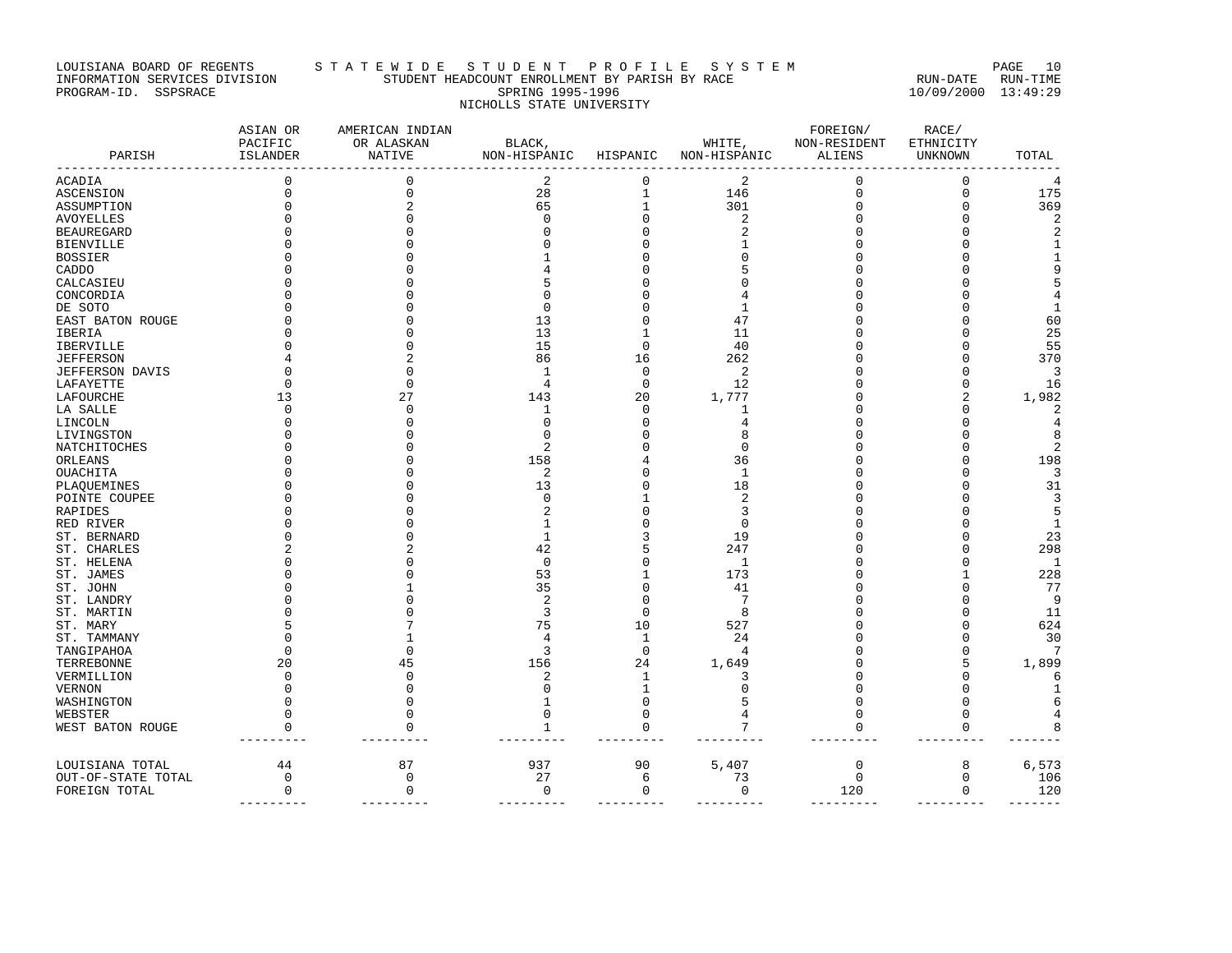# LOUISIANA BOARD OF REGENTS STA TE WIDE STUDENT PROFILE SYSTEM NAGE 10 INFORMATION SERVICES DIVISION STUDENT HEADCOUNT ENROLLMENT BY PARISH BY RACE RUN-DATE RUN-TIME PROGRAM-ID. SSPSRACE SPRING 1995-1996 10/09/2000 13:49:29 NICHOLLS STATE UNIVERSITY

| PARISH             | ASIAN OR<br>PACIFIC<br>ISLANDER | AMERICAN INDIAN<br>OR ALASKAN<br>NATIVE | BLACK,<br>NON-HISPANIC | HISPANIC     | WHITE,<br>NON-HISPANIC | FOREIGN/<br>NON-RESIDENT<br>ALIENS | RACE/<br>ETHNICITY<br>UNKNOWN | TOTAL          |
|--------------------|---------------------------------|-----------------------------------------|------------------------|--------------|------------------------|------------------------------------|-------------------------------|----------------|
| ACADIA             | 0                               | 0                                       | $\overline{2}$         | $\mathbf 0$  | 2                      | $\mathbf 0$                        | $\mathbf{0}$                  | 4              |
| ASCENSION          | $\Omega$                        | $\Omega$                                | 28                     | $\mathbf{1}$ | 146                    | $\mathbf 0$                        | $\Omega$                      | 175            |
| ASSUMPTION         | $\Omega$                        | $\overline{a}$                          | 65                     | 1            | 301                    | $\Omega$                           | $\Omega$                      | 369            |
| AVOYELLES          |                                 |                                         |                        | $\Omega$     |                        |                                    |                               | 2              |
| BEAUREGARD         |                                 |                                         |                        | O            |                        |                                    |                               |                |
| BIENVILLE          |                                 |                                         |                        |              |                        |                                    |                               |                |
| BOSSIER            |                                 |                                         |                        |              |                        |                                    |                               |                |
| CADDO              |                                 |                                         |                        |              |                        |                                    |                               |                |
| CALCASIEU          |                                 |                                         |                        |              |                        |                                    |                               |                |
| CONCORDIA          |                                 |                                         |                        |              |                        |                                    |                               |                |
| DE SOTO            |                                 |                                         |                        |              |                        |                                    |                               |                |
| EAST BATON ROUGE   |                                 |                                         | 13                     | C            | 47                     |                                    |                               | 60             |
| IBERIA             |                                 | Ω                                       | 13                     | 1            | 11                     |                                    |                               | 25             |
| IBERVILLE          |                                 |                                         | 15                     | 0            | 40                     |                                    |                               | 55             |
| JEFFERSON          |                                 |                                         | 86                     | 16           | 262                    |                                    |                               | 370            |
| JEFFERSON DAVIS    |                                 |                                         | $\mathbf{1}$           | 0            | 2                      |                                    |                               | 3              |
| LAFAYETTE          | O                               | $\Omega$                                | 4                      | $\mathbf 0$  | 12                     |                                    | <sup>0</sup>                  | 16             |
| LAFOURCHE          | 13                              | 27                                      | 143                    | 20           | 1,777                  |                                    |                               | 1,982          |
| LA SALLE           | O                               | O                                       | 1                      | 0            |                        |                                    | O                             |                |
| LINCOLN            | O                               | O                                       | $\Omega$               | $\Omega$     |                        |                                    |                               |                |
| LIVINGSTON         |                                 |                                         | $\Omega$               |              |                        |                                    |                               | 8              |
| NATCHITOCHES       |                                 |                                         | $\mathcal{L}$          |              | n                      |                                    |                               | 2              |
| ORLEANS            |                                 |                                         | 158                    |              | 36                     |                                    |                               | 198            |
| OUACHITA           |                                 |                                         | $\overline{2}$         |              | $\mathbf{1}$           |                                    |                               | 3              |
| PLAQUEMINES        |                                 |                                         | 13                     |              | 18                     |                                    |                               | 31             |
| POINTE COUPEE      |                                 |                                         | $\Omega$               |              |                        |                                    |                               | 3              |
| RAPIDES            |                                 |                                         | $\mathcal{D}$          |              |                        |                                    |                               | 5              |
| RED RIVER          |                                 |                                         | $\mathbf{1}$           |              | $\Omega$               |                                    |                               | 1              |
| ST. BERNARD        |                                 |                                         | $\mathbf{1}$           |              | 19                     |                                    |                               | 23             |
| ST. CHARLES        |                                 |                                         | 42                     |              | 247                    |                                    |                               | 298            |
| ST. HELENA         |                                 |                                         | $\Omega$               | O            | -1                     |                                    |                               | 1              |
| ST. JAMES          |                                 |                                         | 53                     | 1            | 173                    |                                    |                               | 228            |
| ST. JOHN           |                                 |                                         | 35                     | $\Omega$     | 41                     |                                    | U                             | 77             |
| ST. LANDRY         |                                 |                                         | $\overline{2}$         | $\Omega$     | 7                      |                                    |                               | 9              |
| ST. MARTIN         |                                 |                                         | 3                      | $\Omega$     | 8                      |                                    |                               | 11             |
| ST. MARY           |                                 |                                         | 75                     | 10           | 527                    |                                    |                               | 624            |
| ST. TAMMANY        |                                 |                                         | 4                      | 1            | 24                     |                                    |                               | 30             |
| TANGIPAHOA         | O                               | $\mathbf 0$                             | 3                      | $\mathbf 0$  | 4                      |                                    | 0                             | 7              |
| TERREBONNE         | 20                              | 45                                      | 156                    | 24           | 1,649                  |                                    |                               | 1,899          |
| VERMILLION         | O                               | O                                       |                        | 1            |                        |                                    |                               |                |
| VERNON             |                                 |                                         |                        | 1            |                        |                                    |                               |                |
| WASHINGTON         |                                 |                                         |                        | 0            |                        |                                    | <sup>0</sup>                  |                |
| WEBSTER            | 0                               | 0                                       | $\mathbf 0$            | $\mathbf 0$  |                        | $\Omega$                           | $\mathbf 0$                   |                |
| WEST BATON ROUGE   | 0                               | $\Omega$                                | $\mathbf{1}$           | $\mathbf 0$  | 7                      | $\mathbf{0}$                       | $\mathbf 0$                   | 8              |
| LOUISIANA TOTAL    | 44                              | 87                                      | 937                    | 90           | 5,407                  | $\mathbf 0$                        | 8                             | 6,573          |
| OUT-OF-STATE TOTAL | 0                               | 0                                       | 27                     | 6            | 73                     | $\mathbf 0$                        | 0                             | 106            |
| FOREIGN TOTAL      | $\mathbf 0$                     | $\mathbf 0$                             | $\mathbf 0$            | $\mathbf 0$  | $\mathbf 0$            | 120                                | $\mathbf 0$                   | 120<br>------- |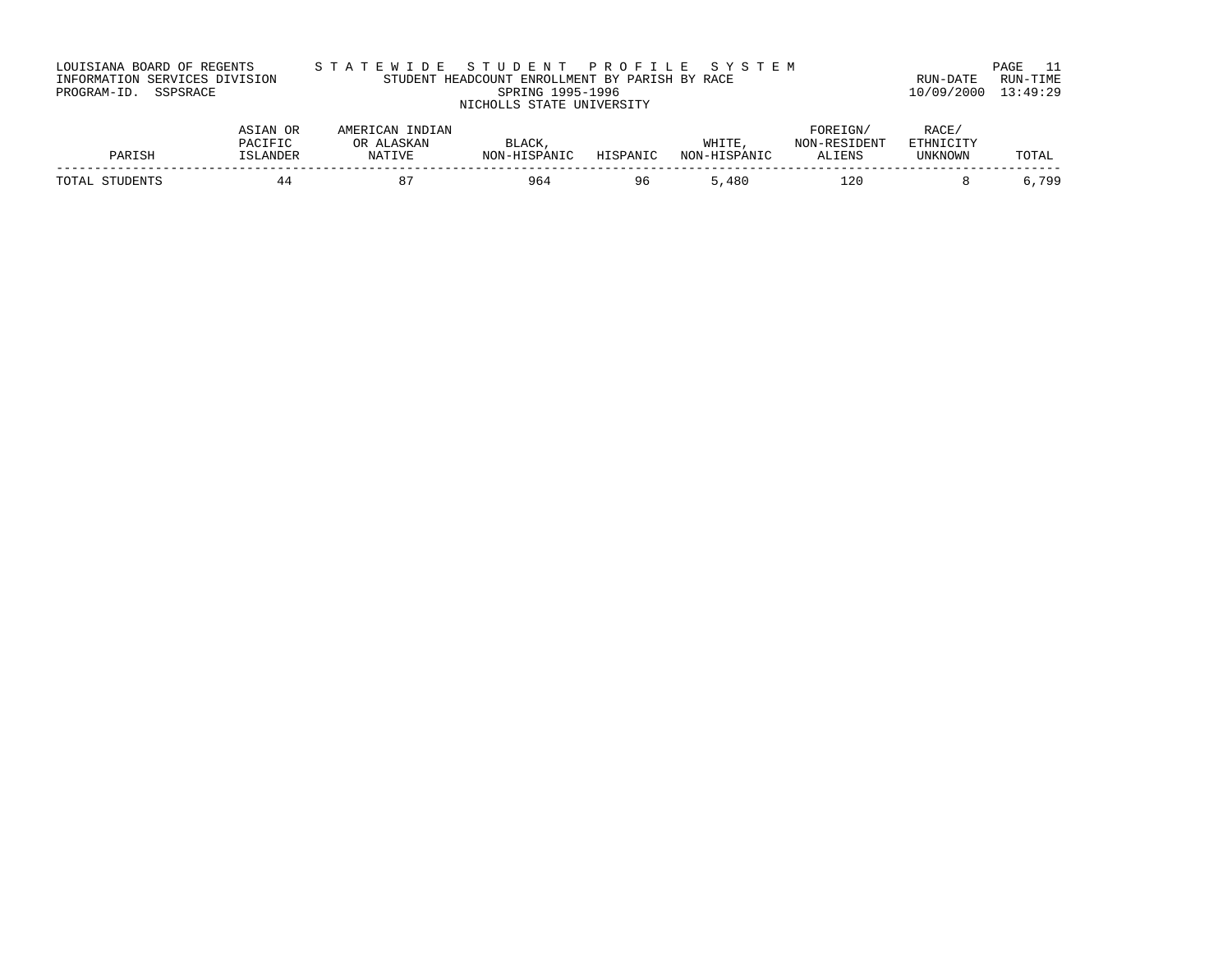| LOUISIANA BOARD OF REGENTS    | STATEWIDE STUDENT PROFILE SYSTEM               |                     | PAGE 11  |
|-------------------------------|------------------------------------------------|---------------------|----------|
| INFORMATION SERVICES DIVISION | STUDENT HEADCOUNT ENROLLMENT BY PARISH BY RACE | RUN-DATE            | RUN-TIME |
| PROGRAM-ID. SSPSRACE          | SPRING 1995-1996                               | 10/09/2000 13:49:29 |          |
|                               | NICHOLLS STATE UNIVERSITY                      |                     |          |

| TETC<br>PAC <sup>-</sup> | 'NTD |              |          | <b>T TTT.</b> |             |         |          |
|--------------------------|------|--------------|----------|---------------|-------------|---------|----------|
|                          |      | <b>CDANT</b> | UTCDANTO | <b>ATON</b>   | <b>IENS</b> | UNKNOWN | ⊥ר⊿      |
|                          | 87   | 964          | ۹۶       | 4 ປ ປ         | 20          |         | 799<br>. |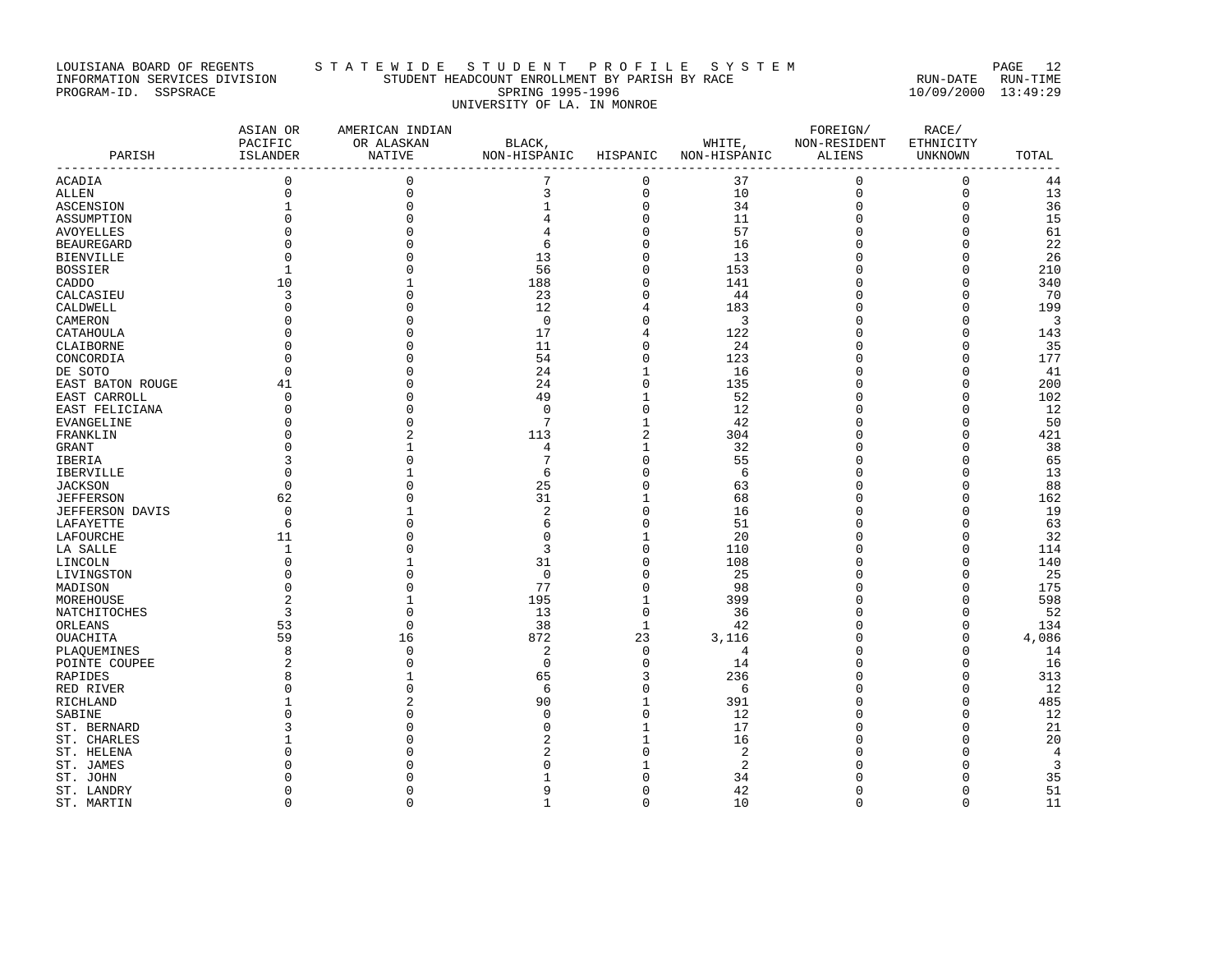# LOUISIANA BOARD OF REGENTS STA TE WIDE STUDENT PROFILE SYSTEM PAGE 12 INFORMATION SERVICES DIVISION STUDENT HEADCOUNT ENROLLMENT BY PARISH BY RACE RUN-DATE RUN-TIME PROGRAM-ID. SSPSRACE SPRING 1995-1996 10/09/2000 13:49:29 UNIVERSITY OF LA. IN MONROE

| $\mathbf 0$<br>$\mathbf 0$<br>$\mathbf 0$<br>$\mathbf 0$<br>7<br>$\mathbf 0$<br>37<br>44<br>ACADIA<br>$\mathbf 0$<br>$\mathbf 0$<br>3<br>$\mathbf 0$<br>10<br>$\mathbf 0$<br>$\mathbf 0$<br>13<br>ALLEN<br>$\mathbf 0$<br>$\mathsf 0$<br>34<br>36<br>$\mathbf{1}$<br>$\mathbf 0$<br><b>ASCENSION</b><br>1<br>$\mathbf 0$<br>$\Omega$<br>$\Omega$<br>$\mathbf 0$<br>11<br>15<br>4<br>$\Omega$<br>$\mathbf 0$<br>ASSUMPTION<br>57<br>61<br>$\Omega$<br>0<br>$\Omega$<br>AVOYELLES<br>4<br>$\Omega$<br>22<br>$\mathbf 0$<br>16<br><b>BEAUREGARD</b><br>$\Omega$<br>6<br>$\Omega$<br>$\Omega$<br>$\mathsf 0$<br>13<br>13<br>26<br>$\Omega$<br>$\Omega$<br>$\Omega$<br>$\mathbf 0$<br>BIENVILLE<br>56<br>$\mathbf 0$<br>153<br>210<br>$\Omega$<br>$\Omega$<br><b>BOSSIER</b><br>O<br>10<br>188<br>$\mathbf 0$<br>141<br>340<br>CADDO<br>$\Omega$<br>O<br>23<br>$\mathbf 0$<br>44<br>70<br>CALCASIEU<br>3<br>O<br>$\Omega$<br>0<br>12<br>$\overline{4}$<br>183<br>199<br>CALDWELL<br>$\Omega$<br>$\cap$<br>$\Omega$<br>O<br>$\mathsf 0$<br>$\Omega$<br>3<br>3<br>$\Omega$<br>CAMERON<br>O<br>17<br>143<br>4<br>122<br>$\Omega$<br>0<br>CATAHOULA<br>11<br>$\Omega$<br>24<br>35<br>CLAIBORNE<br>$\Omega$<br>$\Omega$<br>54<br>$\mathbf 0$<br>123<br>177<br>CONCORDIA<br>$\Omega$<br>$\Omega$<br>$\mathbf 0$<br>O<br>24<br>$\mathbf{1}$<br>41<br>$\Omega$<br>16<br>$\Omega$<br>DE SOTO<br>0<br>200<br>41<br>24<br>$\mathbf 0$<br>135<br>EAST BATON ROUGE<br>Ω<br>O<br>49<br>52<br>102<br>$\Omega$<br>1<br>EAST CARROLL<br><sup>0</sup><br>O<br>$\mathbf 0$<br>12<br>12<br>EAST FELICIANA<br>$\Omega$<br>$\Omega$<br>∩<br><sup>0</sup><br>$\Omega$<br>$\mathbf{1}$<br>42<br>50<br>7<br>EVANGELINE<br>$\Omega$<br>$\Omega$<br>$\Omega$<br>O<br>$\overline{2}$<br>$\overline{2}$<br>113<br>304<br>421<br>$\Omega$<br>$\Omega$<br>O<br>FRANKLIN<br>38<br>32<br>GRANT<br>∩<br>4<br>1<br>∩<br>U<br>3<br>7<br>$\Omega$<br>55<br>65<br>IBERIA<br>$\Omega$<br>$\Omega$<br>$\Omega$<br>$\mathbf 0$<br>13<br>$\Omega$<br>6<br>IBERVILLE<br>6<br>$\Omega$<br>0<br>25<br>$\Omega$<br>88<br>$\Omega$<br>63<br>JACKSON<br>O<br>Ω<br>O<br>62<br>31<br>68<br>162<br><b>JEFFERSON</b><br>1<br>$\Omega$<br>O<br>∩<br>$\overline{a}$<br>$\Omega$<br>19<br>JEFFERSON DAVIS<br>0<br>16<br>$\Omega$<br>n<br>$\mathbf 0$<br>63<br>51<br>LAFAYETTE<br>6<br>$\Omega$<br>Ω<br>O<br>6<br>32<br>11<br>$\mathbf{1}$<br>20<br>$\cap$<br>$\Omega$<br>O<br>LAFOURCHE<br>3<br>0<br>110<br>114<br>LA SALLE<br>1<br>Ω<br>O<br>31<br>108<br>140<br>$\Omega$<br>LINCOLN<br>$\Omega$<br>O<br>$\mathbf 0$<br>$\Omega$<br>25<br>25<br>LIVINGSTON<br>$\Omega$<br>$\Omega$<br>$\Omega$<br>0<br>77<br>$\mathbf 0$<br>98<br>175<br>$\Omega$<br>$\Omega$<br>MADISON<br>O<br>195<br>598<br>$\overline{2}$<br>$\mathbf{1}$<br>399<br>$\Omega$<br>MOREHOUSE<br>$\Omega$<br>$\mathbf 0$<br>52<br>3<br>13<br>36<br>$\Omega$<br>NATCHITOCHES<br>O<br>$\Omega$<br>38<br>$\mathbf{1}$<br>42<br>134<br>ORLEANS<br>53<br>$\Omega$<br>$\Omega$<br>$\Omega$<br>59<br>872<br>4,086<br>16<br>23<br>3,116<br>OUACHITA<br>$\Omega$<br>$\Omega$<br>8<br>$\overline{a}$<br>$\mathbf 0$<br>$\overline{4}$<br>14<br>PLAQUEMINES<br>$\mathbf 0$<br>$\Omega$<br>$\Omega$<br>16<br>2<br>0<br>14<br>POINTE COUPEE<br>∩<br>$\Omega$<br>n<br>$\Omega$<br>236<br>313<br>65<br>3<br>RAPIDES<br>8<br>1<br>$\Omega$<br>$\Omega$<br>$\mathbf 0$<br>12<br>$\Omega$<br>$\Omega$<br>6<br>RED RIVER<br>6<br>$\Omega$<br>0<br>$\mathbf 1$<br>391<br>485<br>$\mathfrak{D}$<br>90<br>RICHLAND<br><sup>0</sup><br>O<br>$\mathbf 0$<br>12<br>SABINE<br>12<br>$\cap$<br>O<br>∩<br>ST. BERNARD<br>$\mathbf{1}$<br>17<br>21<br>3<br>0<br>$\mathbf{1}$<br>20<br>16<br>ST. CHARLES<br>Ω<br>O<br>$\Omega$<br>2<br>ST. HELENA<br>4<br>3<br>2<br>ST. JAMES<br>1<br>O<br>35<br>$\Omega$<br>34<br>ST. JOHN<br>O<br>51<br>42<br>ST. LANDRY<br>$\Omega$<br>$\mathbf 0$<br><sup>0</sup><br>O<br>$\Omega$ | PARISH | ASIAN OR<br>PACIFIC<br>ISLANDER | AMERICAN INDIAN<br>OR ALASKAN<br>NATIVE | BLACK,<br>NON-HISPANIC HISPANIC | WHITE,<br>NON-HISPANIC | FOREIGN/<br>NON-RESIDENT<br>ALIENS | RACE/<br>ETHNICITY<br>UNKNOWN | TOTAL |
|-----------------------------------------------------------------------------------------------------------------------------------------------------------------------------------------------------------------------------------------------------------------------------------------------------------------------------------------------------------------------------------------------------------------------------------------------------------------------------------------------------------------------------------------------------------------------------------------------------------------------------------------------------------------------------------------------------------------------------------------------------------------------------------------------------------------------------------------------------------------------------------------------------------------------------------------------------------------------------------------------------------------------------------------------------------------------------------------------------------------------------------------------------------------------------------------------------------------------------------------------------------------------------------------------------------------------------------------------------------------------------------------------------------------------------------------------------------------------------------------------------------------------------------------------------------------------------------------------------------------------------------------------------------------------------------------------------------------------------------------------------------------------------------------------------------------------------------------------------------------------------------------------------------------------------------------------------------------------------------------------------------------------------------------------------------------------------------------------------------------------------------------------------------------------------------------------------------------------------------------------------------------------------------------------------------------------------------------------------------------------------------------------------------------------------------------------------------------------------------------------------------------------------------------------------------------------------------------------------------------------------------------------------------------------------------------------------------------------------------------------------------------------------------------------------------------------------------------------------------------------------------------------------------------------------------------------------------------------------------------------------------------------------------------------------------------------------------------------------------------------------------------------------------------------------------------------------------------------------------------------------------------------------------------------------------------------------------------------------------------------------------------------------------------------------------------------------------------------------------------------------------------------------------------------------------------------------------------------------------------------------------------------------------------------------------------------------------------------------------------------------------------------------------------------------------------------------------------------------------------------------------------------|--------|---------------------------------|-----------------------------------------|---------------------------------|------------------------|------------------------------------|-------------------------------|-------|
|                                                                                                                                                                                                                                                                                                                                                                                                                                                                                                                                                                                                                                                                                                                                                                                                                                                                                                                                                                                                                                                                                                                                                                                                                                                                                                                                                                                                                                                                                                                                                                                                                                                                                                                                                                                                                                                                                                                                                                                                                                                                                                                                                                                                                                                                                                                                                                                                                                                                                                                                                                                                                                                                                                                                                                                                                                                                                                                                                                                                                                                                                                                                                                                                                                                                                                                                                                                                                                                                                                                                                                                                                                                                                                                                                                                                                                                                                               |        |                                 |                                         |                                 |                        |                                    |                               |       |
|                                                                                                                                                                                                                                                                                                                                                                                                                                                                                                                                                                                                                                                                                                                                                                                                                                                                                                                                                                                                                                                                                                                                                                                                                                                                                                                                                                                                                                                                                                                                                                                                                                                                                                                                                                                                                                                                                                                                                                                                                                                                                                                                                                                                                                                                                                                                                                                                                                                                                                                                                                                                                                                                                                                                                                                                                                                                                                                                                                                                                                                                                                                                                                                                                                                                                                                                                                                                                                                                                                                                                                                                                                                                                                                                                                                                                                                                                               |        |                                 |                                         |                                 |                        |                                    |                               |       |
|                                                                                                                                                                                                                                                                                                                                                                                                                                                                                                                                                                                                                                                                                                                                                                                                                                                                                                                                                                                                                                                                                                                                                                                                                                                                                                                                                                                                                                                                                                                                                                                                                                                                                                                                                                                                                                                                                                                                                                                                                                                                                                                                                                                                                                                                                                                                                                                                                                                                                                                                                                                                                                                                                                                                                                                                                                                                                                                                                                                                                                                                                                                                                                                                                                                                                                                                                                                                                                                                                                                                                                                                                                                                                                                                                                                                                                                                                               |        |                                 |                                         |                                 |                        |                                    |                               |       |
|                                                                                                                                                                                                                                                                                                                                                                                                                                                                                                                                                                                                                                                                                                                                                                                                                                                                                                                                                                                                                                                                                                                                                                                                                                                                                                                                                                                                                                                                                                                                                                                                                                                                                                                                                                                                                                                                                                                                                                                                                                                                                                                                                                                                                                                                                                                                                                                                                                                                                                                                                                                                                                                                                                                                                                                                                                                                                                                                                                                                                                                                                                                                                                                                                                                                                                                                                                                                                                                                                                                                                                                                                                                                                                                                                                                                                                                                                               |        |                                 |                                         |                                 |                        |                                    |                               |       |
|                                                                                                                                                                                                                                                                                                                                                                                                                                                                                                                                                                                                                                                                                                                                                                                                                                                                                                                                                                                                                                                                                                                                                                                                                                                                                                                                                                                                                                                                                                                                                                                                                                                                                                                                                                                                                                                                                                                                                                                                                                                                                                                                                                                                                                                                                                                                                                                                                                                                                                                                                                                                                                                                                                                                                                                                                                                                                                                                                                                                                                                                                                                                                                                                                                                                                                                                                                                                                                                                                                                                                                                                                                                                                                                                                                                                                                                                                               |        |                                 |                                         |                                 |                        |                                    |                               |       |
|                                                                                                                                                                                                                                                                                                                                                                                                                                                                                                                                                                                                                                                                                                                                                                                                                                                                                                                                                                                                                                                                                                                                                                                                                                                                                                                                                                                                                                                                                                                                                                                                                                                                                                                                                                                                                                                                                                                                                                                                                                                                                                                                                                                                                                                                                                                                                                                                                                                                                                                                                                                                                                                                                                                                                                                                                                                                                                                                                                                                                                                                                                                                                                                                                                                                                                                                                                                                                                                                                                                                                                                                                                                                                                                                                                                                                                                                                               |        |                                 |                                         |                                 |                        |                                    |                               |       |
|                                                                                                                                                                                                                                                                                                                                                                                                                                                                                                                                                                                                                                                                                                                                                                                                                                                                                                                                                                                                                                                                                                                                                                                                                                                                                                                                                                                                                                                                                                                                                                                                                                                                                                                                                                                                                                                                                                                                                                                                                                                                                                                                                                                                                                                                                                                                                                                                                                                                                                                                                                                                                                                                                                                                                                                                                                                                                                                                                                                                                                                                                                                                                                                                                                                                                                                                                                                                                                                                                                                                                                                                                                                                                                                                                                                                                                                                                               |        |                                 |                                         |                                 |                        |                                    |                               |       |
|                                                                                                                                                                                                                                                                                                                                                                                                                                                                                                                                                                                                                                                                                                                                                                                                                                                                                                                                                                                                                                                                                                                                                                                                                                                                                                                                                                                                                                                                                                                                                                                                                                                                                                                                                                                                                                                                                                                                                                                                                                                                                                                                                                                                                                                                                                                                                                                                                                                                                                                                                                                                                                                                                                                                                                                                                                                                                                                                                                                                                                                                                                                                                                                                                                                                                                                                                                                                                                                                                                                                                                                                                                                                                                                                                                                                                                                                                               |        |                                 |                                         |                                 |                        |                                    |                               |       |
|                                                                                                                                                                                                                                                                                                                                                                                                                                                                                                                                                                                                                                                                                                                                                                                                                                                                                                                                                                                                                                                                                                                                                                                                                                                                                                                                                                                                                                                                                                                                                                                                                                                                                                                                                                                                                                                                                                                                                                                                                                                                                                                                                                                                                                                                                                                                                                                                                                                                                                                                                                                                                                                                                                                                                                                                                                                                                                                                                                                                                                                                                                                                                                                                                                                                                                                                                                                                                                                                                                                                                                                                                                                                                                                                                                                                                                                                                               |        |                                 |                                         |                                 |                        |                                    |                               |       |
|                                                                                                                                                                                                                                                                                                                                                                                                                                                                                                                                                                                                                                                                                                                                                                                                                                                                                                                                                                                                                                                                                                                                                                                                                                                                                                                                                                                                                                                                                                                                                                                                                                                                                                                                                                                                                                                                                                                                                                                                                                                                                                                                                                                                                                                                                                                                                                                                                                                                                                                                                                                                                                                                                                                                                                                                                                                                                                                                                                                                                                                                                                                                                                                                                                                                                                                                                                                                                                                                                                                                                                                                                                                                                                                                                                                                                                                                                               |        |                                 |                                         |                                 |                        |                                    |                               |       |
|                                                                                                                                                                                                                                                                                                                                                                                                                                                                                                                                                                                                                                                                                                                                                                                                                                                                                                                                                                                                                                                                                                                                                                                                                                                                                                                                                                                                                                                                                                                                                                                                                                                                                                                                                                                                                                                                                                                                                                                                                                                                                                                                                                                                                                                                                                                                                                                                                                                                                                                                                                                                                                                                                                                                                                                                                                                                                                                                                                                                                                                                                                                                                                                                                                                                                                                                                                                                                                                                                                                                                                                                                                                                                                                                                                                                                                                                                               |        |                                 |                                         |                                 |                        |                                    |                               |       |
|                                                                                                                                                                                                                                                                                                                                                                                                                                                                                                                                                                                                                                                                                                                                                                                                                                                                                                                                                                                                                                                                                                                                                                                                                                                                                                                                                                                                                                                                                                                                                                                                                                                                                                                                                                                                                                                                                                                                                                                                                                                                                                                                                                                                                                                                                                                                                                                                                                                                                                                                                                                                                                                                                                                                                                                                                                                                                                                                                                                                                                                                                                                                                                                                                                                                                                                                                                                                                                                                                                                                                                                                                                                                                                                                                                                                                                                                                               |        |                                 |                                         |                                 |                        |                                    |                               |       |
|                                                                                                                                                                                                                                                                                                                                                                                                                                                                                                                                                                                                                                                                                                                                                                                                                                                                                                                                                                                                                                                                                                                                                                                                                                                                                                                                                                                                                                                                                                                                                                                                                                                                                                                                                                                                                                                                                                                                                                                                                                                                                                                                                                                                                                                                                                                                                                                                                                                                                                                                                                                                                                                                                                                                                                                                                                                                                                                                                                                                                                                                                                                                                                                                                                                                                                                                                                                                                                                                                                                                                                                                                                                                                                                                                                                                                                                                                               |        |                                 |                                         |                                 |                        |                                    |                               |       |
|                                                                                                                                                                                                                                                                                                                                                                                                                                                                                                                                                                                                                                                                                                                                                                                                                                                                                                                                                                                                                                                                                                                                                                                                                                                                                                                                                                                                                                                                                                                                                                                                                                                                                                                                                                                                                                                                                                                                                                                                                                                                                                                                                                                                                                                                                                                                                                                                                                                                                                                                                                                                                                                                                                                                                                                                                                                                                                                                                                                                                                                                                                                                                                                                                                                                                                                                                                                                                                                                                                                                                                                                                                                                                                                                                                                                                                                                                               |        |                                 |                                         |                                 |                        |                                    |                               |       |
|                                                                                                                                                                                                                                                                                                                                                                                                                                                                                                                                                                                                                                                                                                                                                                                                                                                                                                                                                                                                                                                                                                                                                                                                                                                                                                                                                                                                                                                                                                                                                                                                                                                                                                                                                                                                                                                                                                                                                                                                                                                                                                                                                                                                                                                                                                                                                                                                                                                                                                                                                                                                                                                                                                                                                                                                                                                                                                                                                                                                                                                                                                                                                                                                                                                                                                                                                                                                                                                                                                                                                                                                                                                                                                                                                                                                                                                                                               |        |                                 |                                         |                                 |                        |                                    |                               |       |
|                                                                                                                                                                                                                                                                                                                                                                                                                                                                                                                                                                                                                                                                                                                                                                                                                                                                                                                                                                                                                                                                                                                                                                                                                                                                                                                                                                                                                                                                                                                                                                                                                                                                                                                                                                                                                                                                                                                                                                                                                                                                                                                                                                                                                                                                                                                                                                                                                                                                                                                                                                                                                                                                                                                                                                                                                                                                                                                                                                                                                                                                                                                                                                                                                                                                                                                                                                                                                                                                                                                                                                                                                                                                                                                                                                                                                                                                                               |        |                                 |                                         |                                 |                        |                                    |                               |       |
|                                                                                                                                                                                                                                                                                                                                                                                                                                                                                                                                                                                                                                                                                                                                                                                                                                                                                                                                                                                                                                                                                                                                                                                                                                                                                                                                                                                                                                                                                                                                                                                                                                                                                                                                                                                                                                                                                                                                                                                                                                                                                                                                                                                                                                                                                                                                                                                                                                                                                                                                                                                                                                                                                                                                                                                                                                                                                                                                                                                                                                                                                                                                                                                                                                                                                                                                                                                                                                                                                                                                                                                                                                                                                                                                                                                                                                                                                               |        |                                 |                                         |                                 |                        |                                    |                               |       |
|                                                                                                                                                                                                                                                                                                                                                                                                                                                                                                                                                                                                                                                                                                                                                                                                                                                                                                                                                                                                                                                                                                                                                                                                                                                                                                                                                                                                                                                                                                                                                                                                                                                                                                                                                                                                                                                                                                                                                                                                                                                                                                                                                                                                                                                                                                                                                                                                                                                                                                                                                                                                                                                                                                                                                                                                                                                                                                                                                                                                                                                                                                                                                                                                                                                                                                                                                                                                                                                                                                                                                                                                                                                                                                                                                                                                                                                                                               |        |                                 |                                         |                                 |                        |                                    |                               |       |
|                                                                                                                                                                                                                                                                                                                                                                                                                                                                                                                                                                                                                                                                                                                                                                                                                                                                                                                                                                                                                                                                                                                                                                                                                                                                                                                                                                                                                                                                                                                                                                                                                                                                                                                                                                                                                                                                                                                                                                                                                                                                                                                                                                                                                                                                                                                                                                                                                                                                                                                                                                                                                                                                                                                                                                                                                                                                                                                                                                                                                                                                                                                                                                                                                                                                                                                                                                                                                                                                                                                                                                                                                                                                                                                                                                                                                                                                                               |        |                                 |                                         |                                 |                        |                                    |                               |       |
|                                                                                                                                                                                                                                                                                                                                                                                                                                                                                                                                                                                                                                                                                                                                                                                                                                                                                                                                                                                                                                                                                                                                                                                                                                                                                                                                                                                                                                                                                                                                                                                                                                                                                                                                                                                                                                                                                                                                                                                                                                                                                                                                                                                                                                                                                                                                                                                                                                                                                                                                                                                                                                                                                                                                                                                                                                                                                                                                                                                                                                                                                                                                                                                                                                                                                                                                                                                                                                                                                                                                                                                                                                                                                                                                                                                                                                                                                               |        |                                 |                                         |                                 |                        |                                    |                               |       |
|                                                                                                                                                                                                                                                                                                                                                                                                                                                                                                                                                                                                                                                                                                                                                                                                                                                                                                                                                                                                                                                                                                                                                                                                                                                                                                                                                                                                                                                                                                                                                                                                                                                                                                                                                                                                                                                                                                                                                                                                                                                                                                                                                                                                                                                                                                                                                                                                                                                                                                                                                                                                                                                                                                                                                                                                                                                                                                                                                                                                                                                                                                                                                                                                                                                                                                                                                                                                                                                                                                                                                                                                                                                                                                                                                                                                                                                                                               |        |                                 |                                         |                                 |                        |                                    |                               |       |
|                                                                                                                                                                                                                                                                                                                                                                                                                                                                                                                                                                                                                                                                                                                                                                                                                                                                                                                                                                                                                                                                                                                                                                                                                                                                                                                                                                                                                                                                                                                                                                                                                                                                                                                                                                                                                                                                                                                                                                                                                                                                                                                                                                                                                                                                                                                                                                                                                                                                                                                                                                                                                                                                                                                                                                                                                                                                                                                                                                                                                                                                                                                                                                                                                                                                                                                                                                                                                                                                                                                                                                                                                                                                                                                                                                                                                                                                                               |        |                                 |                                         |                                 |                        |                                    |                               |       |
|                                                                                                                                                                                                                                                                                                                                                                                                                                                                                                                                                                                                                                                                                                                                                                                                                                                                                                                                                                                                                                                                                                                                                                                                                                                                                                                                                                                                                                                                                                                                                                                                                                                                                                                                                                                                                                                                                                                                                                                                                                                                                                                                                                                                                                                                                                                                                                                                                                                                                                                                                                                                                                                                                                                                                                                                                                                                                                                                                                                                                                                                                                                                                                                                                                                                                                                                                                                                                                                                                                                                                                                                                                                                                                                                                                                                                                                                                               |        |                                 |                                         |                                 |                        |                                    |                               |       |
|                                                                                                                                                                                                                                                                                                                                                                                                                                                                                                                                                                                                                                                                                                                                                                                                                                                                                                                                                                                                                                                                                                                                                                                                                                                                                                                                                                                                                                                                                                                                                                                                                                                                                                                                                                                                                                                                                                                                                                                                                                                                                                                                                                                                                                                                                                                                                                                                                                                                                                                                                                                                                                                                                                                                                                                                                                                                                                                                                                                                                                                                                                                                                                                                                                                                                                                                                                                                                                                                                                                                                                                                                                                                                                                                                                                                                                                                                               |        |                                 |                                         |                                 |                        |                                    |                               |       |
|                                                                                                                                                                                                                                                                                                                                                                                                                                                                                                                                                                                                                                                                                                                                                                                                                                                                                                                                                                                                                                                                                                                                                                                                                                                                                                                                                                                                                                                                                                                                                                                                                                                                                                                                                                                                                                                                                                                                                                                                                                                                                                                                                                                                                                                                                                                                                                                                                                                                                                                                                                                                                                                                                                                                                                                                                                                                                                                                                                                                                                                                                                                                                                                                                                                                                                                                                                                                                                                                                                                                                                                                                                                                                                                                                                                                                                                                                               |        |                                 |                                         |                                 |                        |                                    |                               |       |
|                                                                                                                                                                                                                                                                                                                                                                                                                                                                                                                                                                                                                                                                                                                                                                                                                                                                                                                                                                                                                                                                                                                                                                                                                                                                                                                                                                                                                                                                                                                                                                                                                                                                                                                                                                                                                                                                                                                                                                                                                                                                                                                                                                                                                                                                                                                                                                                                                                                                                                                                                                                                                                                                                                                                                                                                                                                                                                                                                                                                                                                                                                                                                                                                                                                                                                                                                                                                                                                                                                                                                                                                                                                                                                                                                                                                                                                                                               |        |                                 |                                         |                                 |                        |                                    |                               |       |
|                                                                                                                                                                                                                                                                                                                                                                                                                                                                                                                                                                                                                                                                                                                                                                                                                                                                                                                                                                                                                                                                                                                                                                                                                                                                                                                                                                                                                                                                                                                                                                                                                                                                                                                                                                                                                                                                                                                                                                                                                                                                                                                                                                                                                                                                                                                                                                                                                                                                                                                                                                                                                                                                                                                                                                                                                                                                                                                                                                                                                                                                                                                                                                                                                                                                                                                                                                                                                                                                                                                                                                                                                                                                                                                                                                                                                                                                                               |        |                                 |                                         |                                 |                        |                                    |                               |       |
|                                                                                                                                                                                                                                                                                                                                                                                                                                                                                                                                                                                                                                                                                                                                                                                                                                                                                                                                                                                                                                                                                                                                                                                                                                                                                                                                                                                                                                                                                                                                                                                                                                                                                                                                                                                                                                                                                                                                                                                                                                                                                                                                                                                                                                                                                                                                                                                                                                                                                                                                                                                                                                                                                                                                                                                                                                                                                                                                                                                                                                                                                                                                                                                                                                                                                                                                                                                                                                                                                                                                                                                                                                                                                                                                                                                                                                                                                               |        |                                 |                                         |                                 |                        |                                    |                               |       |
|                                                                                                                                                                                                                                                                                                                                                                                                                                                                                                                                                                                                                                                                                                                                                                                                                                                                                                                                                                                                                                                                                                                                                                                                                                                                                                                                                                                                                                                                                                                                                                                                                                                                                                                                                                                                                                                                                                                                                                                                                                                                                                                                                                                                                                                                                                                                                                                                                                                                                                                                                                                                                                                                                                                                                                                                                                                                                                                                                                                                                                                                                                                                                                                                                                                                                                                                                                                                                                                                                                                                                                                                                                                                                                                                                                                                                                                                                               |        |                                 |                                         |                                 |                        |                                    |                               |       |
|                                                                                                                                                                                                                                                                                                                                                                                                                                                                                                                                                                                                                                                                                                                                                                                                                                                                                                                                                                                                                                                                                                                                                                                                                                                                                                                                                                                                                                                                                                                                                                                                                                                                                                                                                                                                                                                                                                                                                                                                                                                                                                                                                                                                                                                                                                                                                                                                                                                                                                                                                                                                                                                                                                                                                                                                                                                                                                                                                                                                                                                                                                                                                                                                                                                                                                                                                                                                                                                                                                                                                                                                                                                                                                                                                                                                                                                                                               |        |                                 |                                         |                                 |                        |                                    |                               |       |
|                                                                                                                                                                                                                                                                                                                                                                                                                                                                                                                                                                                                                                                                                                                                                                                                                                                                                                                                                                                                                                                                                                                                                                                                                                                                                                                                                                                                                                                                                                                                                                                                                                                                                                                                                                                                                                                                                                                                                                                                                                                                                                                                                                                                                                                                                                                                                                                                                                                                                                                                                                                                                                                                                                                                                                                                                                                                                                                                                                                                                                                                                                                                                                                                                                                                                                                                                                                                                                                                                                                                                                                                                                                                                                                                                                                                                                                                                               |        |                                 |                                         |                                 |                        |                                    |                               |       |
|                                                                                                                                                                                                                                                                                                                                                                                                                                                                                                                                                                                                                                                                                                                                                                                                                                                                                                                                                                                                                                                                                                                                                                                                                                                                                                                                                                                                                                                                                                                                                                                                                                                                                                                                                                                                                                                                                                                                                                                                                                                                                                                                                                                                                                                                                                                                                                                                                                                                                                                                                                                                                                                                                                                                                                                                                                                                                                                                                                                                                                                                                                                                                                                                                                                                                                                                                                                                                                                                                                                                                                                                                                                                                                                                                                                                                                                                                               |        |                                 |                                         |                                 |                        |                                    |                               |       |
|                                                                                                                                                                                                                                                                                                                                                                                                                                                                                                                                                                                                                                                                                                                                                                                                                                                                                                                                                                                                                                                                                                                                                                                                                                                                                                                                                                                                                                                                                                                                                                                                                                                                                                                                                                                                                                                                                                                                                                                                                                                                                                                                                                                                                                                                                                                                                                                                                                                                                                                                                                                                                                                                                                                                                                                                                                                                                                                                                                                                                                                                                                                                                                                                                                                                                                                                                                                                                                                                                                                                                                                                                                                                                                                                                                                                                                                                                               |        |                                 |                                         |                                 |                        |                                    |                               |       |
|                                                                                                                                                                                                                                                                                                                                                                                                                                                                                                                                                                                                                                                                                                                                                                                                                                                                                                                                                                                                                                                                                                                                                                                                                                                                                                                                                                                                                                                                                                                                                                                                                                                                                                                                                                                                                                                                                                                                                                                                                                                                                                                                                                                                                                                                                                                                                                                                                                                                                                                                                                                                                                                                                                                                                                                                                                                                                                                                                                                                                                                                                                                                                                                                                                                                                                                                                                                                                                                                                                                                                                                                                                                                                                                                                                                                                                                                                               |        |                                 |                                         |                                 |                        |                                    |                               |       |
|                                                                                                                                                                                                                                                                                                                                                                                                                                                                                                                                                                                                                                                                                                                                                                                                                                                                                                                                                                                                                                                                                                                                                                                                                                                                                                                                                                                                                                                                                                                                                                                                                                                                                                                                                                                                                                                                                                                                                                                                                                                                                                                                                                                                                                                                                                                                                                                                                                                                                                                                                                                                                                                                                                                                                                                                                                                                                                                                                                                                                                                                                                                                                                                                                                                                                                                                                                                                                                                                                                                                                                                                                                                                                                                                                                                                                                                                                               |        |                                 |                                         |                                 |                        |                                    |                               |       |
|                                                                                                                                                                                                                                                                                                                                                                                                                                                                                                                                                                                                                                                                                                                                                                                                                                                                                                                                                                                                                                                                                                                                                                                                                                                                                                                                                                                                                                                                                                                                                                                                                                                                                                                                                                                                                                                                                                                                                                                                                                                                                                                                                                                                                                                                                                                                                                                                                                                                                                                                                                                                                                                                                                                                                                                                                                                                                                                                                                                                                                                                                                                                                                                                                                                                                                                                                                                                                                                                                                                                                                                                                                                                                                                                                                                                                                                                                               |        |                                 |                                         |                                 |                        |                                    |                               |       |
|                                                                                                                                                                                                                                                                                                                                                                                                                                                                                                                                                                                                                                                                                                                                                                                                                                                                                                                                                                                                                                                                                                                                                                                                                                                                                                                                                                                                                                                                                                                                                                                                                                                                                                                                                                                                                                                                                                                                                                                                                                                                                                                                                                                                                                                                                                                                                                                                                                                                                                                                                                                                                                                                                                                                                                                                                                                                                                                                                                                                                                                                                                                                                                                                                                                                                                                                                                                                                                                                                                                                                                                                                                                                                                                                                                                                                                                                                               |        |                                 |                                         |                                 |                        |                                    |                               |       |
|                                                                                                                                                                                                                                                                                                                                                                                                                                                                                                                                                                                                                                                                                                                                                                                                                                                                                                                                                                                                                                                                                                                                                                                                                                                                                                                                                                                                                                                                                                                                                                                                                                                                                                                                                                                                                                                                                                                                                                                                                                                                                                                                                                                                                                                                                                                                                                                                                                                                                                                                                                                                                                                                                                                                                                                                                                                                                                                                                                                                                                                                                                                                                                                                                                                                                                                                                                                                                                                                                                                                                                                                                                                                                                                                                                                                                                                                                               |        |                                 |                                         |                                 |                        |                                    |                               |       |
|                                                                                                                                                                                                                                                                                                                                                                                                                                                                                                                                                                                                                                                                                                                                                                                                                                                                                                                                                                                                                                                                                                                                                                                                                                                                                                                                                                                                                                                                                                                                                                                                                                                                                                                                                                                                                                                                                                                                                                                                                                                                                                                                                                                                                                                                                                                                                                                                                                                                                                                                                                                                                                                                                                                                                                                                                                                                                                                                                                                                                                                                                                                                                                                                                                                                                                                                                                                                                                                                                                                                                                                                                                                                                                                                                                                                                                                                                               |        |                                 |                                         |                                 |                        |                                    |                               |       |
|                                                                                                                                                                                                                                                                                                                                                                                                                                                                                                                                                                                                                                                                                                                                                                                                                                                                                                                                                                                                                                                                                                                                                                                                                                                                                                                                                                                                                                                                                                                                                                                                                                                                                                                                                                                                                                                                                                                                                                                                                                                                                                                                                                                                                                                                                                                                                                                                                                                                                                                                                                                                                                                                                                                                                                                                                                                                                                                                                                                                                                                                                                                                                                                                                                                                                                                                                                                                                                                                                                                                                                                                                                                                                                                                                                                                                                                                                               |        |                                 |                                         |                                 |                        |                                    |                               |       |
|                                                                                                                                                                                                                                                                                                                                                                                                                                                                                                                                                                                                                                                                                                                                                                                                                                                                                                                                                                                                                                                                                                                                                                                                                                                                                                                                                                                                                                                                                                                                                                                                                                                                                                                                                                                                                                                                                                                                                                                                                                                                                                                                                                                                                                                                                                                                                                                                                                                                                                                                                                                                                                                                                                                                                                                                                                                                                                                                                                                                                                                                                                                                                                                                                                                                                                                                                                                                                                                                                                                                                                                                                                                                                                                                                                                                                                                                                               |        |                                 |                                         |                                 |                        |                                    |                               |       |
|                                                                                                                                                                                                                                                                                                                                                                                                                                                                                                                                                                                                                                                                                                                                                                                                                                                                                                                                                                                                                                                                                                                                                                                                                                                                                                                                                                                                                                                                                                                                                                                                                                                                                                                                                                                                                                                                                                                                                                                                                                                                                                                                                                                                                                                                                                                                                                                                                                                                                                                                                                                                                                                                                                                                                                                                                                                                                                                                                                                                                                                                                                                                                                                                                                                                                                                                                                                                                                                                                                                                                                                                                                                                                                                                                                                                                                                                                               |        |                                 |                                         |                                 |                        |                                    |                               |       |
|                                                                                                                                                                                                                                                                                                                                                                                                                                                                                                                                                                                                                                                                                                                                                                                                                                                                                                                                                                                                                                                                                                                                                                                                                                                                                                                                                                                                                                                                                                                                                                                                                                                                                                                                                                                                                                                                                                                                                                                                                                                                                                                                                                                                                                                                                                                                                                                                                                                                                                                                                                                                                                                                                                                                                                                                                                                                                                                                                                                                                                                                                                                                                                                                                                                                                                                                                                                                                                                                                                                                                                                                                                                                                                                                                                                                                                                                                               |        |                                 |                                         |                                 |                        |                                    |                               |       |
|                                                                                                                                                                                                                                                                                                                                                                                                                                                                                                                                                                                                                                                                                                                                                                                                                                                                                                                                                                                                                                                                                                                                                                                                                                                                                                                                                                                                                                                                                                                                                                                                                                                                                                                                                                                                                                                                                                                                                                                                                                                                                                                                                                                                                                                                                                                                                                                                                                                                                                                                                                                                                                                                                                                                                                                                                                                                                                                                                                                                                                                                                                                                                                                                                                                                                                                                                                                                                                                                                                                                                                                                                                                                                                                                                                                                                                                                                               |        |                                 |                                         |                                 |                        |                                    |                               |       |
|                                                                                                                                                                                                                                                                                                                                                                                                                                                                                                                                                                                                                                                                                                                                                                                                                                                                                                                                                                                                                                                                                                                                                                                                                                                                                                                                                                                                                                                                                                                                                                                                                                                                                                                                                                                                                                                                                                                                                                                                                                                                                                                                                                                                                                                                                                                                                                                                                                                                                                                                                                                                                                                                                                                                                                                                                                                                                                                                                                                                                                                                                                                                                                                                                                                                                                                                                                                                                                                                                                                                                                                                                                                                                                                                                                                                                                                                                               |        |                                 |                                         |                                 |                        |                                    |                               |       |
|                                                                                                                                                                                                                                                                                                                                                                                                                                                                                                                                                                                                                                                                                                                                                                                                                                                                                                                                                                                                                                                                                                                                                                                                                                                                                                                                                                                                                                                                                                                                                                                                                                                                                                                                                                                                                                                                                                                                                                                                                                                                                                                                                                                                                                                                                                                                                                                                                                                                                                                                                                                                                                                                                                                                                                                                                                                                                                                                                                                                                                                                                                                                                                                                                                                                                                                                                                                                                                                                                                                                                                                                                                                                                                                                                                                                                                                                                               |        |                                 |                                         |                                 |                        |                                    |                               |       |
|                                                                                                                                                                                                                                                                                                                                                                                                                                                                                                                                                                                                                                                                                                                                                                                                                                                                                                                                                                                                                                                                                                                                                                                                                                                                                                                                                                                                                                                                                                                                                                                                                                                                                                                                                                                                                                                                                                                                                                                                                                                                                                                                                                                                                                                                                                                                                                                                                                                                                                                                                                                                                                                                                                                                                                                                                                                                                                                                                                                                                                                                                                                                                                                                                                                                                                                                                                                                                                                                                                                                                                                                                                                                                                                                                                                                                                                                                               |        |                                 |                                         |                                 |                        |                                    |                               |       |
|                                                                                                                                                                                                                                                                                                                                                                                                                                                                                                                                                                                                                                                                                                                                                                                                                                                                                                                                                                                                                                                                                                                                                                                                                                                                                                                                                                                                                                                                                                                                                                                                                                                                                                                                                                                                                                                                                                                                                                                                                                                                                                                                                                                                                                                                                                                                                                                                                                                                                                                                                                                                                                                                                                                                                                                                                                                                                                                                                                                                                                                                                                                                                                                                                                                                                                                                                                                                                                                                                                                                                                                                                                                                                                                                                                                                                                                                                               |        |                                 |                                         |                                 |                        |                                    |                               |       |
| $\Omega$<br>$\Omega$<br>$\Omega$<br>10<br>11<br>$\Omega$<br>$\Omega$<br>ST. MARTIN<br>$\mathbf{1}$                                                                                                                                                                                                                                                                                                                                                                                                                                                                                                                                                                                                                                                                                                                                                                                                                                                                                                                                                                                                                                                                                                                                                                                                                                                                                                                                                                                                                                                                                                                                                                                                                                                                                                                                                                                                                                                                                                                                                                                                                                                                                                                                                                                                                                                                                                                                                                                                                                                                                                                                                                                                                                                                                                                                                                                                                                                                                                                                                                                                                                                                                                                                                                                                                                                                                                                                                                                                                                                                                                                                                                                                                                                                                                                                                                                            |        |                                 |                                         |                                 |                        |                                    |                               |       |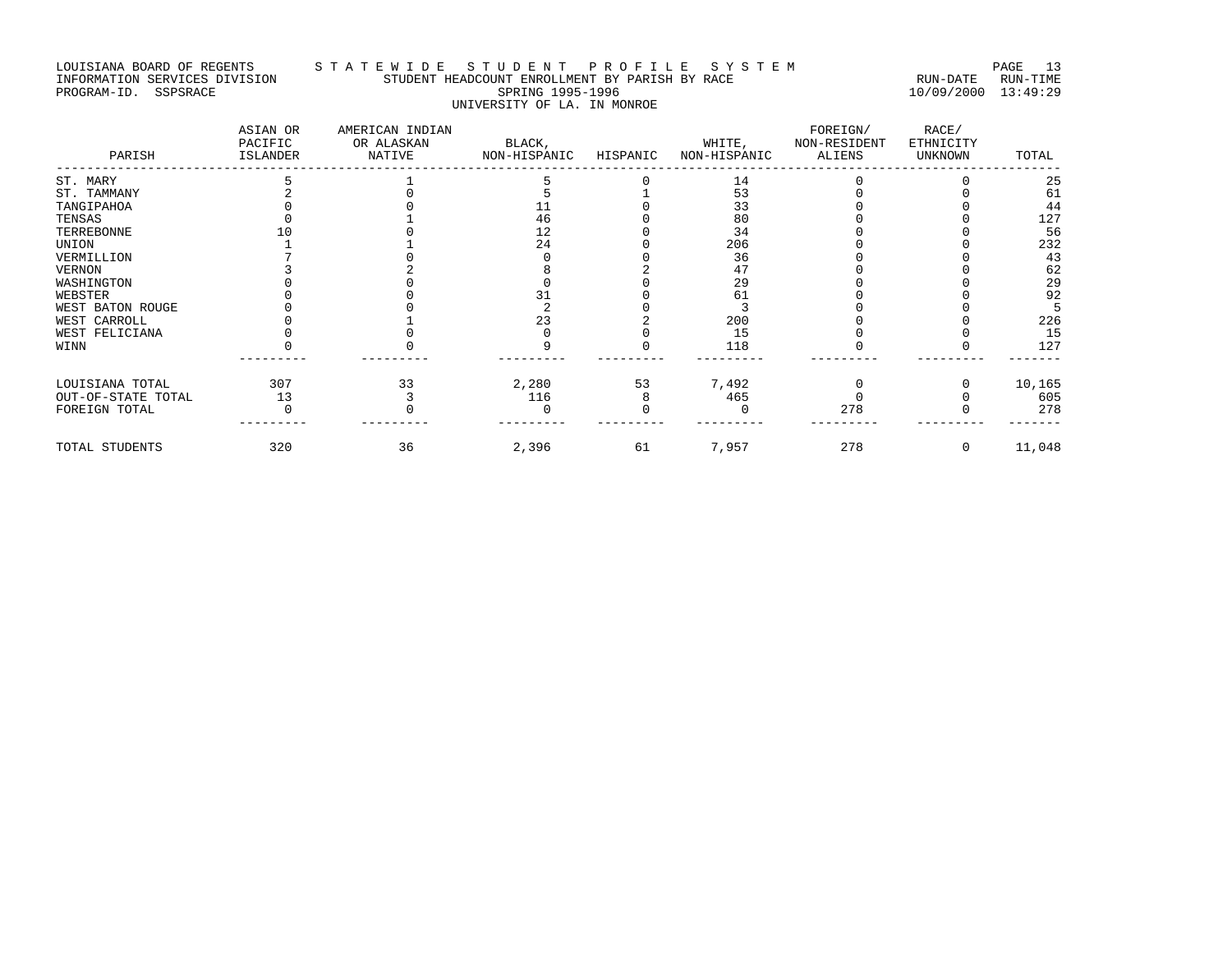# LOUISIANA BOARD OF REGENTS STA TE WIDE STUDENT PROFILE SYSTEM PAGE 13 INFORMATION SERVICES DIVISION STUDENT HEADCOUNT ENROLLMENT BY PARISH BY RACE RUN-DATE RUN-TIME PROGRAM-ID. SSPSRACE SPRING 1995-1996 10/09/2000 13:49:29 UNIVERSITY OF LA. IN MONROE

| PARISH             | ASIAN OR<br>PACIFIC<br>ISLANDER | AMERICAN INDIAN<br>OR ALASKAN<br>NATIVE | BLACK,<br>NON-HISPANIC | HISPANIC | WHITE,<br>NON-HISPANIC | FOREIGN/<br>NON-RESIDENT<br>ALIENS | RACE/<br>ETHNICITY<br>UNKNOWN | TOTAL  |
|--------------------|---------------------------------|-----------------------------------------|------------------------|----------|------------------------|------------------------------------|-------------------------------|--------|
| ST. MARY           |                                 |                                         |                        |          | 14                     |                                    |                               | 25     |
| ST. TAMMANY        |                                 |                                         |                        |          | 53                     |                                    |                               | 61     |
| TANGIPAHOA         |                                 |                                         |                        |          | 33                     |                                    |                               | 44     |
| TENSAS             |                                 |                                         | 46                     |          | 80                     |                                    |                               | 127    |
| TERREBONNE         |                                 |                                         | 12                     |          | 34                     |                                    |                               | 56     |
| UNION              |                                 |                                         | 24                     |          | 206                    |                                    |                               | 232    |
| VERMILLION         |                                 |                                         |                        |          | 36                     |                                    |                               | 43     |
| VERNON             |                                 |                                         |                        |          | 47                     |                                    |                               | 62     |
| WASHINGTON         |                                 |                                         |                        |          | 29                     |                                    |                               | 29     |
| WEBSTER            |                                 |                                         |                        |          | 61                     |                                    |                               | 92     |
| WEST BATON ROUGE   |                                 |                                         |                        |          |                        |                                    |                               |        |
| WEST CARROLL       |                                 |                                         | 23                     |          | 200                    |                                    |                               | 226    |
| WEST FELICIANA     |                                 |                                         |                        |          | 15                     |                                    |                               | 15     |
| WINN               |                                 |                                         |                        |          | 118                    |                                    |                               | 127    |
| LOUISIANA TOTAL    | 307                             | 33                                      | 2,280                  | 53       | 7,492                  |                                    |                               | 10,165 |
| OUT-OF-STATE TOTAL | 13                              |                                         | 116                    |          | 465                    |                                    |                               | 605    |
| FOREIGN TOTAL      |                                 |                                         |                        |          |                        | 278                                |                               | 278    |
| TOTAL STUDENTS     | 320                             | 36                                      | 2,396                  | 61       | 7,957                  | 278                                | 0                             | 11,048 |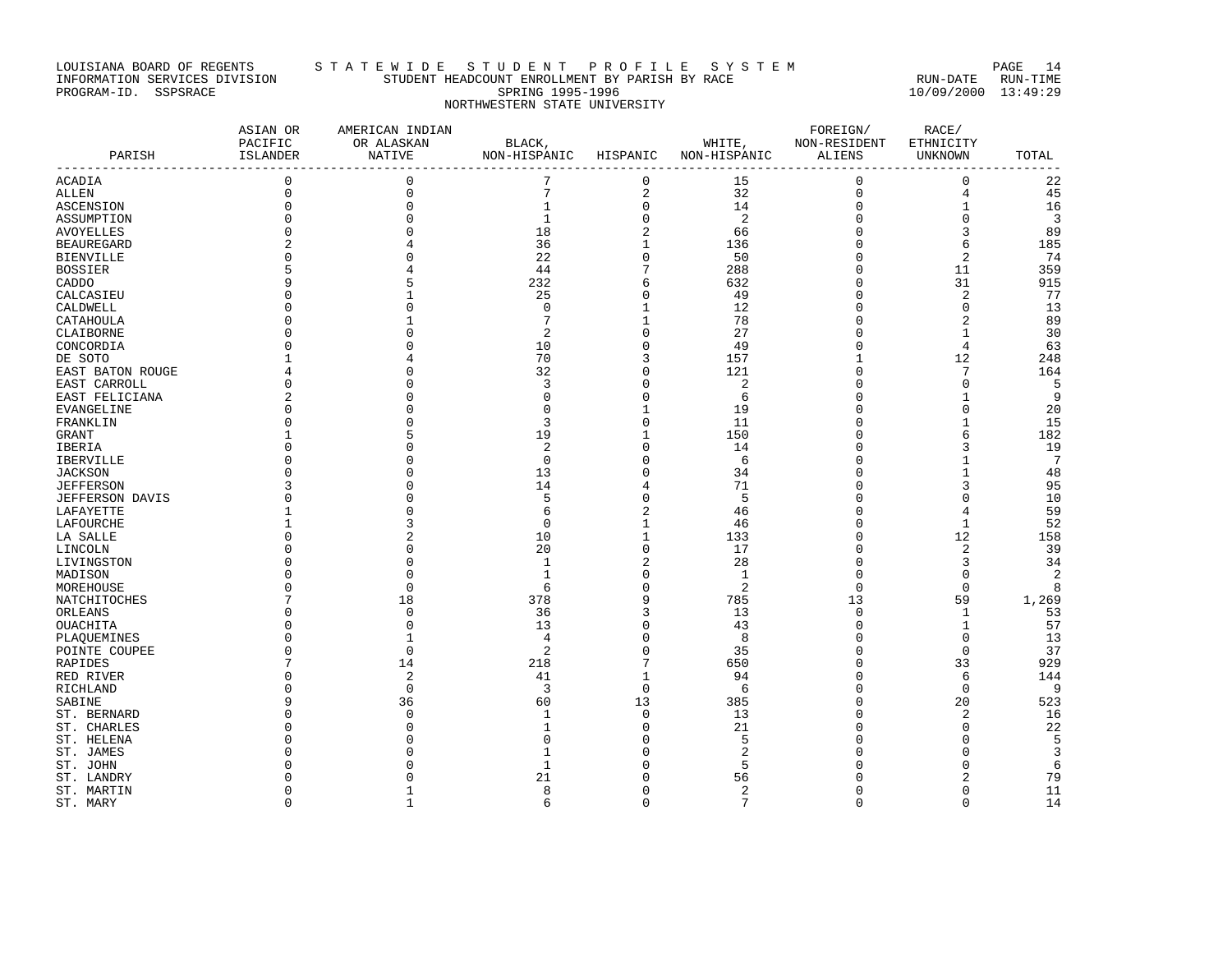# LOUISIANA BOARD OF REGENTS STA TE WIDE STUDENT PROFILE SYSTEM PAGE 14 INFORMATION SERVICES DIVISION STUDENT HEADCOUNT ENROLLMENT BY PARISH BY RACE RUN-DATE RUN-TIME PROGRAM-ID. SSPSRACE SPRING 1995-1996 10/09/2000 13:49:29 NORTHWESTERN STATE UNIVERSITY

| PARISH               | ASIAN OR<br>PACIFIC<br>ISLANDER | AMERICAN INDIAN<br>OR ALASKAN<br>NATIVE | BLACK,<br>NON-HISPANIC | HISPANIC                | WHITE,<br>NON-HISPANIC | FOREIGN/<br>NON-RESIDENT<br>ALIENS | RACE/<br>ETHNICITY<br>UNKNOWN | TOTAL           |
|----------------------|---------------------------------|-----------------------------------------|------------------------|-------------------------|------------------------|------------------------------------|-------------------------------|-----------------|
|                      |                                 |                                         |                        |                         |                        |                                    |                               |                 |
| ACADIA               | 0                               | 0                                       | 7                      | $\mathbf 0$             | 15                     | 0                                  | $\mathbf 0$                   | 22              |
| ALLEN                | $\mathbf 0$                     | $\Omega$                                | $\sqrt{ }$             | $\overline{\mathbf{c}}$ | 32                     | 0                                  | 4                             | 45              |
| ASCENSION            | $\Omega$                        | $\Omega$                                | $\mathbf{1}$           | 0                       | 14                     | 0                                  | $\mathbf{1}$                  | 16              |
| ASSUMPTION           | $\Omega$                        | $\Omega$                                | $\mathbf{1}$           | 0                       | -2                     | $\Omega$                           | $\Omega$                      | $\overline{3}$  |
| AVOYELLES            | $\Omega$                        |                                         | 18                     | $\overline{\mathbf{c}}$ | 66                     | $\Omega$                           | 3                             | 89              |
| <b>BEAUREGARD</b>    | $\overline{2}$                  |                                         | 36                     | $\mathbf{1}$            | 136                    | $\Omega$                           | 6                             | 185             |
| <b>BIENVILLE</b>     | <sup>0</sup>                    |                                         | 22                     | 0                       | 50                     | 0                                  | $\overline{2}$                | 74              |
| <b>BOSSIER</b>       | 5                               |                                         | 44                     | 7                       | 288                    | $\Omega$                           | 11                            | 359             |
| CADDO                | 9                               |                                         | 232                    | 6                       | 632                    | 0                                  | 31                            | 915             |
| CALCASIEU            | $\Omega$                        |                                         | 25                     | 0                       | 49                     | $\Omega$                           | $\overline{2}$                | 77              |
| CALDWELL             | <sup>0</sup>                    |                                         | $\Omega$               | $\mathbf{1}$            | 12                     | 0                                  | $\Omega$                      | 13              |
| CATAHOULA            | $\Omega$                        |                                         | 7                      | $\mathbf 1$             | 78                     | $\Omega$                           | $\overline{c}$                | 89              |
| CLAIBORNE            | $\Omega$                        |                                         | $\overline{2}$         | 0                       | 27                     | $\Omega$                           | $\mathbf{1}$                  | 30              |
| CONCORDIA            | $\Omega$                        |                                         | 10                     | 0                       | 49                     | $\Omega$                           | $\overline{4}$                | 63              |
| DE SOTO              |                                 |                                         | 70                     | 3                       | 157                    | $\mathbf{1}$                       | 12                            | 248             |
| EAST BATON ROUGE     | 4                               |                                         | 32                     | 0                       | 121                    | O                                  | 7                             | 164             |
| EAST CARROLL         | $\Omega$                        |                                         | 3                      | $\Omega$                | $\overline{2}$         | $\Omega$                           | $\Omega$                      | 5               |
| EAST FELICIANA       | $\overline{c}$                  |                                         | $\Omega$               | 0                       | 6                      | O                                  | -1                            | 9               |
| EVANGELINE           | $\Omega$                        |                                         | $\Omega$               | $\mathbf 1$             | 19                     | 0                                  | $\Omega$                      | 20              |
| FRANKLIN             | <sup>0</sup>                    |                                         | 3                      | 0                       | 11                     | 0                                  | 1                             | 15              |
| GRANT                |                                 | 5                                       | 19                     | $\mathbf 1$             | 150                    | U                                  | 6                             | 182             |
| IBERIA               | $\Omega$                        | O                                       | 2                      | 0                       | 14                     | 0                                  | 3                             | 19              |
| IBERVILLE            | $\Omega$                        |                                         | $\overline{0}$         | $\Omega$                | 6                      | $\Omega$                           | $\mathbf{1}$                  | $7\phantom{.0}$ |
| <b>JACKSON</b>       |                                 |                                         | 13                     | 0                       | 34                     | Ω                                  | $\mathbf{1}$                  | 48              |
| <b>JEFFERSON</b>     | ζ                               |                                         | 14                     | 4                       | 71                     | U                                  | 3                             | 95              |
| JEFFERSON DAVIS      | $\Omega$                        |                                         | 5                      | 0                       | 5                      | 0                                  | $\Omega$                      | 10              |
| LAFAYETTE            |                                 |                                         | 6<br>$\Omega$          | 2                       | 46                     | U                                  | 4                             | 59              |
| LAFOURCHE            |                                 |                                         |                        | $\mathbf 1$             | 46                     |                                    | $\mathbf{1}$                  | 52              |
| LA SALLE             | <sup>0</sup><br><sup>0</sup>    | $\Omega$                                | 10<br>20               | 1<br>0                  | 133<br>17              | O<br>U                             | 12<br>$\overline{2}$          | 158             |
| LINCOLN              | <sup>0</sup>                    | O                                       | $\mathbf{1}$           | 2                       | 28                     | 0                                  | 3                             | 39<br>34        |
| LIVINGSTON           | $\Omega$                        | $\Omega$                                | $\overline{1}$         | 0                       | 1                      | $\Omega$                           | $\Omega$                      | $\overline{2}$  |
| MADISON<br>MOREHOUSE | $\Omega$                        | $\Omega$                                | 6                      | 0                       | $\overline{2}$         | $\Omega$                           | $\Omega$                      | 8               |
| NATCHITOCHES         |                                 | 18                                      | 378                    | 9                       | 785                    | 13                                 | 59                            | 1,269           |
| ORLEANS              | $\Omega$                        | $\Omega$                                | 36                     | 3                       | 13                     | 0                                  | 1                             | 53              |
| OUACHITA             | $\Omega$                        | $\Omega$                                | 13                     | 0                       | 43                     | $\Omega$                           | $\mathbf{1}$                  | 57              |
| PLAQUEMINES          |                                 |                                         | $\overline{4}$         | 0                       | 8                      |                                    | $\Omega$                      | 13              |
| POINTE COUPEE        | $\Omega$                        | $\Omega$                                | $\overline{2}$         | 0                       | 35                     | $\Omega$                           | $\Omega$                      | 37              |
| RAPIDES              |                                 | 14                                      | 218                    | 7                       | 650                    | 0                                  | 33                            | 929             |
| RED RIVER            | <sup>0</sup>                    | $\overline{2}$                          | 41                     | 1                       | 94                     | U                                  | 6                             | 144             |
| RICHLAND             | $\Omega$                        | $\Omega$                                | 3                      | $\mathbf 0$             | 6                      | U                                  | $\Omega$                      | - 9             |
| SABINE               | 9                               | 36                                      | 60                     | 13                      | 385                    | Ω                                  | 20                            | 523             |
| ST. BERNARD          |                                 | O                                       |                        | 0                       | 13                     | Ω                                  | $\overline{2}$                | 16              |
| ST. CHARLES          |                                 | O                                       |                        | $\Omega$                | 21                     | C                                  | $\Omega$                      | 22              |
| ST. HELENA           |                                 |                                         | ۲                      | $\Omega$                |                        | Ω                                  | $\Omega$                      | 5               |
| ST. JAMES            |                                 |                                         |                        | O                       | 2                      |                                    |                               | 3               |
| ST. JOHN             |                                 |                                         | $\mathbf{1}$           | O                       | 5                      |                                    |                               | 6               |
| ST. LANDRY           |                                 |                                         | 21                     | O                       | 56                     |                                    | 2                             | 79              |
| ST. MARTIN           | $\Omega$                        |                                         | 8                      | 0                       | $\overline{2}$         | 0                                  | $\mathbf{0}$                  | 11              |
| ST. MARY             | $\Omega$                        | 1                                       | 6                      | $\Omega$                | 7                      | $\Omega$                           | $\Omega$                      | 14              |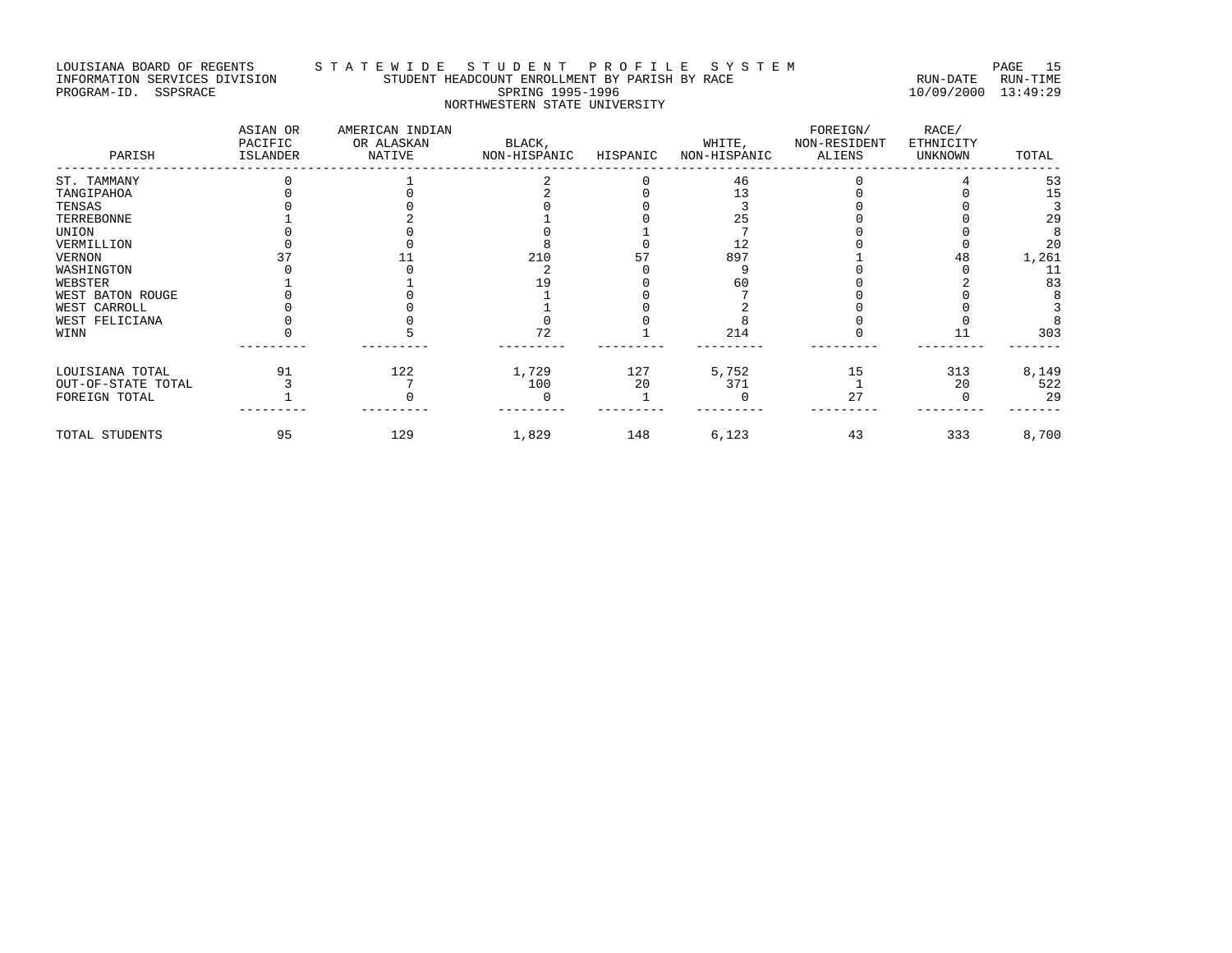# LOUISIANA BOARD OF REGENTS S T A T E W I D E S T U D E N T P R O F I L E S Y S T E M PAGE 15 INFORMATION SERVICES DIVISION STUDENT HEADCOUNT ENROLLMENT BY PARISH BY RACE RUN-DATE RUN-TIME PROGRAM-ID. SSPSRACE SPRING 1995-1996 10/09/2000 13:49:29 NORTHWESTERN STATE UNIVERSITY

| PARISH             | ASIAN OR<br>PACIFIC<br>ISLANDER | AMERICAN INDIAN<br>OR ALASKAN<br>NATIVE | BLACK,<br>NON-HISPANIC | HISPANIC | WHITE,<br>NON-HISPANIC | FOREIGN/<br>NON-RESIDENT<br>ALIENS | RACE/<br>ETHNICITY<br>UNKNOWN | TOTAL |
|--------------------|---------------------------------|-----------------------------------------|------------------------|----------|------------------------|------------------------------------|-------------------------------|-------|
| ST. TAMMANY        |                                 |                                         |                        |          | 46                     |                                    |                               | 53    |
| TANGIPAHOA         |                                 |                                         |                        |          | 13                     |                                    |                               | 15    |
| TENSAS             |                                 |                                         |                        |          |                        |                                    |                               |       |
| TERREBONNE         |                                 |                                         |                        |          | 25                     |                                    |                               | 29    |
| UNION              |                                 |                                         |                        |          |                        |                                    |                               |       |
| VERMILLION         |                                 |                                         |                        |          | 12                     |                                    |                               | 20    |
| VERNON             |                                 |                                         | 210                    |          | 897                    |                                    |                               | 1,261 |
| WASHINGTON         |                                 |                                         |                        |          |                        |                                    |                               | 11    |
| WEBSTER            |                                 |                                         |                        |          |                        |                                    |                               | 83    |
| WEST BATON ROUGE   |                                 |                                         |                        |          |                        |                                    |                               |       |
| WEST CARROLL       |                                 |                                         |                        |          |                        |                                    |                               |       |
| WEST FELICIANA     |                                 |                                         |                        |          |                        |                                    |                               |       |
| WINN               |                                 |                                         | 72                     |          | 214                    |                                    |                               | 303   |
| LOUISIANA TOTAL    | 91                              | 122                                     | 1,729                  | 127      | 5,752                  | 15                                 | 313                           | 8,149 |
| OUT-OF-STATE TOTAL |                                 |                                         | 100                    | 20       | 371                    |                                    | 20                            | 522   |
| FOREIGN TOTAL      |                                 |                                         | ∩                      |          |                        | 2.7                                |                               | 29    |
| TOTAL STUDENTS     | 95                              | 129                                     | 1,829                  | 148      | 6,123                  | 43                                 | 333                           | 8,700 |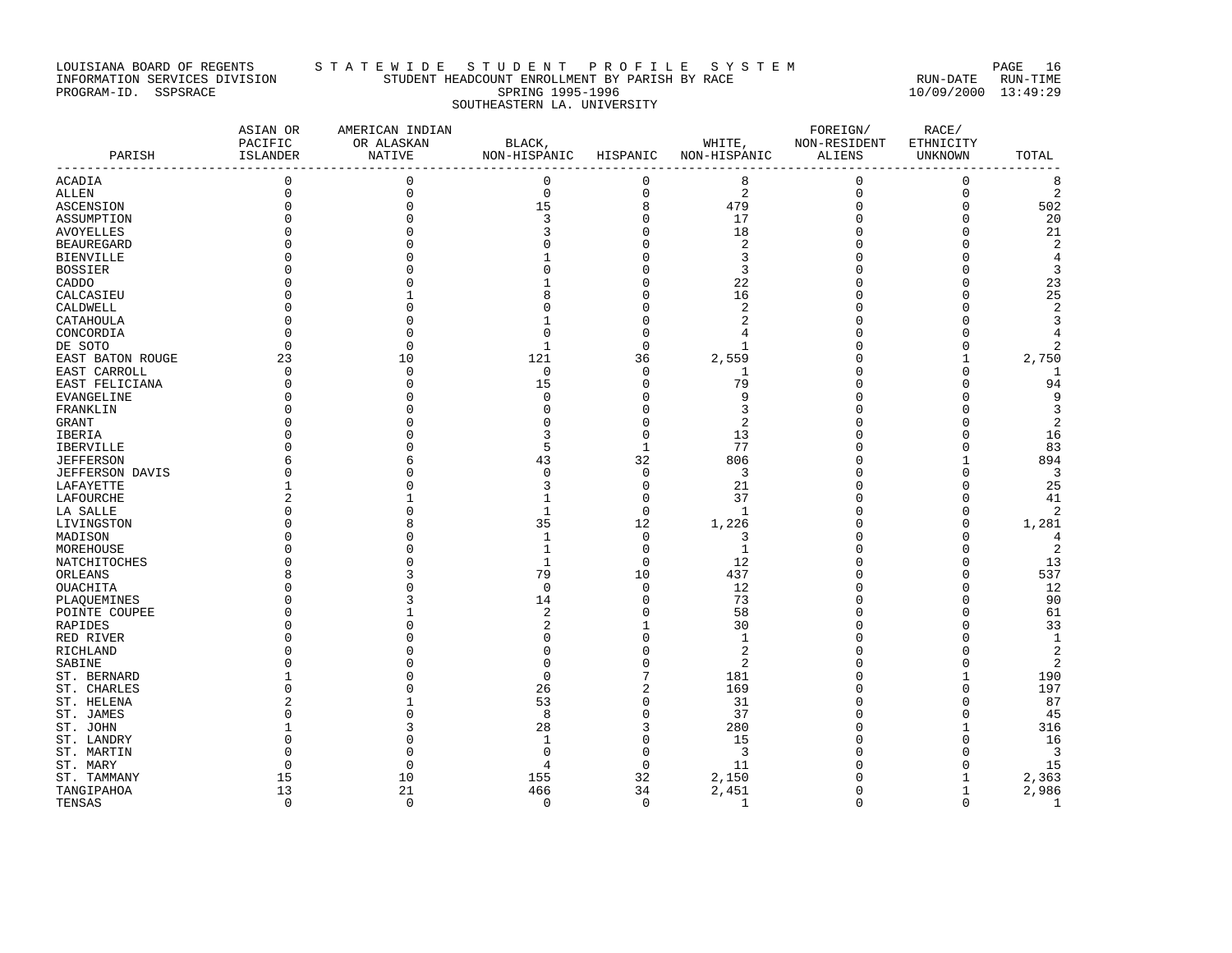# LOUISIANA BOARD OF REGENTS STA TE WIDE STUDENT PROFILE SYSTEM NAGE 16 INFORMATION SERVICES DIVISION STUDENT HEADCOUNT ENROLLMENT BY PARISH BY RACE RUN-DATE RUN-TIME PROGRAM-ID. SSPSRACE SPRING 1995-1996 10/09/2000 13:49:29 SOUTHEASTERN LA. UNIVERSITY

|                   | ASIAN OR<br>PACIFIC | AMERICAN INDIAN<br>OR ALASKAN | BLACK,         |                         | WHITE,         | FOREIGN/<br>NON-RESIDENT | RACE/<br>ETHNICITY |                |
|-------------------|---------------------|-------------------------------|----------------|-------------------------|----------------|--------------------------|--------------------|----------------|
| PARISH            | ISLANDER            | NATIVE                        | NON-HISPANIC   | HISPANIC                | NON-HISPANIC   | ALIENS                   | UNKNOWN            | TOTAL          |
| <b>ACADIA</b>     | 0                   | $\mathbf 0$                   | $\mathbf 0$    | $\mathbf 0$             | 8              | $\mathbf 0$              | $\mathbf 0$        | 8              |
| ALLEN             | $\Omega$            | 0                             | $\mathbf 0$    | $\mathbb O$             | 2              | $\mathbf 0$              | 0                  | 2              |
| ASCENSION         | $\Omega$            | $\Omega$                      | 15             | 8                       | 479            | $\mathbf{0}$             | $\mathbf 0$        | 502            |
| ASSUMPTION        |                     | $\Omega$                      | 3              | $\mathbf 0$             | 17             | $\Omega$                 | $\Omega$           | 20             |
| AVOYELLES         |                     | $\Omega$                      | 3              | 0                       | 18             | $\Omega$                 | $\Omega$           | 21             |
| <b>BEAUREGARD</b> |                     |                               |                | 0                       | 2              | $\Omega$                 | 0                  | 2              |
| <b>BIENVILLE</b>  |                     |                               |                | 0                       | 3              | n                        | U                  | 4              |
| <b>BOSSIER</b>    |                     |                               |                | $\mathbf 0$             | 3              | $\Omega$                 | U                  | 3              |
| CADDO             |                     |                               |                | 0                       | 22             | $\Omega$                 | 0                  | 23             |
| CALCASIEU         |                     |                               |                | $\mathbf 0$             | 16             | $\Omega$                 | U                  | 25             |
| CALDWELL          |                     |                               |                | 0                       | 2              | n                        | 0                  | $\sqrt{2}$     |
| CATAHOULA         | $\cap$              |                               |                | $\Omega$                | 2              | $\Omega$                 | $\Omega$           | 3              |
| CONCORDIA         | $\Omega$            | $\Omega$                      | $\Omega$       | $\mathsf 0$             | 4              | n                        | $\Omega$           | 4              |
| DE SOTO           | $\cap$              | $\Omega$                      | $\mathbf{1}$   | $\mathbf 0$             | -1             |                          | $\Omega$           | 2              |
| EAST BATON ROUGE  | 23                  | 10                            | 121            | 36                      | 2,559          | $\Omega$                 | 1                  | 2,750          |
| EAST CARROLL      | $\Omega$            | $\Omega$                      | $\Omega$       | $\mathbf 0$             | 1              | n                        | <sup>0</sup>       | 1              |
| EAST FELICIANA    | $\Omega$            | $\Omega$                      | 15             | $\mathbf 0$             | 79             | $\Omega$                 | U                  | 94             |
| EVANGELINE        | O                   | U                             | $\cap$         | 0                       | 9              | $\cap$                   | U                  | 9              |
| FRANKLIN          |                     | $\Omega$                      |                | $\mathbf 0$             | 3              | $\cap$                   | U                  | 3              |
| GRANT             |                     |                               |                | 0                       | 2              |                          | 0                  | $\overline{2}$ |
| IBERIA            |                     |                               | 3              | $\mathbf 0$             | 13             |                          | U                  | 16             |
| IBERVILLE         |                     |                               | 5              | $\mathbf{1}$            | 77             | n                        | 0                  | 83             |
| <b>JEFFERSON</b>  |                     | 6                             | 43             | 32                      | 806            |                          |                    | 894            |
| JEFFERSON DAVIS   |                     |                               | $\Omega$       | 0                       | 3              | $\Omega$                 | 0                  | 3              |
| LAFAYETTE         |                     | U                             | 3              | $\mathbf 0$             | 21             | $\Omega$                 | U                  | 25             |
| LAFOURCHE         |                     | 1                             | 1              | 0                       | 37             | $\Omega$                 | 0                  | 41             |
| LA SALLE          | O                   | $\Omega$                      | $\mathbf{1}$   | $\mathbf 0$             | -1             | $\Omega$                 | $\Omega$           | 2              |
| LIVINGSTON        | $\Omega$            | 8                             | 35             | 12                      | 1,226          | $\Omega$                 | $\Omega$           | 1,281          |
| MADISON           |                     | U                             | 1              | $\mathbf 0$             | 3              | ∩                        | <sup>0</sup>       | 4              |
| MOREHOUSE         | O                   |                               | 1              | $\mathbf 0$             | $\mathbf{1}$   | $\Omega$                 | U                  | 2              |
| NATCHITOCHES      | O                   |                               | 1              | $\mathbf 0$             | 12             | n                        | $\Omega$           | 13             |
| ORLEANS           |                     | 3                             | 79             | 10                      | 437            | $\Omega$                 | $\Omega$           | 537            |
| OUACHITA          |                     |                               | $\Omega$       | $\mathbf 0$             | 12             | $\Omega$                 | 0                  | 12             |
| PLAQUEMINES       |                     | ζ                             | 14             | $\mathbf 0$             | 73             | $\cap$                   | U                  | 90             |
| POINTE COUPEE     | O                   | 1                             | 2              | 0                       | 58             | $\Omega$                 | 0                  | 61             |
| RAPIDES           |                     | $\Omega$                      | $\overline{2}$ | $\mathbf{1}$            | 30             | $\Omega$                 | $\Omega$           | 33             |
| RED RIVER         |                     |                               | $\Omega$       | 0                       | 1              | $\Omega$                 | 0                  | $\mathbf{1}$   |
| RICHLAND          |                     |                               |                | $\mathbf 0$             | 2              |                          | $\Omega$           | 2              |
| SABINE            | O                   | C                             | $\Omega$       | 0                       | 2              | n                        | $\Omega$           | 2              |
| ST. BERNARD       |                     | U                             | $\Omega$       | 7                       | 181            | n                        | 1                  | 190            |
| ST. CHARLES       | $\Omega$            | $\Omega$                      | 26             | $\overline{\mathbf{c}}$ | 169            | $\Omega$                 | $\Omega$           | 197            |
| ST. HELENA        |                     | $\mathbf{1}$                  | 53             | 0                       | 31             | $\Omega$                 | U                  | 87             |
| ST. JAMES         |                     | $\Omega$                      | 8              | $\mathbf 0$             | 37             | $\Omega$                 | U                  | 45             |
| ST. JOHN          |                     | 3                             | 28             | 3                       | 280            | $\Omega$                 |                    | 316            |
| ST. LANDRY        | O                   | $\Omega$                      | $\mathbf{1}$   | $\mathsf 0$             | 15             | $\Omega$                 | $\Omega$           | 16             |
| ST. MARTIN        | O                   | $\Omega$                      | $\Omega$       | $\mathbf 0$             | $\overline{3}$ |                          | U                  | $\overline{3}$ |
| ST. MARY          | $\cap$              | $\Omega$                      | 4              | $\mathbf 0$             | 11             |                          | $\Omega$           | 15             |
| ST. TAMMANY       | 15                  | 10                            | 155            | 32                      | 2,150          |                          | 1                  | 2,363          |
| TANGIPAHOA        | 13                  | 21                            | 466            | 34                      | 2,451          | $\mathbf{0}$             | $\mathbf{1}$       | 2,986          |
| TENSAS            | $\Omega$            | $\Omega$                      | $\Omega$       | $\mathbf 0$             | $\mathbf{1}$   | $\Omega$                 | $\Omega$           | -1             |
|                   |                     |                               |                |                         |                |                          |                    |                |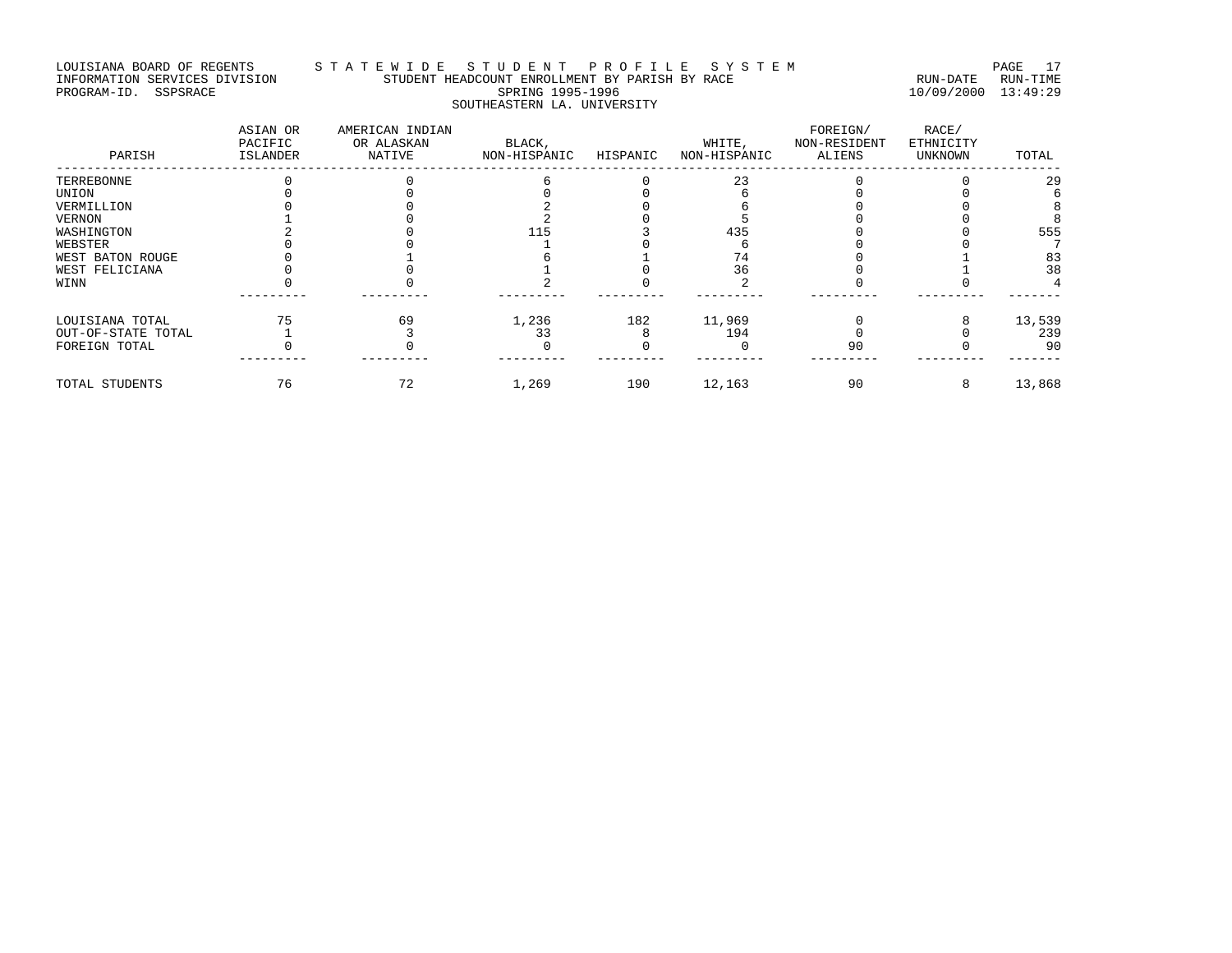#### LOUISIANA BOARD OF REGENTS STA TE WIDE STUDENT PROFILE SYSTEM PAGE 17 INFORMATION SERVICES DIVISION STUDENT HEADCOUNT ENROLLMENT BY PARISH BY RACE RUN-DATE RUN-TIME PROGRAM-ID. SSPSRACE SPRING 1995-1996 10/09/2000 13:49:29 SOUTHEASTERN LA. UNIVERSITY

| PARISH             | ASIAN OR<br>PACIFIC<br>ISLANDER | AMERICAN INDIAN<br>OR ALASKAN<br>NATIVE | BLACK,<br>NON-HISPANIC | HISPANIC | WHITE,<br>NON-HISPANIC | FOREIGN/<br>NON-RESIDENT<br>ALIENS | RACE/<br>ETHNICITY<br>UNKNOWN | TOTAL  |
|--------------------|---------------------------------|-----------------------------------------|------------------------|----------|------------------------|------------------------------------|-------------------------------|--------|
| TERREBONNE         |                                 |                                         |                        |          | 23                     |                                    |                               | 29     |
| UNION              |                                 |                                         |                        |          |                        |                                    |                               |        |
| VERMILLION         |                                 |                                         |                        |          |                        |                                    |                               |        |
| VERNON             |                                 |                                         |                        |          |                        |                                    |                               |        |
| WASHINGTON         |                                 |                                         |                        |          | 435                    |                                    |                               | 555    |
| WEBSTER            |                                 |                                         |                        |          |                        |                                    |                               |        |
| WEST BATON ROUGE   |                                 |                                         |                        |          |                        |                                    |                               | 83     |
| WEST FELICIANA     |                                 |                                         |                        |          | 36                     |                                    |                               | 38     |
| WINN               |                                 |                                         |                        |          |                        |                                    |                               |        |
| LOUISIANA TOTAL    |                                 | 69                                      | 1,236                  | 182      | 11,969                 |                                    |                               | 13,539 |
| OUT-OF-STATE TOTAL |                                 |                                         | 33                     |          | 194                    |                                    |                               | 239    |
| FOREIGN TOTAL      |                                 |                                         |                        |          |                        | 90                                 |                               | 90     |
| TOTAL STUDENTS     | 76                              | 72                                      | 1,269                  | 190      | 12,163                 | 90                                 |                               | 13,868 |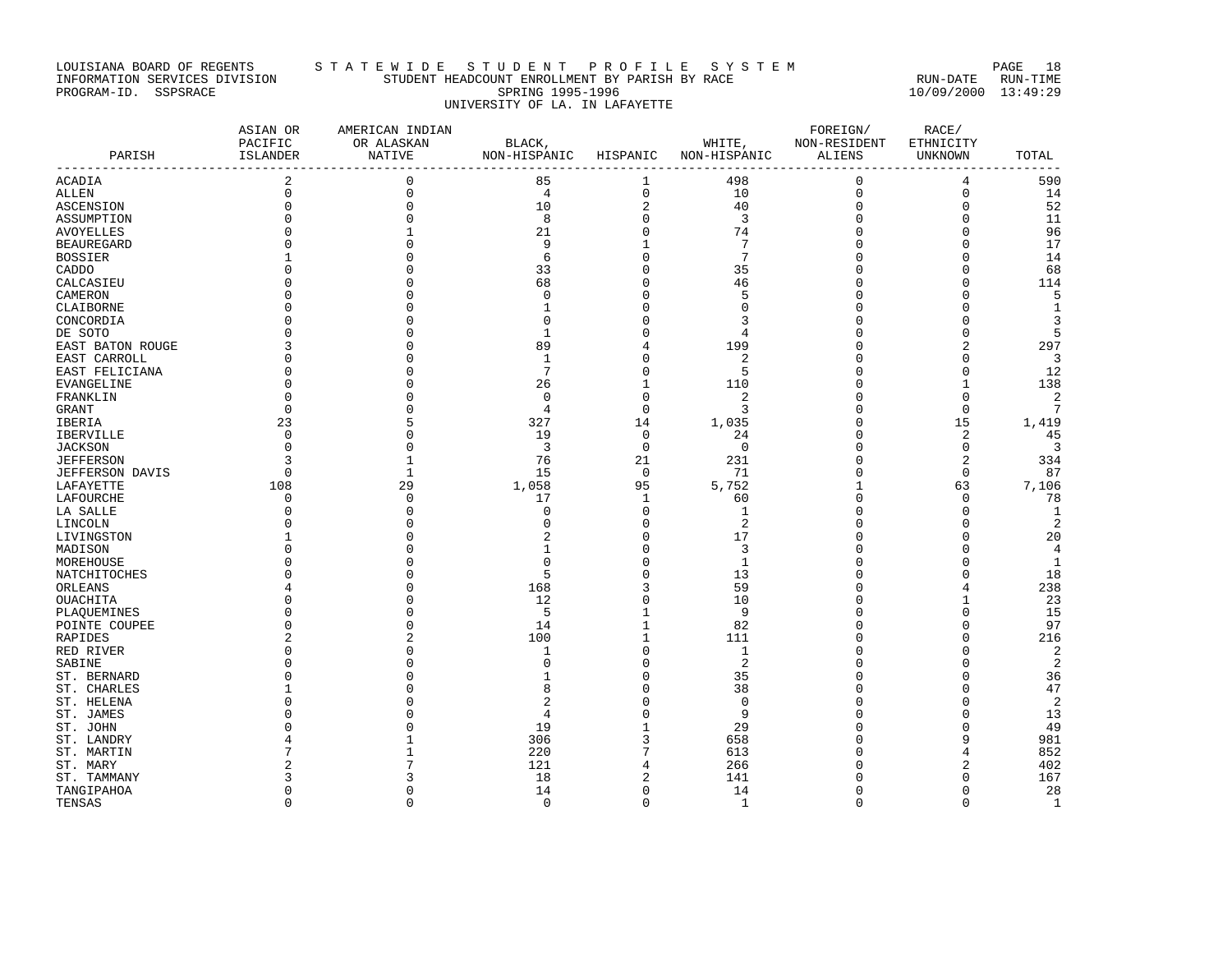# LOUISIANA BOARD OF REGENTS S T A T E W I D E S T U D E N T P R O F I L E S Y S T E M PAGE 18 INFORMATION SERVICES DIVISION STUDENT HEADCOUNT ENROLLMENT BY PARISH BY RACE RUN-DATE RUN-TIME PROGRAM-ID. SSPSRACE SPRING 1995-1996 10/09/2000 13:49:29 UNIVERSITY OF LA. IN LAFAYETTE

| PARISH                              | ASIAN OR<br>PACIFIC<br>ISLANDER | AMERICAN INDIAN<br>OR ALASKAN<br>NATIVE | BLACK,<br>NON-HISPANIC HISPANIC NON-HISPANIC |                     | WHITE, NON-RESIDENT | FOREIGN/<br>ALIENS | RACE/<br>ETHNICITY<br>UNKNOWN | TOTAL          |
|-------------------------------------|---------------------------------|-----------------------------------------|----------------------------------------------|---------------------|---------------------|--------------------|-------------------------------|----------------|
| ------------------<br><b>ACADIA</b> | $\overline{c}$                  | $\mathsf 0$                             | 85                                           | 1                   | 498                 | $\mathsf 0$        | 4                             | 590            |
| <b>ALLEN</b>                        | $\mathbf 0$                     | $\mathsf 0$                             | $\overline{4}$                               | 0                   | 10                  | $\mathsf{O}$       | 0                             | 14             |
| <b>ASCENSION</b>                    | $\Omega$                        | $\Omega$                                | 10                                           | $\overline{c}$      | 40                  | 0                  | $\mathbf 0$                   | 52             |
| ASSUMPTION                          |                                 | $\Omega$                                | $_{\rm 8}$                                   | $\mathbf 0$         | $\overline{3}$      | $\mathbf 0$        | 0                             | 11             |
| <b>AVOYELLES</b>                    |                                 |                                         | 21                                           | $\mathsf{O}\xspace$ | 74                  | $\mathbf 0$        | $\mathbf 0$                   | 96             |
| <b>BEAUREGARD</b>                   |                                 |                                         | 9                                            | 1                   | 7                   | 0                  | $\mathbf 0$                   | 17             |
| <b>BOSSIER</b>                      |                                 |                                         | 6                                            | $\mathsf 0$         | $7\phantom{.0}$     | $\mathbf 0$        | $\Omega$                      | 14             |
| CADDO                               |                                 |                                         | 33                                           | $\mathbf 0$         | 35                  | $\mathbf 0$        | $\Omega$                      | 68             |
| CALCASIEU                           |                                 |                                         | 68                                           | $\mathsf 0$         | 46                  | $\mathbf 0$        | 0                             | 114            |
| CAMERON                             |                                 |                                         | $\mathbf 0$                                  | 0                   | 5                   | 0                  | 0                             | 5              |
| CLAIBORNE                           |                                 |                                         |                                              | $\mathsf 0$         | $\Omega$            | $\mathbf 0$        | $\Omega$                      | $\mathbf{1}$   |
| CONCORDIA                           |                                 |                                         | $\Omega$                                     | $\mathbf 0$         | 3                   | $\mathbf 0$        | $\mathbf 0$                   | 3              |
| DE SOTO                             |                                 |                                         | $\mathbf{1}$                                 | $\mathsf 0$         | 4                   | $\mathbf 0$        | 0                             | 5              |
| EAST BATON ROUGE                    |                                 |                                         | 89                                           | 4                   | 199                 | $\mathbf 0$        | $\overline{a}$                | 297            |
| EAST CARROLL                        |                                 |                                         | $\mathbf{1}$                                 | $\mathsf 0$         | $\overline{c}$      | $\mathbf 0$        | $\mathbf 0$                   | $\overline{3}$ |
| EAST FELICIANA                      |                                 |                                         | 7                                            | $\mathbf 0$         | 5                   | $\mathbf 0$        | $\mathbf 0$                   | 12             |
| EVANGELINE                          |                                 | $\Omega$                                | 26                                           | $1\,$               | 110                 | $\mathbf 0$        | $\mathbf 1$                   | 138            |
| FRANKLIN                            |                                 |                                         | $\Omega$                                     | 0                   | 2                   | $\mathbf 0$        | $\mathbf 0$                   | 2              |
| <b>GRANT</b>                        | $\Omega$                        |                                         | $\overline{4}$                               | $\mathbf 0$         | 3                   | $\mathbf 0$        | $\Omega$                      | 7              |
| IBERIA                              | 23                              | 5                                       | 327                                          | 14                  | 1,035               | $\mathbf 0$        | 15                            | 1,419          |
| IBERVILLE                           | 0                               | $\Omega$                                | 19                                           | $\mathbf 0$         | 24                  | $\mathbf 0$        | 2                             | 45             |
| <b>JACKSON</b>                      | $\Omega$                        | $\Omega$                                | $\overline{3}$                               | $\mathbf 0$         | $\overline{0}$      | $\mathbf 0$        | $\mathbf 0$                   | $\overline{3}$ |
| <b>JEFFERSON</b>                    | 3                               | $\mathbf{1}$                            | 76                                           | 21                  | 231                 | $\mathbf 0$        | $\overline{2}$                | 334            |
| <b>JEFFERSON DAVIS</b>              | $\Omega$                        | $\mathbf{1}$                            | 15                                           | $\overline{0}$      | 71                  | $\mathbf 0$        | $\mathbf 0$                   | 87             |
| LAFAYETTE                           | 108                             | 29                                      | 1,058                                        | 95                  | 5,752               | $\mathbf{1}$       | 63                            | 7,106          |
| LAFOURCHE                           | 0                               | $\mathbf 0$                             | 17                                           | $\mathbf{1}$        | 60                  | $\mathbf 0$        | $\mathbf 0$                   | 78             |
| LA SALLE                            | n                               | $\Omega$                                | $\mathbf 0$                                  | $\mathbf 0$         | 1                   | $\mathbf 0$        | $\Omega$                      | $\mathbf{1}$   |
| LINCOLN                             |                                 |                                         | $\mathbf 0$                                  | $\mathbf 0$         | 2                   | 0                  | $\Omega$                      | 2              |
| LIVINGSTON                          |                                 | O                                       |                                              | $\mathbf 0$         | 17                  | $\mathbf 0$        | 0                             | 20             |
| MADISON                             |                                 |                                         | 1                                            | $\mathbf 0$         | 3                   | $\mathbf 0$        | O                             | $\overline{4}$ |
| MOREHOUSE                           |                                 |                                         | $\Omega$                                     | $\mathsf 0$         | 1                   | $\mathbf 0$        | 0                             | -1             |
| NATCHITOCHES                        |                                 |                                         | 5                                            | $\mathsf 0$         | 13                  | 0                  | 0                             | 18             |
| ORLEANS                             |                                 | $\Omega$                                | 168                                          | 3                   | 59                  | $\mathbf 0$        | 4                             | 238            |
| OUACHITA                            |                                 |                                         | 12                                           | 0                   | 10                  | $\mathbf 0$        | 1                             | 23             |
| PLAQUEMINES                         |                                 | O                                       | - 5                                          | $1\,$               | -9                  | 0                  | 0                             | 15             |
| POINTE COUPEE                       |                                 | ∩                                       | 14                                           | $\mathbf{1}$        | 82                  | $\mathbf 0$        | $\Omega$                      | 97             |
| RAPIDES                             |                                 | $\overline{2}$                          | 100                                          | $1\,$               | 111                 | $\mathbf 0$        | $\mathbf 0$                   | 216            |
| RED RIVER                           |                                 |                                         | 1                                            | $\mathsf{O}$        | 1                   | $\mathbf 0$        | $\Omega$                      | $\overline{2}$ |
| SABINE                              |                                 |                                         | $\mathbf 0$                                  | 0                   | 2                   | 0                  | 0                             | 2              |
| ST. BERNARD                         |                                 |                                         | $\mathbf{1}$                                 | $\mathbf 0$         | 35                  | $\Omega$           | $\Omega$                      | 36             |
| ST. CHARLES                         |                                 |                                         | 8                                            | $\mathsf 0$         | 38                  | $\mathbf 0$        | $\Omega$                      | 47             |
| ST. HELENA                          |                                 |                                         | $\overline{c}$                               | $\mathsf 0$         | $\Omega$            | C                  | $\Omega$                      | 2              |
| ST. JAMES                           |                                 |                                         | 4                                            | $\mathbf 0$         | 9                   | 0                  | 0                             | 13             |
| ST. JOHN                            |                                 |                                         | 19                                           | $1\,$               | 29                  | $\Omega$           | $\Omega$                      | 49             |
| ST. LANDRY                          |                                 |                                         | 306                                          | 3                   | 658                 | $\mathbf 0$        | 9                             | 981            |
| ST. MARTIN                          |                                 |                                         | 220                                          | 7                   | 613                 | $\mathbf 0$        | 4                             | 852            |
| ST. MARY                            |                                 |                                         | 121                                          | 4                   | 266                 | $\Omega$           | 2                             | 402            |
| ST. TAMMANY                         |                                 |                                         | 18                                           | $\boldsymbol{2}$    | 141                 | $\mathbf 0$        | $\Omega$                      | 167            |
| TANGIPAHOA                          | $\Omega$                        | $\Omega$                                | 14                                           | 0                   | 14                  | $\mathbf 0$        | $\mathbf 0$                   | 28             |
| TENSAS                              | $\Omega$                        | $\Omega$                                | $\Omega$                                     | $\mathbf 0$         | <sup>1</sup>        | $\Omega$           | $\Omega$                      | 1              |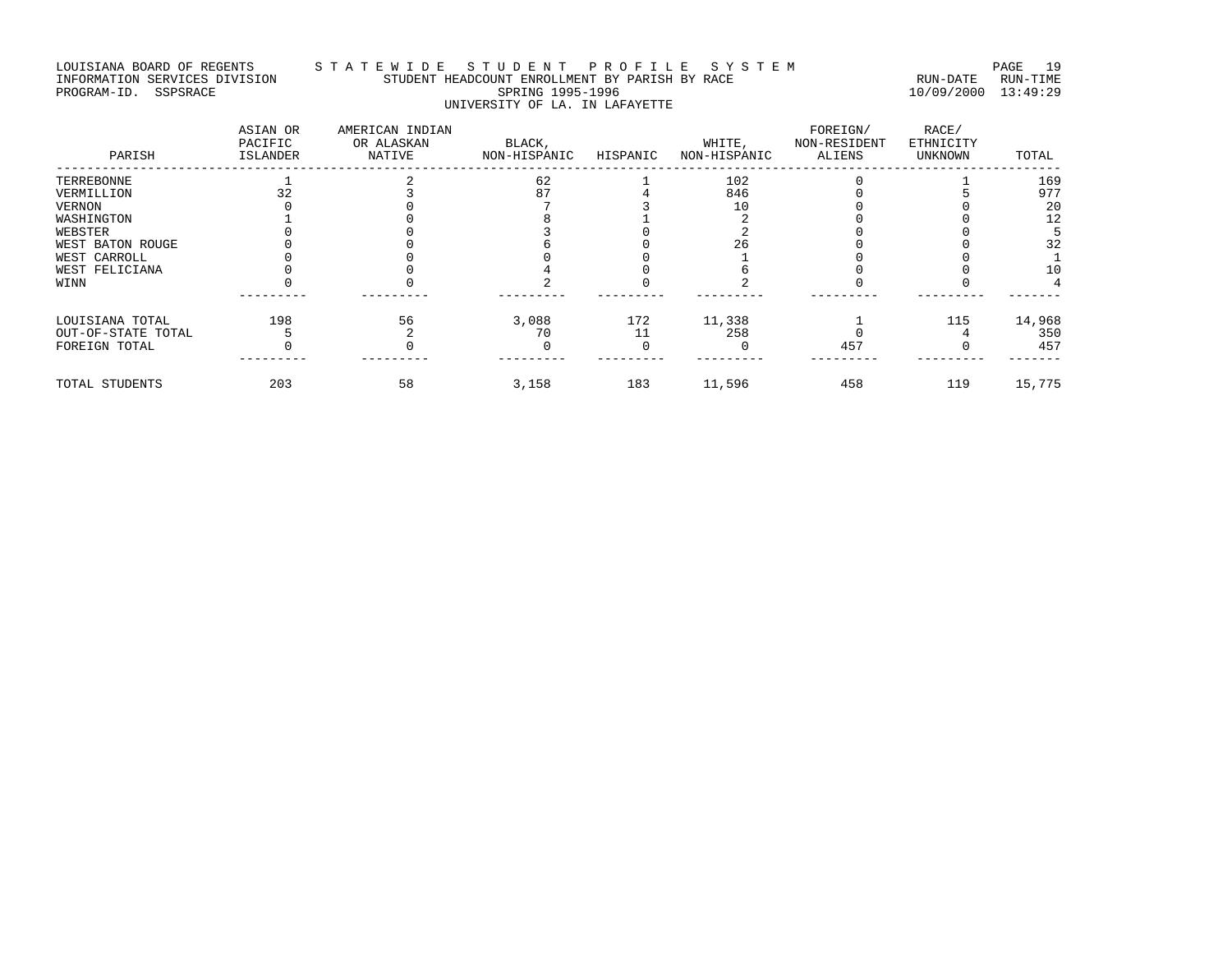## LOUISIANA BOARD OF REGENTS STATEWIDE STUDENT PROFILE SYSTEM PAGE 19<br>INFORMATION SERVICES DIVISION STUDENT HEADCOUNT ENROLLMENT BY PARISH BY RACE INFORMATION SERVICES DIVISION STUDENT HEADCOUNT ENROLLMENT BY PARISH BY RACE RUN-DATE RUN-TIME PROGRAM-ID. SSPSRACE SPRING 1995-1996 10/09/2000 13:49:29 UNIVERSITY OF LA. IN LAFAYETTE

| PARISH             | ASIAN OR<br>PACIFIC<br>ISLANDER | AMERICAN INDIAN<br>OR ALASKAN<br>NATIVE | BLACK,<br>NON-HISPANIC | HISPANIC | WHITE,<br>NON-HISPANIC | FOREIGN/<br>NON-RESIDENT<br>ALIENS | RACE/<br>ETHNICITY<br>UNKNOWN | TOTAL  |
|--------------------|---------------------------------|-----------------------------------------|------------------------|----------|------------------------|------------------------------------|-------------------------------|--------|
| TERREBONNE         |                                 |                                         | 62                     |          | 102                    |                                    |                               | 169    |
| VERMILLION         |                                 |                                         | 87                     |          | 846                    |                                    |                               | 977    |
| VERNON             |                                 |                                         |                        |          | 10                     |                                    |                               | 20     |
| WASHINGTON         |                                 |                                         |                        |          |                        |                                    |                               | 12     |
| WEBSTER            |                                 |                                         |                        |          |                        |                                    |                               |        |
| WEST BATON ROUGE   |                                 |                                         |                        |          | 26                     |                                    |                               | 32     |
| WEST CARROLL       |                                 |                                         |                        |          |                        |                                    |                               |        |
| WEST FELICIANA     |                                 |                                         |                        |          |                        |                                    |                               |        |
| WINN               |                                 |                                         |                        |          |                        |                                    |                               |        |
| LOUISIANA TOTAL    | 198                             | 56                                      | 3,088                  | 172      | 11,338                 |                                    | 115                           | 14,968 |
| OUT-OF-STATE TOTAL |                                 |                                         | 70                     | 11       | 258                    |                                    |                               | 350    |
| FOREIGN TOTAL      |                                 |                                         |                        |          |                        | 457                                |                               | 457    |
| TOTAL STUDENTS     | 203                             | 58                                      | 3,158                  | 183      | 11,596                 | 458                                | 119                           | 15,775 |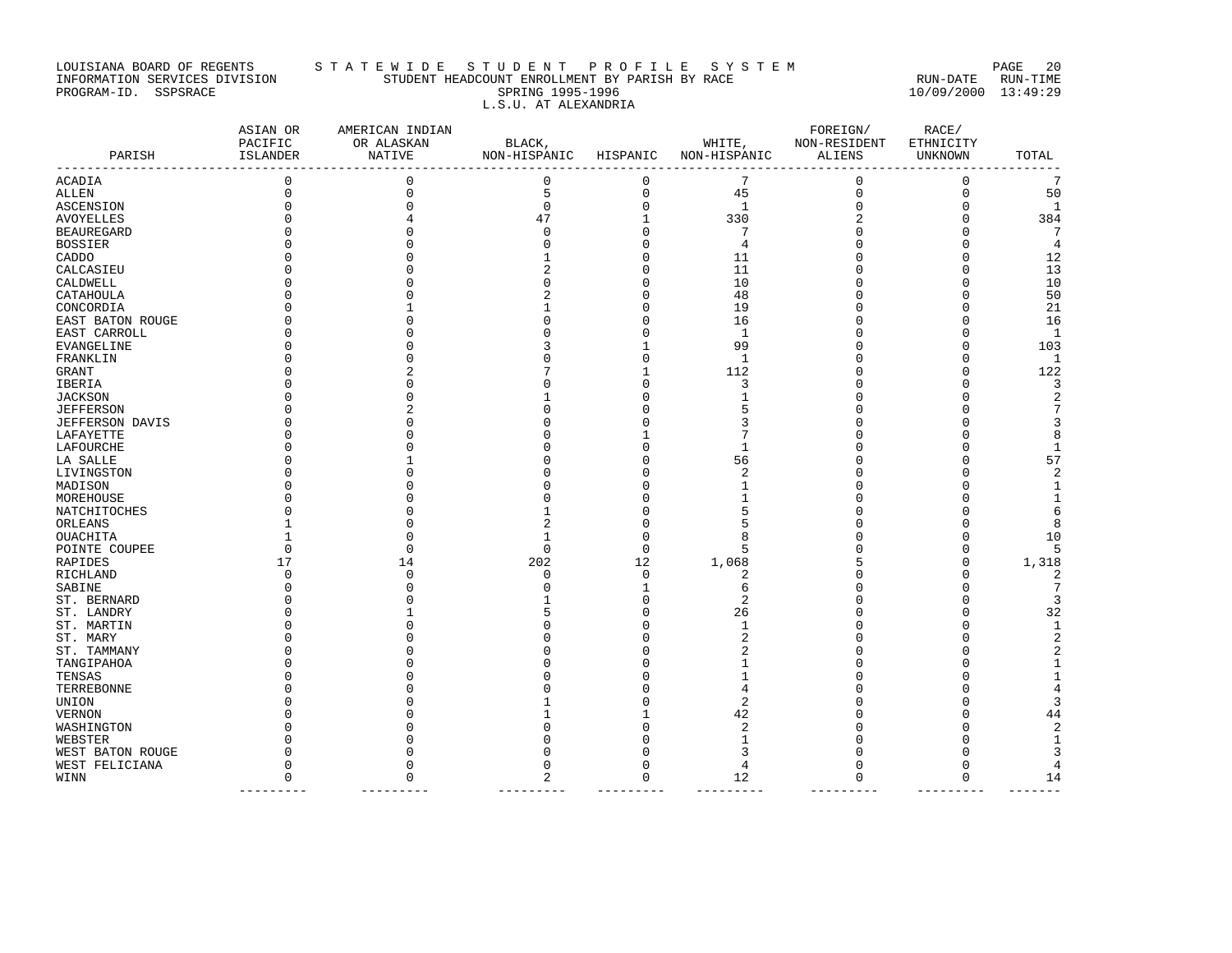#### LOUISIANA BOARD OF REGENTS STA TE WIDE STUDENT PROFILE SYSTEM PAGE 20 INFORMATION SERVICES DIVISION STUDENT HEADCOUNT ENROLLMENT BY PARISH BY RACE RUN-DATE RUN-TIME PROGRAM-ID. SSPSRACE SPRING 1995-1996 10/09/2000 13:49:29 L.S.U. AT ALEXANDRIA

| PARISH            | ASIAN OR<br>PACIFIC<br>ISLANDER | AMERICAN INDIAN<br>OR ALASKAN<br><b>NATIVE</b> | BLACK,<br>NON-HISPANIC HISPANIC |             | WHITE,<br>NON-HISPANIC | FOREIGN/<br>NON-RESIDENT<br>ALIENS | RACE/<br>ETHNICITY<br>UNKNOWN | TOTAL          |
|-------------------|---------------------------------|------------------------------------------------|---------------------------------|-------------|------------------------|------------------------------------|-------------------------------|----------------|
| <b>ACADIA</b>     | --------------<br>0             | --------------<br>$\mathbf{0}$                 | 0                               | 0           | 7                      | $\mathbf 0$                        | $\mathsf 0$                   | 7              |
| ALLEN             | $\mathbf 0$                     | $\mathbf{0}$                                   | 5                               | $\mathbf 0$ | 45                     | $\mathbf 0$                        | $\mathbf 0$                   | 50             |
| <b>ASCENSION</b>  | $\Omega$                        | $\mathbf 0$                                    | 0                               | 0           | 1                      | 0                                  | $\mathbf 0$                   | 1              |
| AVOYELLES         |                                 |                                                | 47                              | $\mathbf 1$ | 330                    |                                    | $\Omega$                      | 384            |
| <b>BEAUREGARD</b> |                                 |                                                | $\Omega$                        | $\mathbf 0$ | 7                      |                                    |                               | 7              |
| <b>BOSSIER</b>    |                                 |                                                |                                 | $\Omega$    | $\overline{4}$         |                                    |                               | $\overline{4}$ |
| CADDO             |                                 |                                                |                                 | 0           | 11                     |                                    | ∩                             | 12             |
| CALCASIEU         |                                 |                                                |                                 | 0           | 11                     |                                    |                               | 13             |
| CALDWELL          |                                 |                                                |                                 | 0           | 10                     |                                    |                               | 10             |
| CATAHOULA         |                                 |                                                |                                 | $\Omega$    | 48                     |                                    |                               | 50             |
| CONCORDIA         |                                 |                                                |                                 | $\Omega$    | 19                     |                                    |                               | 21             |
| EAST BATON ROUGE  |                                 |                                                |                                 | $\Omega$    | 16                     |                                    |                               | 16             |
| EAST CARROLL      |                                 |                                                |                                 | 0           | $\mathbf{1}$           |                                    |                               | 1              |
| EVANGELINE        |                                 |                                                |                                 | 1           | 99                     |                                    | O                             | 103            |
|                   |                                 |                                                |                                 | 0           | 1                      |                                    | ∩                             | 1              |
| FRANKLIN          |                                 |                                                |                                 | 1           |                        |                                    | U                             |                |
| GRANT             |                                 |                                                |                                 |             | 112                    |                                    |                               | 122            |
| IBERIA            |                                 |                                                |                                 | $\Omega$    | 3                      |                                    |                               | 3              |
| <b>JACKSON</b>    |                                 |                                                |                                 | 0           |                        |                                    |                               | $\overline{2}$ |
| <b>JEFFERSON</b>  |                                 |                                                |                                 | N           |                        |                                    |                               | 7              |
| JEFFERSON DAVIS   |                                 |                                                |                                 | N           |                        |                                    |                               | 3              |
| LAFAYETTE         |                                 |                                                |                                 |             |                        |                                    |                               | 8              |
| LAFOURCHE         |                                 |                                                |                                 | $\Omega$    |                        |                                    |                               | $\mathbf{1}$   |
| LA SALLE          |                                 |                                                |                                 | $\Omega$    | 56                     |                                    |                               | 57             |
| LIVINGSTON        |                                 |                                                |                                 | O           |                        |                                    |                               | 2              |
| MADISON           |                                 |                                                |                                 | 0           |                        |                                    |                               | 1              |
| MOREHOUSE         |                                 |                                                |                                 | 0           |                        |                                    |                               | 1              |
| NATCHITOCHES      |                                 |                                                |                                 | Ω           |                        |                                    |                               | 6              |
| ORLEANS           |                                 |                                                |                                 | N           |                        |                                    |                               | 8              |
| OUACHITA          |                                 |                                                |                                 | $\Omega$    |                        |                                    |                               | 10             |
| POINTE COUPEE     | 0                               | 0                                              | $\Omega$                        | 0           | 5                      |                                    | ∩                             | 5              |
| RAPIDES           | 17                              | 14                                             | 202                             | 12          | 1,068                  |                                    |                               | 1,318          |
| RICHLAND          | $\Omega$                        | $\Omega$                                       | $\Omega$                        | $\mathbf 0$ |                        |                                    |                               | 2              |
| SABINE            |                                 | $\Omega$                                       | n                               | 1           | 6                      |                                    |                               | 7              |
| ST. BERNARD       |                                 |                                                |                                 | 0           | $\mathfrak{D}$         |                                    |                               | 3              |
| ST. LANDRY        |                                 |                                                |                                 | $\Omega$    | 26                     |                                    |                               | 32             |
| ST. MARTIN        |                                 |                                                |                                 | $\Omega$    |                        |                                    |                               | $\mathbf{1}$   |
| ST. MARY          |                                 |                                                |                                 | O           |                        |                                    |                               | 2              |
| ST. TAMMANY       |                                 |                                                |                                 | N           |                        |                                    |                               | $\overline{2}$ |
| TANGIPAHOA        |                                 |                                                |                                 | 0           |                        |                                    |                               | 1              |
| TENSAS            |                                 |                                                |                                 | 0           |                        |                                    |                               | 1              |
| TERREBONNE        |                                 |                                                |                                 | O           |                        |                                    |                               | 4              |
| UNION             |                                 |                                                |                                 | $\Omega$    | 2                      |                                    |                               | 3              |
| VERNON            |                                 |                                                |                                 |             | 42                     |                                    |                               | 44             |
| WASHINGTON        |                                 |                                                |                                 | $\Omega$    |                        |                                    |                               | 2              |
| WEBSTER           |                                 |                                                |                                 |             |                        |                                    |                               | $\mathbf{1}$   |
| WEST BATON ROUGE  |                                 |                                                |                                 |             |                        |                                    |                               | 3              |
| WEST FELICIANA    | 0                               |                                                |                                 | 0           |                        | U                                  | ∩                             | 4              |
| WINN              | $\Omega$                        | $\Omega$                                       | $\mathcal{D}$                   | $\Omega$    | 12                     | $\Omega$                           | $\Omega$                      | 14             |
|                   |                                 |                                                |                                 |             |                        |                                    |                               |                |

--------- --------- --------- --------- --------- --------- --------- -------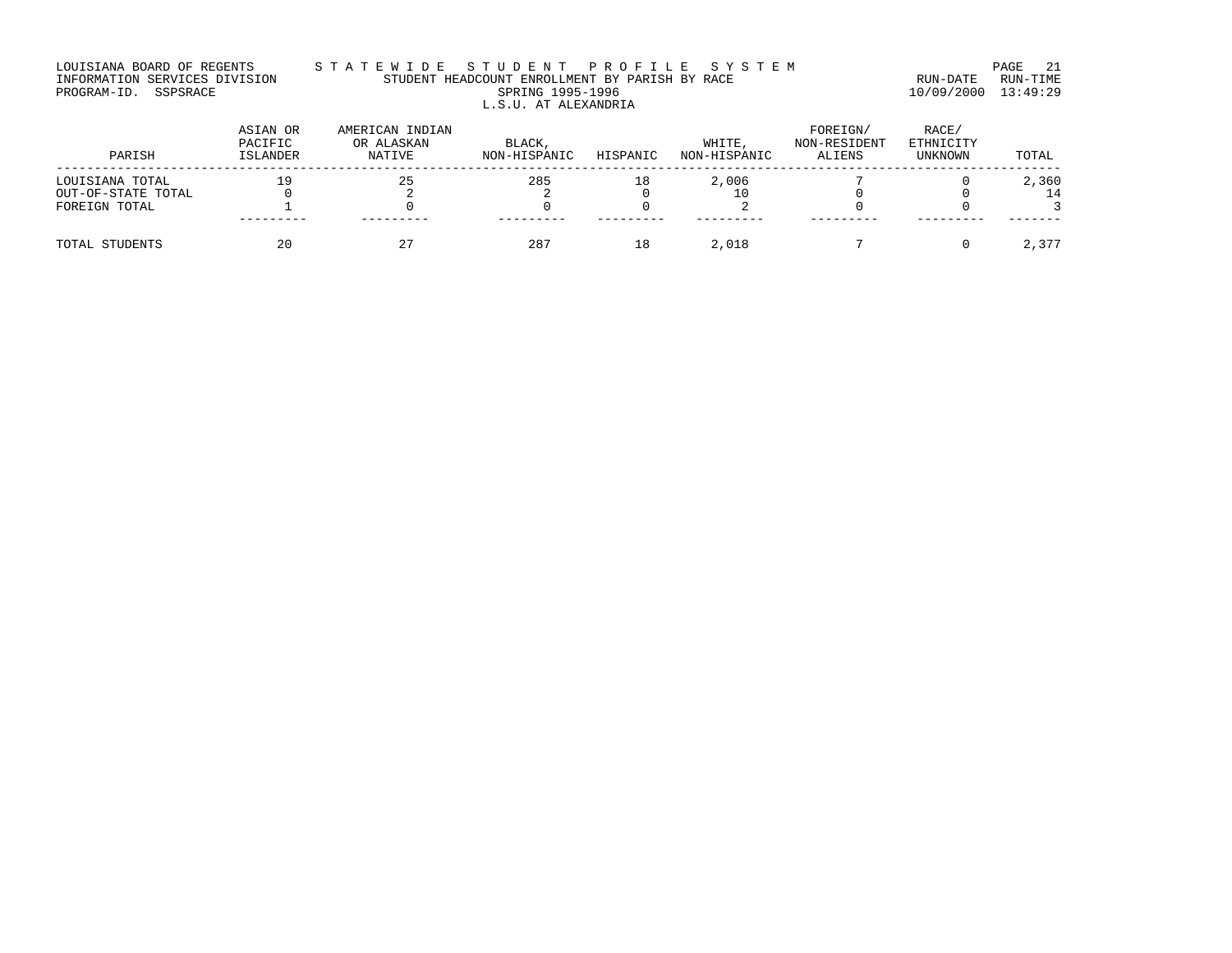#### LOUISIANA BOARD OF REGENTS STA TE WIDE STUDENT PROFILE SYSTEM PAGE 21 INFORMATION SERVICES DIVISION STUDENT HEADCOUNT ENROLLMENT BY PARISH BY RACE RUN-DATE RUN-TIME PROGRAM-ID. SSPSRACE SPRING 1995-1996 10/09/2000 13:49:29 L.S.U. AT ALEXANDRIA

| PARISH             | ASIAN OR<br>PACIFIC<br>ISLANDER | AMERICAN INDIAN<br>OR ALASKAN<br>NATIVE | BLACK,<br>NON-HISPANIC | HISPANIC | WHITE.<br>NON-HISPANIC | FOREIGN/<br>NON-RESIDENT<br>ALIENS | RACE/<br>ETHNICITY<br>UNKNOWN | TOTAL |
|--------------------|---------------------------------|-----------------------------------------|------------------------|----------|------------------------|------------------------------------|-------------------------------|-------|
| LOUISIANA TOTAL    | 19                              | 25                                      | 285                    | 18       | 2,006                  |                                    |                               | 2,360 |
| OUT-OF-STATE TOTAL |                                 |                                         |                        |          |                        |                                    |                               | 14    |
| FOREIGN TOTAL      |                                 |                                         |                        |          |                        |                                    |                               |       |
|                    |                                 |                                         |                        |          |                        |                                    |                               |       |
| TOTAL STUDENTS     | 20                              | 27                                      | 287                    | 18       | 2,018                  |                                    |                               | 2,377 |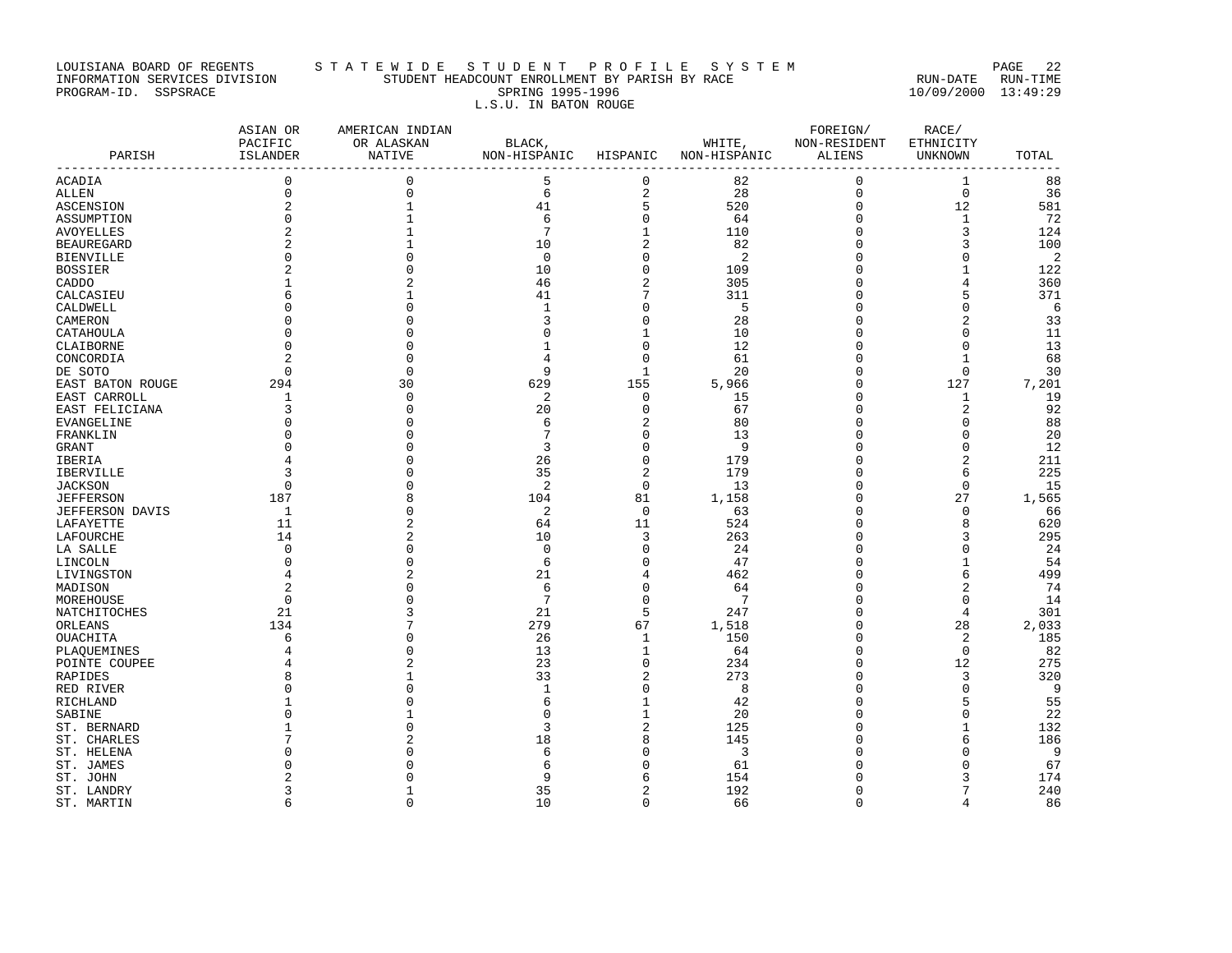# LOUISIANA BOARD OF REGENTS STA TE WIDE STUDENT PROFILE SYSTEM PAGE 22 INFORMATION SERVICES DIVISION STUDENT HEADCOUNT ENROLLMENT BY PARISH BY RACE RUN-DATE RUN-TIME PROGRAM-ID. SSPSRACE SPRING 1995-1996 10/09/2000 13:49:29 L.S.U. IN BATON ROUGE

| PARISH            | ASIAN OR<br>PACIFIC<br>ISLANDER | AMERICAN INDIAN<br>OR ALASKAN<br>NATIVE | BLACK,<br>NON-HISPANIC | HISPANIC       | WHITE,<br>NON-HISPANIC | FOREIGN/<br>NON-RESIDENT<br>ALIENS | RACE/<br>ETHNICITY<br>UNKNOWN | TOTAL          |
|-------------------|---------------------------------|-----------------------------------------|------------------------|----------------|------------------------|------------------------------------|-------------------------------|----------------|
| ACADIA            | ----------------<br>0           | $\mathbf 0$                             | 5                      | 0              | 82                     | 0                                  | $\mathbf{1}$                  | 88             |
| ALLEN             | $\overline{0}$                  | $\mathbf{0}$                            | 6                      | $\overline{c}$ | 28                     | $\mathsf{O}\xspace$                | $\mathbf 0$                   | 36             |
| ASCENSION         | $\overline{2}$                  |                                         | 41                     | 5              | 520                    | $\mathbf 0$                        | 12                            | 581            |
| ASSUMPTION        |                                 |                                         | 6                      | $\Omega$       | 64                     | $\Omega$                           | $\mathbf{1}$                  | 72             |
| AVOYELLES         |                                 |                                         | 7                      | $\mathbf{1}$   | 110                    | $\Omega$                           | 3                             | 124            |
| <b>BEAUREGARD</b> | $\overline{c}$                  |                                         | 10                     | $\overline{2}$ | 82                     | $\Omega$                           |                               | 100            |
| <b>BIENVILLE</b>  |                                 |                                         | $\mathbf{0}$           | $\Omega$       | 2                      | $\Omega$                           | O                             | $\overline{2}$ |
| <b>BOSSIER</b>    |                                 |                                         | 10                     | $\mathsf 0$    | 109                    | $\Omega$                           | 1                             | 122            |
| CADDO             |                                 |                                         | 46                     | 2              | 305                    | $\Omega$                           | 4                             | 360            |
| CALCASIEU         | 6                               |                                         | 41                     | 7              | 311                    | 0                                  |                               | 371            |
| CALDWELL          |                                 |                                         | $\mathbf{1}$           | $\Omega$       | 5                      | $\Omega$                           | O                             | 6              |
| CAMERON           |                                 |                                         |                        | $\Omega$       | 28                     | $\Omega$                           | 2                             | 33             |
| CATAHOULA         |                                 |                                         |                        | 1              | 10                     | $\Omega$                           | O                             | 11             |
| CLAIBORNE         | $\Omega$                        |                                         | 1                      | $\Omega$       | 12                     | $\Omega$                           | $\mathbf{0}$                  | 13             |
| CONCORDIA         | $\overline{c}$                  |                                         |                        | $\Omega$       | 61                     | $\Omega$                           | 1                             | 68             |
| DE SOTO           | $\Omega$                        | $\cap$                                  | 9                      | 1              | 20                     | $\Omega$                           | $\Omega$                      | 30             |
| EAST BATON ROUGE  | 294                             | 30                                      | 629                    | 155            | 5,966                  | $\Omega$                           | 127                           | 7,201          |
| EAST CARROLL      | 1                               | $\Omega$                                | 2                      | 0              | 15                     | $\Omega$                           | 1                             | 19             |
| EAST FELICIANA    | 3                               | $\cap$                                  | 20                     | $\mathbf 0$    | 67                     | $\Omega$                           | 2                             | 92             |
| EVANGELINE        |                                 |                                         | 6                      | 2              | 80                     | $\Omega$                           | O                             | 88             |
| FRANKLIN          |                                 |                                         | 7                      | $\Omega$       | 13                     | $\Omega$                           | O                             | 20             |
| <b>GRANT</b>      |                                 |                                         | 3                      | $\Omega$       | 9                      | $\Omega$                           | $\Omega$                      | 12             |
| IBERIA            |                                 |                                         | 26                     | $\mathbf 0$    | 179                    | 0                                  |                               | 211            |
| IBERVILLE         | κ                               |                                         | 35                     | $\sqrt{2}$     | 179                    | $\Omega$                           | 6                             | 225            |
| <b>JACKSON</b>    | 0                               |                                         | $\overline{a}$         | $\mathbf 0$    | 13                     | $\Omega$                           | $\mathbf 0$                   | 15             |
| <b>JEFFERSON</b>  | 187                             |                                         | 104                    | 81             | 1,158                  | <sup>0</sup>                       | 27                            | 1,565          |
| JEFFERSON DAVIS   | 1                               |                                         | 2                      | $\mathbf 0$    | 63                     | $\Omega$                           | $\mathbf{0}$                  | 66             |
| LAFAYETTE         | 11                              |                                         | 64                     | 11             | 524                    | $\Omega$                           | 8                             | 620            |
| LAFOURCHE         | 14                              | $\overline{\mathbf{c}}$                 | 10                     | 3              | 263                    | $\Omega$                           | 3                             | 295            |
| LA SALLE          | <sup>0</sup>                    |                                         | $\Omega$               | $\Omega$       | 24                     | $\Omega$                           | O                             | 24             |
| LINCOLN           | <sup>0</sup>                    |                                         | 6                      | $\Omega$       | 47                     | $\Omega$                           | $\mathbf{1}$                  | 54             |
| LIVINGSTON        |                                 |                                         | 21                     | 4              | 462                    | 0                                  | 6                             | 499            |
| MADISON           | 2                               |                                         | 6                      | $\mathbf 0$    | 64                     | $\Omega$                           | 2                             | 74             |
| MOREHOUSE         | $\Omega$                        |                                         | $7\phantom{.0}$        | $\Omega$       | $7\phantom{.0}$        | $\Omega$                           | $\Omega$                      | 14             |
| NATCHITOCHES      | 21                              |                                         | 21                     | 5              | 247                    | $\Omega$                           | 4                             | 301            |
| ORLEANS           | 134                             |                                         | 279                    | 67             | 1,518                  | $\Omega$                           | 28                            | 2,033          |
| OUACHITA          | 6                               |                                         | 26                     | $\mathbf{1}$   | 150                    | $\Omega$                           | $\overline{a}$                | 185            |
| PLAOUEMINES       |                                 |                                         | 13                     | 1              | 64                     | $\Omega$                           | $\Omega$                      | 82             |
| POINTE COUPEE     |                                 |                                         | 23                     | $\mathbf 0$    | 234                    | $\Omega$                           | 12                            | 275            |
| RAPIDES           |                                 |                                         | 33                     | $\overline{2}$ | 273                    | $\Omega$                           | 3                             | 320            |
| RED RIVER         | U                               |                                         | $\mathbf{1}$           | $\mathsf 0$    | 8                      | $\Omega$                           | $\Omega$                      | 9              |
| RICHLAND          |                                 |                                         | 6                      | $\mathbf{1}$   | 42                     | $\Omega$                           | 5                             | 55             |
| SABINE            |                                 |                                         |                        | 1              | 20                     | $\Omega$                           | U                             | 22             |
| ST. BERNARD       | 1                               |                                         | 3                      | $\overline{2}$ | 125                    | $\Omega$                           | $\mathbf{1}$                  | 132            |
| ST. CHARLES       |                                 |                                         | 18                     | 8              | 145                    | $\Omega$                           | 6                             | 186            |
| ST. HELENA        |                                 |                                         | 6                      | $\Omega$       | 3                      | $\Omega$                           | O                             | 9              |
| ST. JAMES         |                                 |                                         | 6                      | $\Omega$       | 61                     | <sup>0</sup>                       | U                             | 67             |
| ST. JOHN          |                                 |                                         | q                      | 6              | 154                    | n                                  | 3                             | 174            |
| ST. LANDRY        | 3                               |                                         | 35                     | 2              | 192                    | $\Omega$                           | 7                             | 240            |
| ST. MARTIN        | 6                               | $\Omega$                                | 10                     | $\Omega$       | 66                     | $\Omega$                           | 4                             | 86             |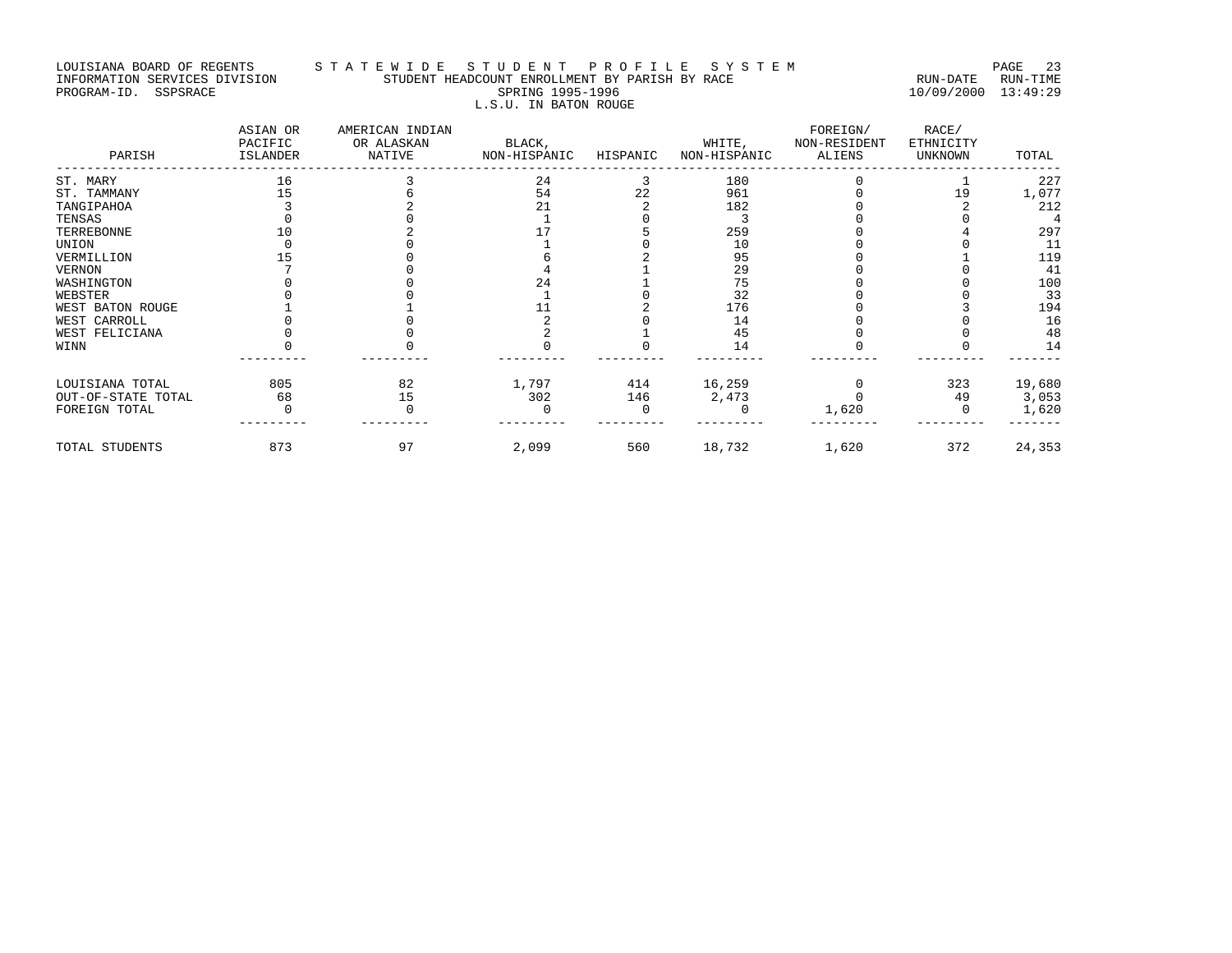#### LOUISIANA BOARD OF REGENTS STA TE WIDE STUDE NT PROFILE SYSTEM SOARD OF RAGE 23 INFORMATION SERVICES DIVISION STUDENT HEADCOUNT ENROLLMENT BY PARISH BY RACE RUN-DATE RUN-TIME PROGRAM-ID. SSPSRACE SPRING 1995-1996 10/09/2000 13:49:29 L.S.U. IN BATON ROUGE

| PARISH             | ASIAN OR<br>PACIFIC<br>ISLANDER | AMERICAN INDIAN<br>OR ALASKAN<br>NATIVE | BLACK,<br>NON-HISPANIC | HISPANIC | WHITE,<br>NON-HISPANIC | FOREIGN/<br>NON-RESIDENT<br>ALIENS | RACE/<br>ETHNICITY<br><b>UNKNOWN</b> | TOTAL  |
|--------------------|---------------------------------|-----------------------------------------|------------------------|----------|------------------------|------------------------------------|--------------------------------------|--------|
| ST. MARY           | 16                              |                                         | 24                     |          | 180                    |                                    |                                      | 227    |
| ST. TAMMANY        | 1.5                             |                                         | 54                     | 22       | 961                    |                                    | 19                                   | 1,077  |
| TANGIPAHOA         |                                 |                                         | 21                     |          | 182                    |                                    |                                      | 212    |
| TENSAS             |                                 |                                         |                        |          |                        |                                    |                                      |        |
| TERREBONNE         |                                 |                                         |                        |          | 259                    |                                    |                                      | 297    |
| UNION              |                                 |                                         |                        |          | 10                     |                                    |                                      | 11     |
| VERMILLION         |                                 |                                         |                        |          | 95                     |                                    |                                      | 119    |
| VERNON             |                                 |                                         |                        |          | 29                     |                                    |                                      | 41     |
| WASHINGTON         |                                 |                                         | 24                     |          | 75                     |                                    |                                      | 100    |
| WEBSTER            |                                 |                                         |                        |          | 32                     |                                    |                                      | 33     |
| WEST BATON ROUGE   |                                 |                                         |                        |          | 176                    |                                    |                                      | 194    |
| WEST CARROLL       |                                 |                                         |                        |          | 14                     |                                    |                                      | 16     |
| WEST FELICIANA     |                                 |                                         |                        |          | 45                     |                                    |                                      | 48     |
| WINN               |                                 |                                         |                        |          | 14                     |                                    |                                      | 14     |
| LOUISIANA TOTAL    | 805                             | 82                                      | 1,797                  | 414      | 16,259                 |                                    | 323                                  | 19,680 |
| OUT-OF-STATE TOTAL | 68                              | 15                                      | 302                    | 146      | 2,473                  |                                    | 49                                   | 3,053  |
| FOREIGN TOTAL      |                                 |                                         |                        |          |                        | 1,620                              |                                      | 1,620  |
| TOTAL STUDENTS     | 873                             | 97                                      | 2,099                  | 560      | 18,732                 | 1,620                              | 372                                  | 24,353 |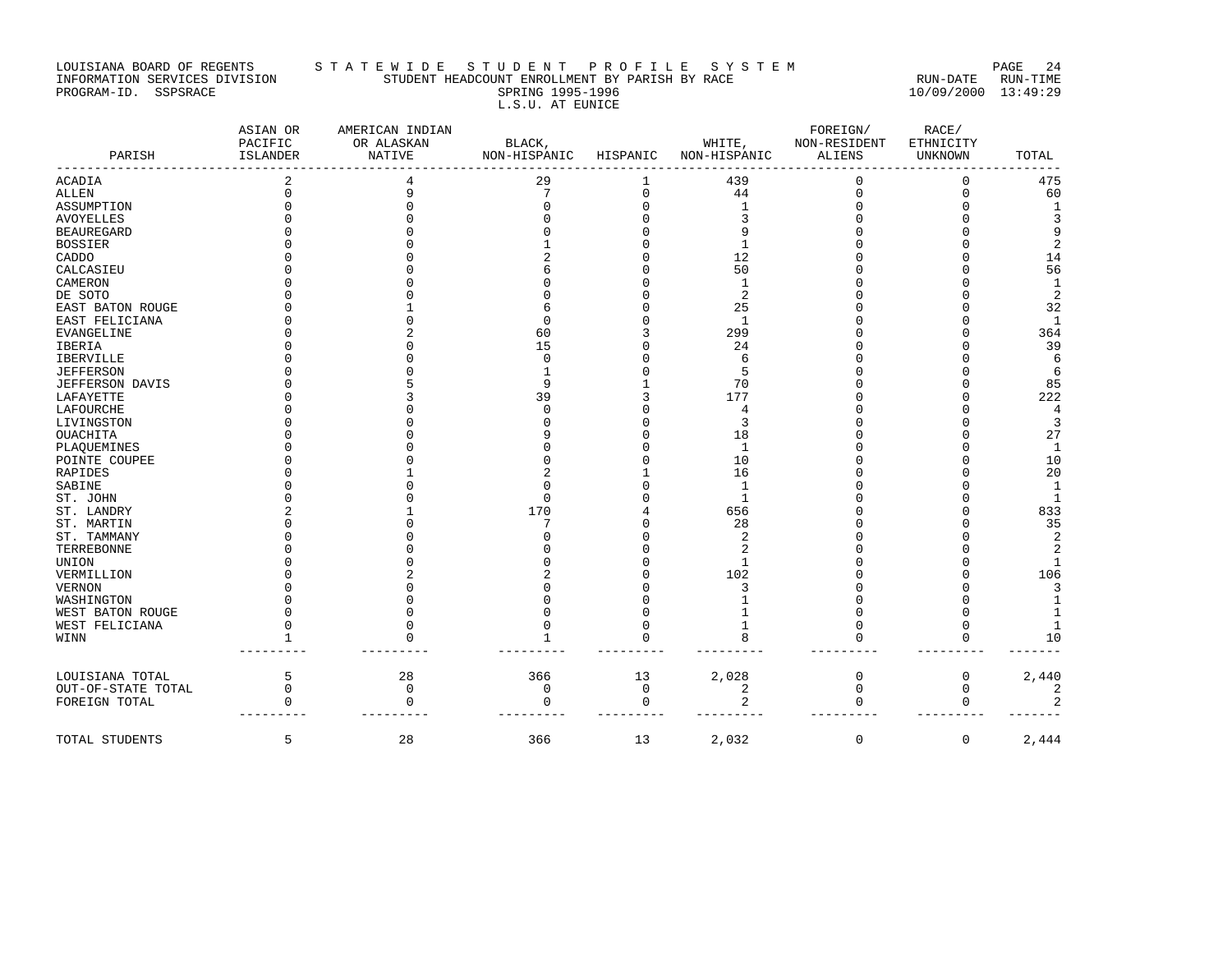#### LOUISIANA BOARD OF REGENTS STA TE WIDE STUDENT PROFILE SYSTEM PAGE 24 INFORMATION SERVICES DIVISION STUDENT HEADCOUNT ENROLLMENT BY PARISH BY RACE RUN-DATE RUN-TIME PROGRAM-ID. SSPSRACE SPRING 1995-1996 10/09/2000 13:49:29 L.S.U. AT EUNICE

| PARISH             | ASIAN OR<br>PACIFIC<br>ISLANDER | AMERICAN INDIAN<br>OR ALASKAN<br><b>NATIVE</b> | BLACK,<br>NON-HISPANIC | HISPANIC    | WHITE,<br>NON-HISPANIC | FOREIGN/<br>NON-RESIDENT<br>ALIENS | RACE/<br>ETHNICITY<br><b>UNKNOWN</b> | TOTAL                   |
|--------------------|---------------------------------|------------------------------------------------|------------------------|-------------|------------------------|------------------------------------|--------------------------------------|-------------------------|
| <b>ACADIA</b>      |                                 |                                                | 29                     | 1           | 439                    | 0                                  | $\mathbf 0$                          | 475                     |
| ALLEN              | Ω                               | 9                                              | 7                      | $\mathsf 0$ | 44                     | 0                                  | 0                                    | 60                      |
| ASSUMPTION         |                                 |                                                |                        | $\Omega$    |                        |                                    |                                      | $\mathbf{1}$            |
| <b>AVOYELLES</b>   |                                 |                                                |                        |             |                        |                                    |                                      | 3                       |
| <b>BEAUREGARD</b>  |                                 |                                                |                        |             |                        |                                    |                                      | 9                       |
| <b>BOSSIER</b>     |                                 |                                                |                        |             |                        |                                    |                                      | $\overline{\mathbf{c}}$ |
| CADDO              |                                 |                                                |                        |             | 12                     |                                    |                                      | 14                      |
| CALCASIEU          |                                 |                                                |                        |             | 50                     |                                    |                                      | 56                      |
| CAMERON            |                                 |                                                |                        |             |                        |                                    |                                      | $\mathbf{1}$            |
| DE SOTO            |                                 |                                                |                        |             | 2                      |                                    |                                      | $\sqrt{2}$              |
| EAST BATON ROUGE   |                                 |                                                |                        |             | 25                     |                                    |                                      | 32                      |
| EAST FELICIANA     |                                 |                                                |                        |             | 1                      |                                    |                                      | <sup>1</sup>            |
| EVANGELINE         |                                 |                                                | 60                     |             | 299                    |                                    |                                      | 364                     |
| IBERIA             |                                 |                                                | 15                     | $\Omega$    | 24                     |                                    |                                      | 39                      |
| IBERVILLE          |                                 |                                                | $\Omega$               |             | 6                      |                                    |                                      | 6                       |
| <b>JEFFERSON</b>   |                                 |                                                |                        |             | 5                      |                                    |                                      | 6                       |
| JEFFERSON DAVIS    |                                 |                                                | q                      |             | 70                     |                                    |                                      | 85                      |
| LAFAYETTE          |                                 |                                                | 39                     |             | 177                    |                                    |                                      | 222                     |
| LAFOURCHE          |                                 |                                                |                        |             | 4                      |                                    |                                      | 4                       |
| LIVINGSTON         |                                 |                                                |                        |             | 3                      |                                    |                                      | 3                       |
| OUACHITA           |                                 |                                                |                        |             | 18                     |                                    |                                      | 27                      |
| PLAQUEMINES        |                                 |                                                |                        |             | -1                     |                                    |                                      | $\mathbf{1}$            |
| POINTE COUPEE      |                                 |                                                |                        |             | 10                     |                                    |                                      | 10                      |
| RAPIDES            |                                 |                                                |                        |             | 16                     |                                    |                                      | 20                      |
| SABINE             |                                 |                                                |                        |             | 1                      |                                    |                                      | $\mathbf{1}$            |
| ST. JOHN           |                                 |                                                | O                      |             |                        |                                    |                                      | $\mathbf{1}$            |
| ST. LANDRY         |                                 |                                                | 170                    |             | 656                    |                                    |                                      | 833                     |
| ST. MARTIN         |                                 |                                                |                        |             | 28                     |                                    |                                      | 35                      |
| ST. TAMMANY        |                                 |                                                |                        |             | $\overline{c}$         |                                    |                                      | $\sqrt{2}$              |
| TERREBONNE         |                                 |                                                |                        |             | 2                      |                                    |                                      | $\overline{2}$          |
| UNION              |                                 |                                                |                        |             |                        |                                    |                                      | $\mathbf{1}$            |
| VERMILLION         |                                 |                                                |                        |             | 102                    |                                    |                                      | 106                     |
| VERNON             |                                 |                                                |                        |             | 3                      |                                    |                                      | 3                       |
| WASHINGTON         |                                 |                                                |                        |             |                        |                                    |                                      | $\mathbf{1}$            |
| WEST BATON ROUGE   |                                 |                                                |                        |             |                        |                                    |                                      | $\mathbf{1}$            |
| WEST FELICIANA     |                                 |                                                |                        |             |                        |                                    | n                                    | $\mathbf{1}$            |
| WINN               |                                 |                                                |                        |             |                        |                                    | $\cap$                               | 10                      |
| LOUISIANA TOTAL    | 5                               | 28                                             | 366                    | 13          | 2,028                  | $\mathbf 0$                        | 0                                    | 2,440                   |
| OUT-OF-STATE TOTAL | $\Omega$                        | $\mathbf{0}$                                   | 0                      | 0           | 2                      | 0                                  | 0                                    | 2                       |
| FOREIGN TOTAL      |                                 |                                                | O                      | 0           | $\overline{c}$         |                                    | $\Omega$                             | 2                       |
| TOTAL STUDENTS     | 5                               | 28                                             | 366                    | 13          | 2,032                  | $\mathbf 0$                        | $\mathbf 0$                          | 2,444                   |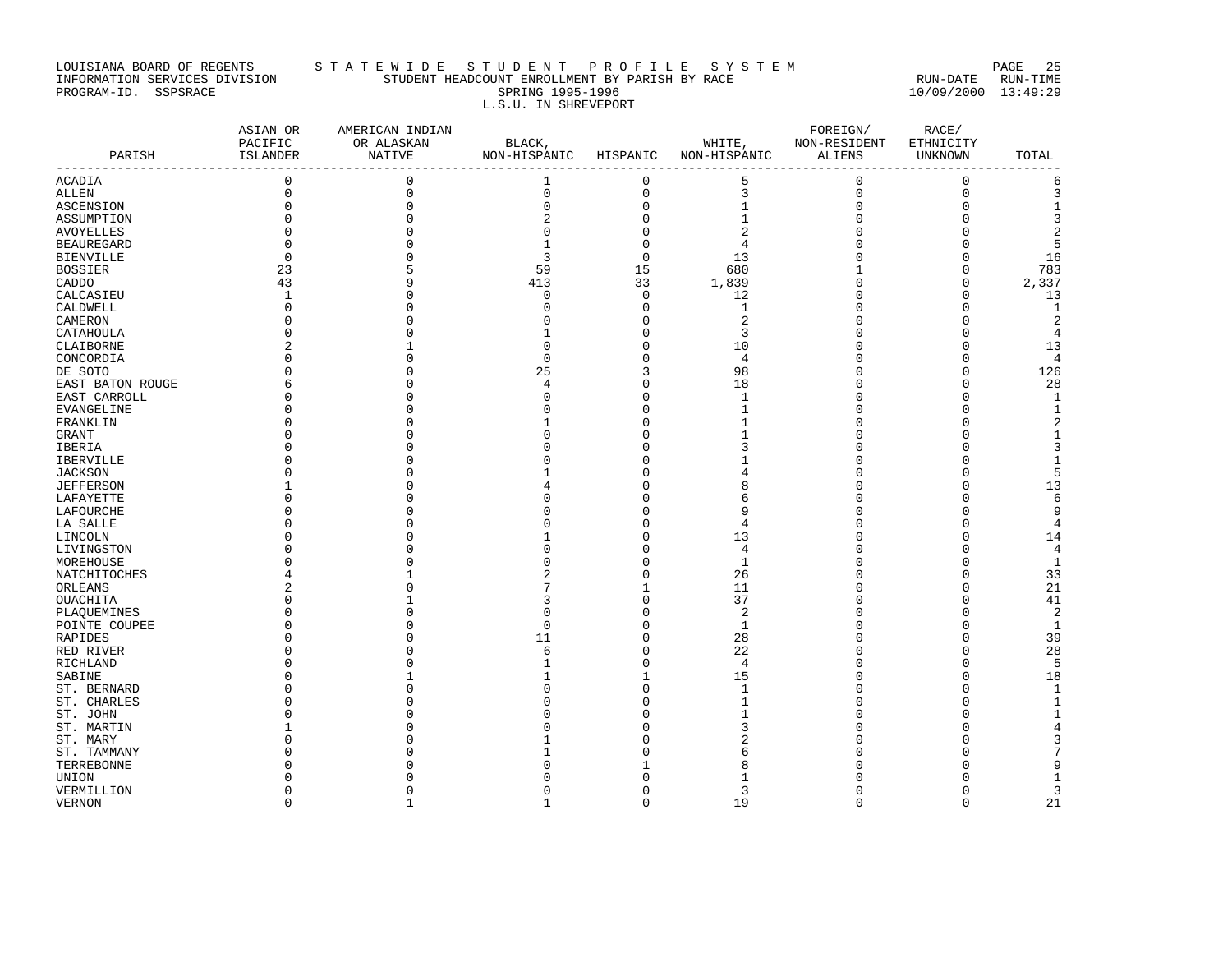#### LOUISIANA BOARD OF REGENTS S T A T E W I D E S T U D E N T P R O F I L E S Y S T E M PAGE 25 INFORMATION SERVICES DIVISION STUDENT HEADCOUNT ENROLLMENT BY PARISH BY RACE RUN-DATE RUN-TIME PROGRAM-ID. SSPSRACE SPRING 1995-1996 10/09/2000 13:49:29 L.S.U. IN SHREVEPORT

| PARISH              | ASIAN OR<br>PACIFIC<br>ISLANDER | AMERICAN INDIAN<br>OR ALASKAN<br>NATIVE | BLACK,<br>NON-HISPANIC HISPANIC |              | WHITE,<br>NON-HISPANIC  | FOREIGN/<br>NON-RESIDENT<br>ALIENS | RACE/<br>ETHNICITY<br>UNKNOWN | TOTAL               |
|---------------------|---------------------------------|-----------------------------------------|---------------------------------|--------------|-------------------------|------------------------------------|-------------------------------|---------------------|
| ACADIA              | $\mathbf 0$                     | $\mathbf 0$                             | $\mathbf{1}$                    | $\mathbf 0$  | 5                       | $\mathbf 0$                        | $\mathbf 0$                   | $- - - -$<br>6      |
| ALLEN               | $\mathbf 0$                     | $\mathbf 0$                             | $\mathbf 0$                     | $\mathsf 0$  | 3                       | $\mathbf 0$                        | $\mathbf{0}$                  | $\overline{3}$      |
|                     | $\mathbf 0$                     | $\Omega$                                | $\Omega$                        | $\mathbf 0$  | $\mathbf{1}$            | 0                                  | $\Omega$                      | $1\,$               |
| ASCENSION           | $\Omega$                        | $\cap$                                  |                                 | $\mathbf 0$  | $1\,$                   | $\mathbf 0$                        |                               |                     |
| ASSUMPTION          | $\Omega$                        |                                         |                                 | $\mathbf 0$  | $\overline{2}$          | $\Omega$                           |                               | 3<br>$\overline{2}$ |
| <b>AVOYELLES</b>    | $\Omega$                        |                                         |                                 | $\mathbf 0$  | 4                       | $\Omega$                           |                               | 5                   |
| <b>BEAUREGARD</b>   |                                 |                                         |                                 | $\mathbf 0$  |                         |                                    |                               |                     |
| <b>BIENVILLE</b>    | $\mathbf 0$                     |                                         | 3<br>59                         |              | 13<br>680               | $\mathbf 0$                        | $\Omega$                      | 16                  |
| <b>BOSSIER</b>      | 23                              |                                         |                                 | 15           |                         | $\mathbf{1}$                       |                               | 783                 |
| CADDO               | 43                              |                                         | 413                             | 33           | 1,839                   | 0                                  | O                             | 2,337               |
| CALCASIEU           | 1                               |                                         | $\Omega$                        | $\mathbf 0$  | 12                      | 0                                  | O                             | 13                  |
| CALDWELL            | $\mathbf 0$                     |                                         |                                 | $\mathbf 0$  | $\mathbf{1}$            | $\Omega$                           | O                             | $\mathbf{1}$        |
| CAMERON             | $\Omega$                        |                                         |                                 | $\mathbf 0$  | $\overline{\mathbf{c}}$ | $\Omega$                           | O                             | $\overline{c}$      |
| CATAHOULA           | $\Omega$                        |                                         |                                 | $\mathbf 0$  | 3                       | $\Omega$                           | $\Omega$                      | $\overline{4}$      |
| CLAIBORNE           | 2                               |                                         |                                 | $\mathbf 0$  | 10                      | $\Omega$                           | O                             | 13                  |
| CONCORDIA           | $\Omega$                        | n                                       | O                               | $\Omega$     | 4                       | 0                                  | $\Omega$                      | 4                   |
| DE SOTO             |                                 |                                         | 25                              | 3            | 98                      | $\Omega$                           | $\Omega$                      | 126                 |
| EAST BATON ROUGE    |                                 |                                         |                                 | $\Omega$     | 18                      | $\Omega$                           | $\Omega$                      | 28                  |
| EAST CARROLL        |                                 |                                         |                                 | $\cap$       | 1                       | U                                  | n                             | $\mathbf{1}$        |
| <b>EVANGELINE</b>   | C                               |                                         |                                 | $\Omega$     | $\mathbf{1}$            | $\Omega$                           | O                             | $\mathbf{1}$        |
| FRANKLIN            |                                 |                                         |                                 | $\Omega$     | 1                       | $\Omega$                           |                               | $\boldsymbol{2}$    |
| GRANT               |                                 |                                         |                                 | $\Omega$     | $\mathbf{1}$            | $\Omega$                           |                               | 1                   |
| IBERIA              |                                 |                                         |                                 | $\Omega$     | 3                       | $\Omega$                           |                               | 3                   |
| IBERVILLE           | O                               |                                         |                                 | $\Omega$     | $\mathbf{1}$            | $\Omega$                           |                               | $\mathbf{1}$        |
| <b>JACKSON</b>      |                                 |                                         |                                 | $\Omega$     | 4                       | $\Omega$                           |                               | 5                   |
| <b>JEFFERSON</b>    |                                 |                                         |                                 | $\Omega$     | 8                       | $\Omega$                           |                               | 13                  |
| LAFAYETTE           |                                 |                                         |                                 | $\cap$       | 6                       | $\Omega$                           |                               | 6                   |
| LAFOURCHE           |                                 |                                         |                                 | $\Omega$     | 9                       | $\Omega$                           | ∩                             | 9                   |
| LA SALLE            |                                 |                                         |                                 | $\Omega$     | 4                       | $\Omega$                           | O                             | $\overline{4}$      |
| LINCOLN             |                                 |                                         |                                 | $\Omega$     | 13                      | $\Omega$                           | ∩                             | 14                  |
| LIVINGSTON          |                                 |                                         |                                 | $\Omega$     | 4                       | $\Omega$                           |                               | 4                   |
| MOREHOUSE           |                                 |                                         |                                 | $\Omega$     | $\mathbf{1}$            | $\Omega$                           |                               | $1\,$               |
| <b>NATCHITOCHES</b> |                                 |                                         |                                 | $\Omega$     | 26                      | $\Omega$                           | $\Omega$                      | 33                  |
| ORLEANS             | 2                               |                                         |                                 | $\mathbf{1}$ | 11                      | $\Omega$                           | $\Omega$                      | 21                  |
| OUACHITA            |                                 |                                         |                                 | $\mathbf 0$  | 37                      | $\Omega$                           | O                             | 41                  |
| PLAQUEMINES         |                                 |                                         |                                 | $\Omega$     | $\overline{2}$          | $\Omega$                           | ∩                             | $\overline{c}$      |
| POINTE COUPEE       | C                               |                                         | O                               | $\Omega$     | $\mathbf{1}$            | $\Omega$                           | O                             | $\mathbf{1}$        |
| RAPIDES             |                                 |                                         | 11                              | $\mathbf 0$  | 28                      | $\Omega$                           |                               | 39                  |
| RED RIVER           |                                 |                                         |                                 | $\Omega$     | 22                      | $\Omega$                           | $\Omega$                      | 28                  |
| RICHLAND            |                                 |                                         |                                 | $\mathbf 0$  | 4                       | $\Omega$                           | O                             | 5                   |
| SABINE              |                                 |                                         |                                 | 1            | 15                      | $\Omega$                           | O                             | 18                  |
| ST. BERNARD         |                                 |                                         |                                 | $\mathbf 0$  | 1                       | $\Omega$                           | ∩                             | $\mathbf{1}$        |
| ST. CHARLES         |                                 |                                         |                                 | $\Omega$     | 1                       | $\Omega$                           |                               | $\mathbf{1}$        |
| ST. JOHN            |                                 |                                         |                                 | $\cap$       | 1                       | $\Omega$                           |                               | $\mathbf{1}$        |
| ST. MARTIN          |                                 |                                         |                                 | $\Omega$     | 3                       | $\Omega$                           |                               | $\overline{4}$      |
|                     | C                               |                                         |                                 | $\cap$       |                         | $\Omega$                           |                               | 3                   |
| ST. MARY            |                                 |                                         |                                 |              | 2                       |                                    |                               | 7                   |
| ST. TAMMANY         |                                 |                                         |                                 |              | 6                       | O<br>U                             |                               |                     |
| TERREBONNE          |                                 |                                         |                                 |              | 8                       |                                    |                               | 9                   |
| UNION               |                                 |                                         |                                 |              | 1                       | U                                  |                               | 1                   |
| VERMILLION          | $\Omega$                        |                                         |                                 | $\Omega$     | 3                       | $\Omega$                           | $\Omega$                      | 3                   |
| VERNON              | $\Omega$                        | $\mathbf{1}$                            |                                 | $\Omega$     | 19                      | $\Omega$                           | $\Omega$                      | 21                  |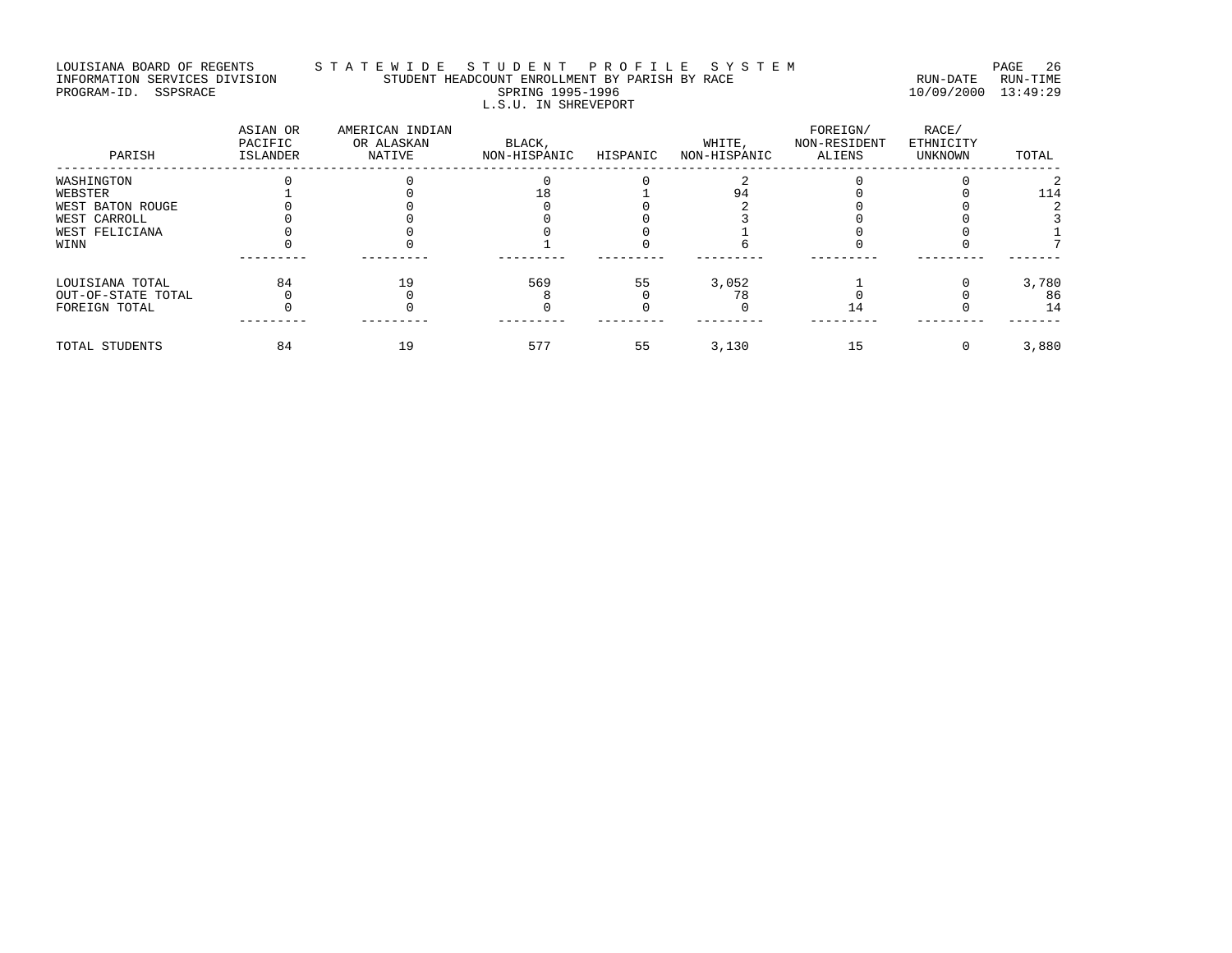# LOUISIANA BOARD OF REGENTS STA TE WIDE STUDENT PROFILE SYSTEM PAGE 26 INFORMATION SERVICES DIVISION STUDENT HEADCOUNT ENROLLMENT BY PARISH BY RACE RUN-DATE RUN-TIME PROGRAM-ID. SSPSRACE SPRING 1995-1996 10/09/2000 13:49:29 L.S.U. IN SHREVEPORT

| PARISH             | ASIAN OR<br>PACIFIC<br>ISLANDER | AMERICAN INDIAN<br>OR ALASKAN<br>NATIVE | BLACK,<br>NON-HISPANIC | HISPANIC | WHITE,<br>NON-HISPANIC | FOREIGN/<br>NON-RESIDENT<br>ALIENS | RACE/<br>ETHNICITY<br>UNKNOWN | TOTAL |
|--------------------|---------------------------------|-----------------------------------------|------------------------|----------|------------------------|------------------------------------|-------------------------------|-------|
| WASHINGTON         |                                 |                                         |                        |          |                        |                                    |                               |       |
| WEBSTER            |                                 |                                         |                        |          |                        |                                    |                               | 114   |
| WEST BATON ROUGE   |                                 |                                         |                        |          |                        |                                    |                               |       |
| WEST CARROLL       |                                 |                                         |                        |          |                        |                                    |                               |       |
| WEST FELICIANA     |                                 |                                         |                        |          |                        |                                    |                               |       |
| WINN               |                                 |                                         |                        |          |                        |                                    |                               |       |
| LOUISIANA TOTAL    | 84                              | 19                                      | 569                    | 55       | 3,052                  |                                    |                               | 3,780 |
| OUT-OF-STATE TOTAL |                                 |                                         |                        |          | 78                     |                                    |                               | 86    |
| FOREIGN TOTAL      |                                 |                                         |                        |          |                        | 14                                 |                               | 14    |
| TOTAL STUDENTS     | 84                              |                                         | 577                    | 55       | 3,130                  |                                    |                               | 3,880 |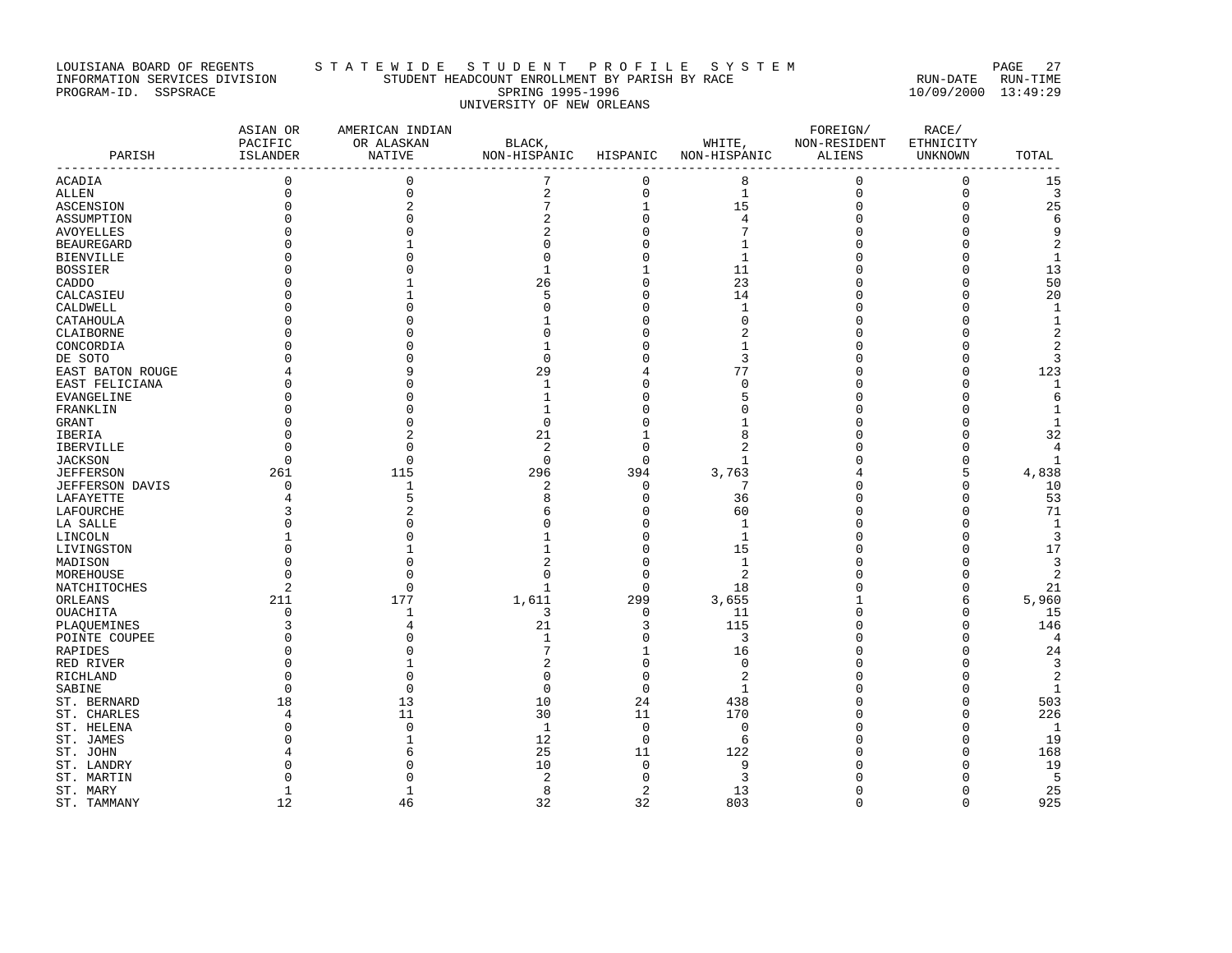# LOUISIANA BOARD OF REGENTS STA TE WIDE STUDE NT PROFILE SYSTEM SOARD OF RAGE 27 INFORMATION SERVICES DIVISION STUDENT HEADCOUNT ENROLLMENT BY PARISH BY RACE RUN-DATE RUN-TIME PROGRAM-ID. SSPSRACE SPRING 1995-1996 10/09/2000 13:49:29 UNIVERSITY OF NEW ORLEANS

| PARISH                | ASIAN OR<br>PACIFIC<br>ISLANDER<br>---------------------- | AMERICAN INDIAN<br>OR ALASKAN<br>NATIVE | BLACK,<br>NON-HISPANIC HISPANIC |               | WHITE,<br>NON-HISPANIC | FOREIGN/<br>NON-RESIDENT<br>ALIENS | RACE/<br>ETHNICITY<br>UNKNOWN | TOTAL          |
|-----------------------|-----------------------------------------------------------|-----------------------------------------|---------------------------------|---------------|------------------------|------------------------------------|-------------------------------|----------------|
| ACADIA                | 0                                                         | 0                                       | 7                               | 0             | 8                      | 0                                  | 0                             | 15             |
| ALLEN                 | 0                                                         | $\mathbf 0$                             | $\overline{2}$                  | $\mathbf 0$   | $\mathbf{1}$           | $\mathsf 0$                        | $\mathbf 0$                   | $\overline{3}$ |
| ASCENSION             | $\Omega$                                                  | 2                                       | 7                               | 1             | 15                     | $\Omega$                           | $\Omega$                      | 25             |
| ASSUMPTION            |                                                           | U                                       | $\mathcal{D}$                   | $\Omega$      |                        |                                    |                               | 6              |
| AVOYELLES             |                                                           | O                                       |                                 | $\Omega$      |                        |                                    | <sup>0</sup>                  | 9              |
| BEAUREGARD            |                                                           |                                         | n                               | O             |                        |                                    |                               | 2              |
| BIENVILLE             |                                                           |                                         |                                 | $\Omega$      |                        |                                    |                               |                |
| BOSSIER               |                                                           | Ω                                       | -1                              |               | 11                     |                                    | ∩                             | 13             |
| CADDO                 |                                                           |                                         | 26                              | $\Omega$      | 23                     |                                    | U                             | 50             |
| CALCASIEU             |                                                           |                                         | 5                               | 0             | 14                     | C                                  | <sup>0</sup>                  | 20             |
| CALDWELL              |                                                           |                                         | $\cap$                          | $\Omega$      |                        |                                    | U                             | 1              |
| CATAHOULA             |                                                           |                                         |                                 | O             | C                      |                                    |                               |                |
| CLAIBORNE             |                                                           |                                         |                                 | O             |                        |                                    |                               | 2              |
| CONCORDIA             |                                                           |                                         | -1                              | C             |                        |                                    | U                             |                |
| DE SOTO               |                                                           |                                         | $\Omega$                        |               | 3                      |                                    | <sup>0</sup>                  | 3              |
| EAST BATON ROUGE      |                                                           | q                                       | 29                              |               | 77                     |                                    | <sup>0</sup>                  | 123            |
| EAST FELICIANA        |                                                           | U                                       | -1                              | C             | C                      |                                    |                               |                |
| EVANGELINE            |                                                           | O                                       | 1                               | O             |                        |                                    | O                             | 6              |
| FRANKLIN              |                                                           |                                         | -1                              | C             |                        |                                    |                               |                |
| GRANT                 |                                                           | O                                       | $\mathbf 0$                     |               |                        |                                    | <sup>0</sup>                  |                |
| IBERIA                |                                                           | 2                                       | 21                              |               |                        |                                    | U                             | 32             |
| IBERVILLE             | O                                                         | O                                       | $\overline{2}$                  | $\mathbf 0$   |                        |                                    | <sup>0</sup>                  | 4              |
| JACKSON               | 0                                                         | 0                                       | 0                               | 0             | 1                      |                                    | $\Omega$                      | 1              |
| JEFFERSON             | 261                                                       | 115                                     | 296                             | 394           | 3,763                  |                                    | 5                             | 4,838          |
| JEFFERSON DAVIS       | O                                                         | 1                                       | 2                               | 0             | 7                      |                                    | $\Omega$                      | 10             |
| LAFAYETTE             |                                                           | 5<br>2                                  |                                 | $\Omega$      | 36                     |                                    | <sup>n</sup><br>U             | 53             |
| LAFOURCHE             |                                                           | O                                       |                                 | 0<br>$\Omega$ | 60                     |                                    |                               | 71             |
| LA SALLE              |                                                           | $\Omega$                                |                                 | $\Omega$      | -1                     |                                    |                               | 1<br>3         |
| LINCOLN<br>LIVINGSTON |                                                           | -1                                      |                                 | $\Omega$      | 15                     |                                    |                               | 17             |
| MADISON               |                                                           | U                                       |                                 | $\Omega$      | 1                      |                                    | n                             | 3              |
| MOREHOUSE             | U                                                         | O                                       |                                 | $\mathbf 0$   | 2                      |                                    | <sup>0</sup>                  | 2              |
| NATCHITOCHES          | 2                                                         | 0                                       | -1                              | 0             | 18                     |                                    | $\Omega$                      | 21             |
| ORLEANS               | 211                                                       | 177                                     | 1,611                           | 299           | 3,655                  |                                    | 6                             | 5,960          |
| OUACHITA              | O                                                         | 1                                       | 3                               | 0             | 11                     | n                                  | $\Omega$                      | 15             |
| PLAQUEMINES           | 3                                                         | 4                                       | 21                              | 3             | 115                    | ∩                                  | <sup>0</sup>                  | 146            |
| POINTE COUPEE         |                                                           | O                                       | 1                               | 0             | 3                      |                                    |                               | 4              |
| RAPIDES               |                                                           | O                                       |                                 |               | 16                     |                                    | <sup>0</sup>                  | 24             |
| RED RIVER             |                                                           | -1                                      | $\mathcal{D}$                   | $\Omega$      | $\Omega$               |                                    | U                             | 3              |
| RICHLAND              |                                                           | O                                       | $\Omega$                        | 0             |                        |                                    | <sup>0</sup>                  | 2              |
| SABINE                | U                                                         | 0                                       | $\Omega$                        | $\mathbf 0$   | -1                     |                                    | $\cap$                        | 1              |
| ST. BERNARD           | 18                                                        | 13                                      | 10                              | 24            | 438                    |                                    | $\Omega$                      | 503            |
| ST. CHARLES           | 4                                                         | 11                                      | 30                              | 11            | 170                    |                                    |                               | 226            |
| ST. HELENA            |                                                           | $\Omega$                                | $\mathbf{1}$                    | $\mathbf 0$   | $\Omega$               |                                    | <sup>0</sup>                  | 1              |
| ST. JAMES             |                                                           |                                         | 12                              | 0             | 6                      |                                    | 0                             | 19             |
| ST. JOHN              |                                                           | 6                                       | 25                              | 11            | 122                    |                                    | $\cap$                        | 168            |
| ST. LANDRY            |                                                           | n                                       | 10                              | $\mathbf 0$   | 9                      |                                    |                               | 19             |
| ST. MARTIN            |                                                           |                                         | $\mathcal{L}$                   | $\Omega$      | 3                      |                                    |                               | -5             |
| ST. MARY              |                                                           |                                         | 8                               | 2             | 13                     | n                                  | $\Omega$                      | 25             |
| ST. TAMMANY           | 12                                                        | 46                                      | 32                              | 32            | 803                    | $\Omega$                           | $\Omega$                      | 925            |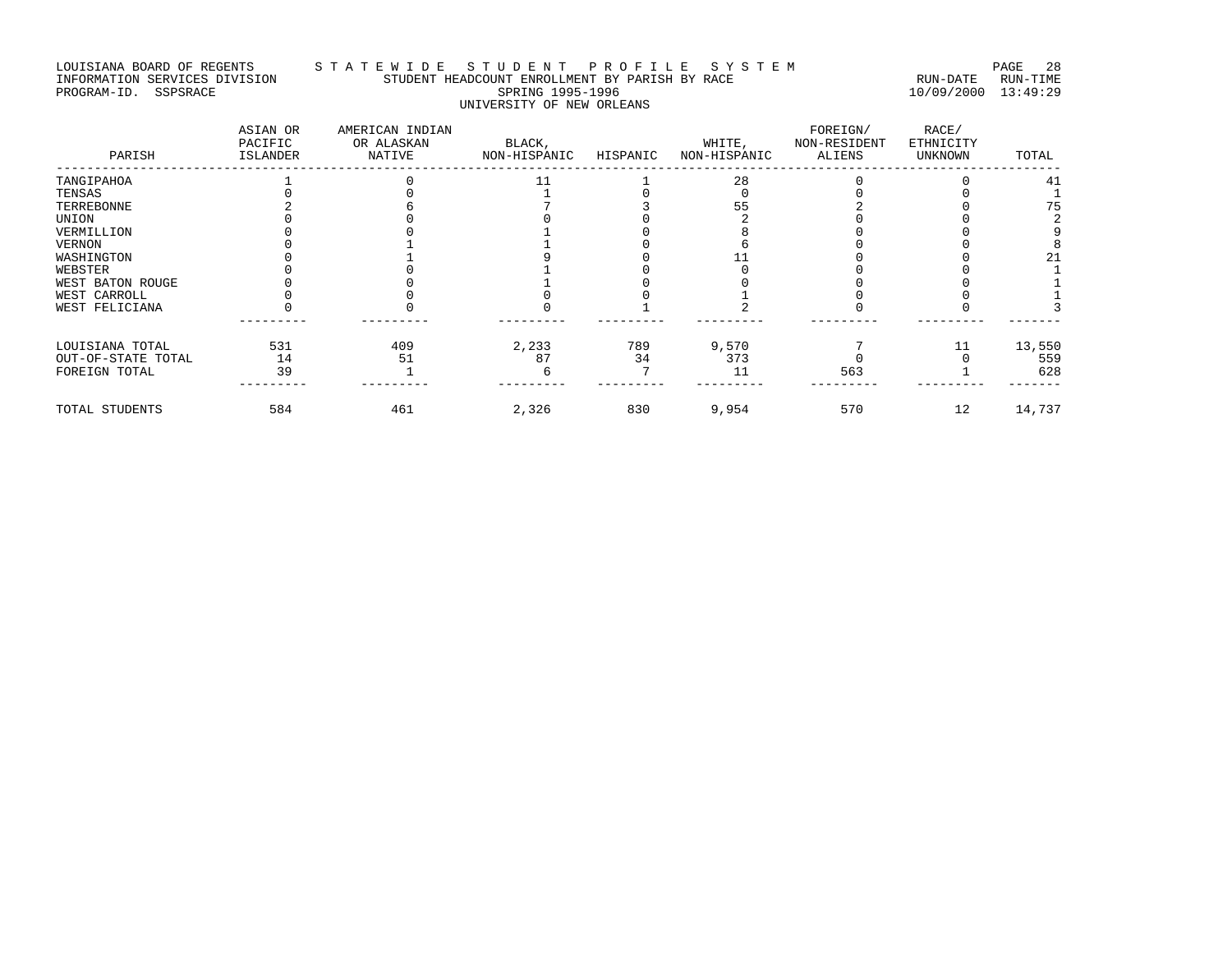# LOUISIANA BOARD OF REGENTS STA TE WIDE STUDENT PROFILE SYSTEM PAGE 28 INFORMATION SERVICES DIVISION STUDENT HEADCOUNT ENROLLMENT BY PARISH BY RACE RUN-DATE RUN-TIME PROGRAM-ID. SSPSRACE SPRING 1995-1996 10/09/2000 13:49:29 UNIVERSITY OF NEW ORLEANS

| PARISH             | ASIAN OR<br>PACIFIC<br>ISLANDER | AMERICAN INDIAN<br>OR ALASKAN<br>NATIVE | BLACK,<br>NON-HISPANIC | HISPANIC | WHITE,<br>NON-HISPANIC | FOREIGN/<br>NON-RESIDENT<br>ALIENS | RACE/<br>ETHNICITY<br><b>UNKNOWN</b> | TOTAL  |
|--------------------|---------------------------------|-----------------------------------------|------------------------|----------|------------------------|------------------------------------|--------------------------------------|--------|
| TANGIPAHOA         |                                 |                                         |                        |          | 28                     |                                    |                                      |        |
| TENSAS             |                                 |                                         |                        |          |                        |                                    |                                      |        |
| TERREBONNE         |                                 |                                         |                        |          |                        |                                    |                                      | 75     |
| UNION              |                                 |                                         |                        |          |                        |                                    |                                      |        |
| VERMILLION         |                                 |                                         |                        |          |                        |                                    |                                      |        |
| VERNON             |                                 |                                         |                        |          |                        |                                    |                                      |        |
| WASHINGTON         |                                 |                                         |                        |          |                        |                                    |                                      | 21     |
| WEBSTER            |                                 |                                         |                        |          |                        |                                    |                                      |        |
| WEST BATON ROUGE   |                                 |                                         |                        |          |                        |                                    |                                      |        |
| WEST CARROLL       |                                 |                                         |                        |          |                        |                                    |                                      |        |
| WEST FELICIANA     |                                 |                                         |                        |          |                        |                                    |                                      |        |
| LOUISIANA TOTAL    | 531                             | 409                                     | 2,233                  | 789      | 9,570                  |                                    | 11                                   | 13,550 |
| OUT-OF-STATE TOTAL | 14                              | 51                                      | 87                     | 34       | 373                    |                                    |                                      | 559    |
| FOREIGN TOTAL      | 39                              |                                         |                        |          | 11                     | 563                                |                                      | 628    |
| TOTAL STUDENTS     | 584                             | 461                                     | 2,326                  | 830      | 9,954                  | 570                                | 12                                   | 14,737 |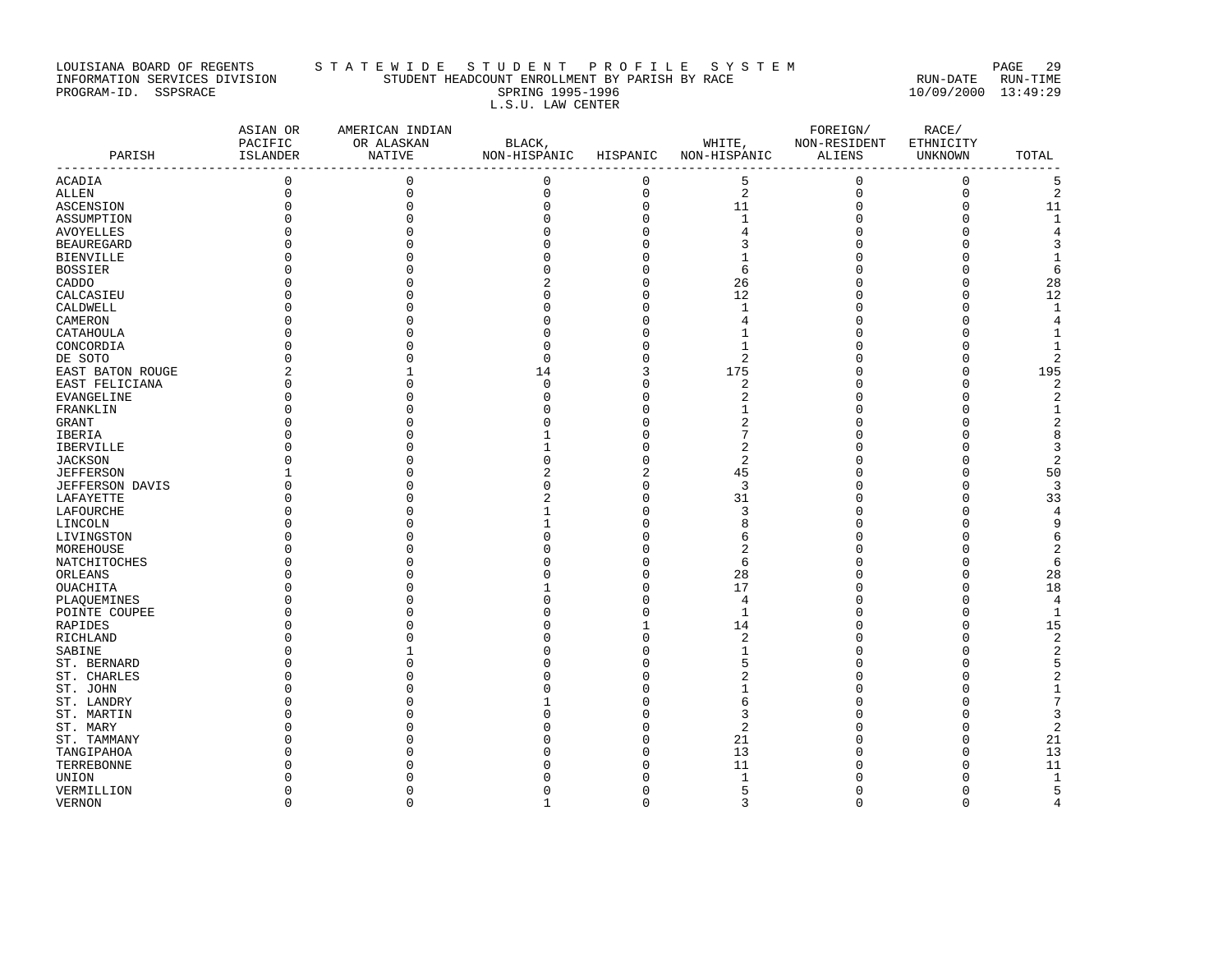#### LOUISIANA BOARD OF REGENTS S T A T E W I D E S T U D E N T P R O F I L E S Y S T E M PAGE 29 INFORMATION SERVICES DIVISION STUDENT HEADCOUNT ENROLLMENT BY PARISH BY RACE RUN-DATE RUN-TIME PROGRAM-ID. SSPSRACE SPRING 1995-1996 10/09/2000 13:49:29 L.S.U. LAW CENTER

| PARISH                     | ASIAN OR<br>PACIFIC<br>ISLANDER | AMERICAN INDIAN<br>OR ALASKAN<br>NATIVE | BLACK,<br>NON-HISPANIC HISPANIC |                | NON-HISPANIC ALIENS | FOREIGN/<br>WHITE, NON-RESIDENT | RACE/<br>ETHNICITY<br>UNKNOWN<br>$-- -$ | TOTAL                            |
|----------------------------|---------------------------------|-----------------------------------------|---------------------------------|----------------|---------------------|---------------------------------|-----------------------------------------|----------------------------------|
| ACADIA                     | 0                               | 0                                       | 0                               | 0              | 5                   | 0                               | 0                                       | 5                                |
| ALLEN                      | 0                               | $\mathbf 0$                             | $\mathbf 0$                     | $\mathsf 0$    | 2                   | $\mathbf 0$                     | $\mathbf 0$                             | $\overline{2}$                   |
| ASCENSION                  | $\Omega$                        | $\Omega$                                | O                               | $\mathbf 0$    | 11                  | $\Omega$                        | $\mathbf 0$                             | 11                               |
| ASSUMPTION                 |                                 |                                         |                                 | $\Omega$       | 1                   |                                 | U                                       | 1                                |
| AVOYELLES                  |                                 |                                         |                                 | $\Omega$       | 4                   |                                 |                                         | 4                                |
| BEAUREGARD                 |                                 |                                         |                                 | $\Omega$       |                     |                                 |                                         | 3                                |
| BIENVILLE                  |                                 |                                         |                                 | $\Omega$       |                     |                                 |                                         |                                  |
| BOSSIER                    |                                 |                                         |                                 | $\Omega$       | 6                   |                                 |                                         | 6                                |
| CADDO                      |                                 |                                         |                                 | $\Omega$       | 26                  |                                 |                                         | 28                               |
| CALCASIEU                  |                                 |                                         |                                 | $\Omega$       | 12                  |                                 | $\Omega$                                | 12                               |
| CALDWELL                   |                                 |                                         |                                 | $\Omega$       | 1                   |                                 |                                         | $\mathbf{1}$                     |
| CAMERON                    |                                 |                                         |                                 | $\Omega$       | 4                   |                                 |                                         |                                  |
| CATAHOULA                  |                                 |                                         |                                 | O              | 1                   |                                 |                                         |                                  |
| CONCORDIA                  |                                 |                                         |                                 | $\Omega$       |                     |                                 |                                         | 1                                |
| DE SOTO                    |                                 |                                         | C                               | $\Omega$       | 2                   |                                 | O                                       | 2                                |
| EAST BATON ROUGE           |                                 |                                         | 14                              | 3              | 175                 |                                 | O                                       | 195                              |
| EAST FELICIANA             |                                 |                                         | $\Omega$                        | $\Omega$       | 2                   |                                 | U                                       | $\overline{2}$                   |
| EVANGELINE                 | O                               |                                         |                                 | $\Omega$       | 2                   |                                 |                                         | $\overline{2}$                   |
| FRANKLIN                   |                                 |                                         |                                 | $\Omega$       |                     |                                 |                                         |                                  |
| GRANT                      |                                 |                                         |                                 | $\Omega$       |                     |                                 |                                         | $\overline{2}$                   |
| IBERIA                     |                                 |                                         |                                 | U              |                     |                                 |                                         |                                  |
| IBERVILLE                  |                                 |                                         |                                 | $\Omega$       | 2                   |                                 |                                         | 3                                |
| JACKSON                    |                                 |                                         |                                 | $\Omega$       | 2                   |                                 | O                                       | $\overline{2}$                   |
| JEFFERSON                  |                                 |                                         |                                 | $\overline{2}$ | 45                  |                                 | O                                       | 50                               |
| JEFFERSON DAVIS            |                                 |                                         |                                 | $\Omega$       | 3                   |                                 | O                                       | 3                                |
| LAFAYETTE                  |                                 |                                         |                                 | O              | 31                  |                                 | n                                       | 33                               |
| LAFOURCHE                  |                                 |                                         |                                 | $\Omega$       | 3                   |                                 |                                         | 4                                |
| LINCOLN                    |                                 |                                         |                                 | $\Omega$       | 8                   |                                 |                                         | 9                                |
| LIVINGSTON                 |                                 |                                         |                                 | $\Omega$       | 6                   |                                 |                                         |                                  |
| MOREHOUSE                  |                                 |                                         |                                 | O              | 2                   |                                 |                                         | $\overline{2}$                   |
| NATCHITOCHES               |                                 |                                         |                                 | O              | 6                   |                                 |                                         | 6                                |
| ORLEANS                    |                                 |                                         |                                 | $\Omega$       | 28                  |                                 | O                                       | 28                               |
| OUACHITA                   |                                 |                                         |                                 | $\Omega$       | 17                  |                                 | O                                       | 18                               |
| PLAQUEMINES                |                                 |                                         |                                 | $\Omega$       | 4                   |                                 | O                                       | $\overline{4}$                   |
| POINTE COUPEE              |                                 |                                         |                                 | $\Omega$       | 1                   |                                 | O                                       | $\mathbf{1}$                     |
| RAPIDES                    |                                 |                                         |                                 |                | 14                  |                                 | O                                       | 15                               |
| RICHLAND                   |                                 |                                         |                                 | O              | 2                   |                                 |                                         | $\overline{c}$<br>$\overline{c}$ |
| SABINE                     |                                 |                                         |                                 | O<br>O         |                     |                                 |                                         |                                  |
| ST. BERNARD<br>ST. CHARLES |                                 |                                         |                                 | O              |                     |                                 |                                         |                                  |
| ST. JOHN                   |                                 |                                         |                                 | $\Omega$       |                     |                                 |                                         | 1                                |
| ST. LANDRY                 |                                 |                                         |                                 | $\Omega$       | 6                   |                                 |                                         |                                  |
| ST. MARTIN                 |                                 |                                         |                                 | U              | 3                   |                                 |                                         | 3                                |
| ST. MARY                   |                                 |                                         |                                 | $\Omega$       | $\overline{a}$      |                                 |                                         | $\overline{2}$                   |
| ST. TAMMANY                |                                 |                                         |                                 | $\Omega$       | 21                  |                                 | 0                                       | 21                               |
| TANGIPAHOA                 |                                 |                                         |                                 | $\Omega$       | 13                  |                                 | U                                       | 13                               |
| TERREBONNE                 |                                 |                                         |                                 | O              | 11                  |                                 | U                                       | 11                               |
| UNION                      |                                 |                                         |                                 |                | 1                   |                                 |                                         | $\mathbf{1}$                     |
| VERMILLION                 | O                               |                                         |                                 | $\Omega$       | 5                   |                                 | O                                       | 5                                |
| VERNON                     | $\Omega$                        | $\Omega$                                |                                 | $\Omega$       | 3                   | $\Omega$                        | $\Omega$                                | 4                                |
|                            |                                 |                                         |                                 |                |                     |                                 |                                         |                                  |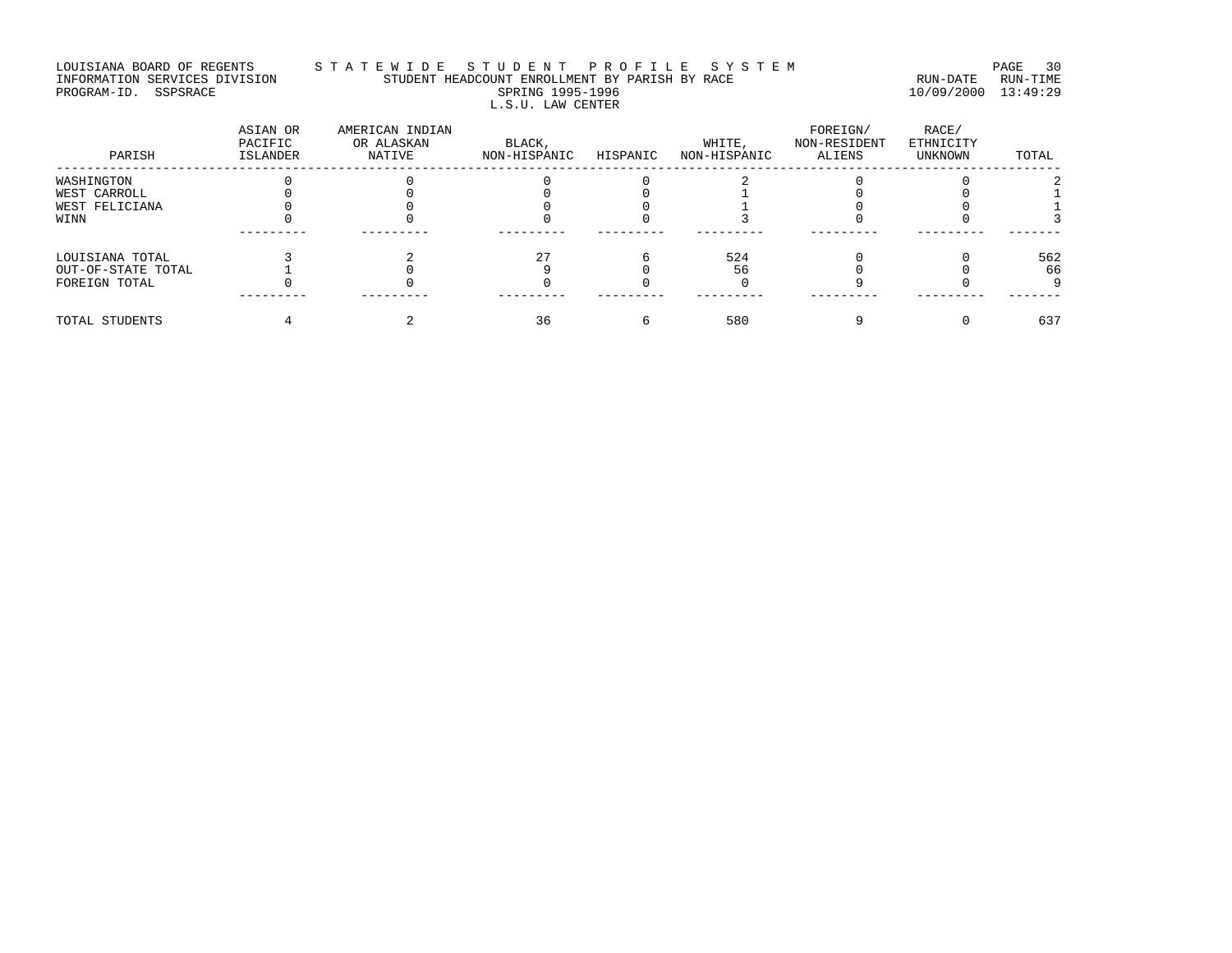#### LOUISIANA BOARD OF REGENTS STA TE WIDE STUDENT PROFILE SYSTEM PAGE 30 INFORMATION SERVICES DIVISION STUDENT HEADCOUNT ENROLLMENT BY PARISH BY RACE RUN-DATE RUN-TIME PROGRAM-ID. SSPSRACE SPRING 1995-1996 10/09/2000 13:49:29 L.S.U. LAW CENTER

| PARISH             | ASIAN OR<br>PACIFIC<br>ISLANDER | AMERICAN INDIAN<br>OR ALASKAN<br>NATIVE | BLACK,<br>NON-HISPANIC | HISPANIC | WHITE,<br>NON-HISPANIC | FOREIGN/<br>NON-RESIDENT<br>ALIENS | RACE/<br>ETHNICITY<br>UNKNOWN | TOTAL |
|--------------------|---------------------------------|-----------------------------------------|------------------------|----------|------------------------|------------------------------------|-------------------------------|-------|
| WASHINGTON         |                                 |                                         |                        |          |                        |                                    |                               |       |
| WEST CARROLL       |                                 |                                         |                        |          |                        |                                    |                               |       |
| WEST FELICIANA     |                                 |                                         |                        |          |                        |                                    |                               |       |
| WINN               |                                 |                                         |                        |          |                        |                                    |                               |       |
| LOUISIANA TOTAL    |                                 |                                         | 27                     |          | 524                    |                                    |                               | 562   |
| OUT-OF-STATE TOTAL |                                 |                                         |                        |          | 56                     |                                    |                               | 66    |
| FOREIGN TOTAL      |                                 |                                         |                        |          |                        |                                    |                               |       |
| TOTAL STUDENTS     |                                 |                                         | 36                     |          | 580                    |                                    |                               | 637   |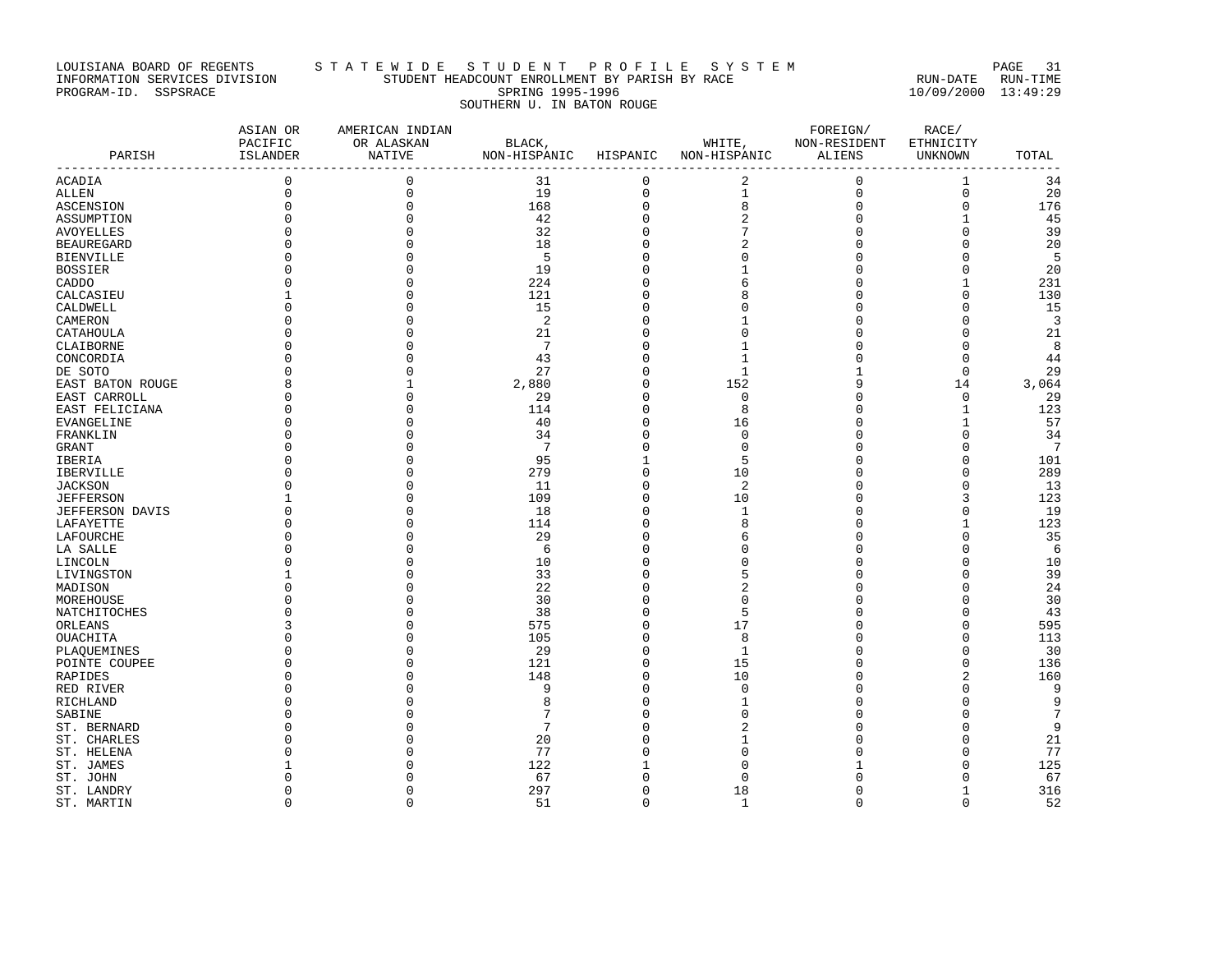# LOUISIANA BOARD OF REGENTS STA TE WIDE STUDENT PROFILE SYSTEM PAGE 31 INFORMATION SERVICES DIVISION STUDENT HEADCOUNT ENROLLMENT BY PARISH BY RACE RUN-DATE RUN-TIME PROGRAM-ID. SSPSRACE SPRING 1995-1996 10/09/2000 13:49:29 SOUTHERN U. IN BATON ROUGE

| PARISH                              | ASIAN OR<br>PACIFIC<br>ISLANDER | AMERICAN INDIAN<br>OR ALASKAN<br>NATIVE | BLACK,<br>NON-HISPANIC | HISPANIC              | WHITE,<br>NON-HISPANIC | FOREIGN/<br>NON-RESIDENT<br>ALIENS | RACE/<br>ETHNICITY<br>UNKNOWN | TOTAL           |
|-------------------------------------|---------------------------------|-----------------------------------------|------------------------|-----------------------|------------------------|------------------------------------|-------------------------------|-----------------|
| ------------------<br><b>ACADIA</b> | $\mathbf 0$                     | 0                                       | 31                     | ------<br>$\mathbf 0$ | 2                      | 0                                  | $\mathbf{1}$                  | 34              |
| ALLEN                               | $\mathsf 0$                     | 0                                       | 19                     | $\mathbb O$           | $\mathbf{1}$           | $\mathbb O$                        | 0                             | 20              |
| ASCENSION                           | 0                               | $\mathbf 0$                             | 168                    | $\mathsf 0$           | 8                      | 0                                  | $\mathbf 0$                   | 176             |
| ASSUMPTION                          | U                               | $\Omega$                                | 42                     | 0                     | 2                      | 0                                  | 1                             | 45              |
| <b>AVOYELLES</b>                    | $\Omega$                        | $\Omega$                                | 32                     | $\mathbf 0$           | 7                      | $\mathbf 0$                        | $\mathbf 0$                   | 39              |
| <b>BEAUREGARD</b>                   |                                 |                                         | 18                     | $\mathbf 0$           |                        | $\Omega$                           | $\Omega$                      | 20              |
| BIENVILLE                           |                                 |                                         | 5                      | 0                     |                        | 0                                  | 0                             | -5              |
| <b>BOSSIER</b>                      |                                 |                                         | 19                     | 0                     |                        | $\Omega$                           | $\Omega$                      | 20              |
| CADDO                               | $\Omega$                        | $\Omega$                                | 224                    | $\mathbf 0$           | 6                      | $\Omega$                           | 1                             | 231             |
| CALCASIEU                           |                                 | $\Omega$                                | 121                    | $\mathbf 0$           |                        | $\Omega$                           | 0                             | 130             |
| CALDWELL                            | 0                               | U                                       | 15                     | 0                     |                        | $\Omega$                           | $\Omega$                      | 15              |
| CAMERON                             |                                 | C                                       | $\overline{c}$         | 0                     |                        | $\Omega$                           | O                             | $\overline{3}$  |
| CATAHOULA                           | O                               | U                                       | 21                     | $\Omega$              | U                      | $\Omega$                           | O                             | 21              |
| CLAIBORNE                           | $\Omega$                        | $\Omega$                                | 7                      | $\mathbf 0$           |                        | $\Omega$                           | $\Omega$                      | 8               |
| CONCORDIA                           |                                 |                                         | 43                     | $\Omega$              | 1                      | $\Omega$                           | $\mathbf 0$                   | 44              |
| DE SOTO                             |                                 | U                                       | 27                     | $\mathbf 0$           | 1                      | 1                                  | $\Omega$                      | 29              |
| EAST BATON ROUGE                    | 8                               | 1                                       | 2,880                  | 0                     | 152                    | 9                                  | 14                            | 3,064           |
| EAST CARROLL                        | $\Omega$                        | $\Omega$                                | 29                     | $\mathbf 0$           | $\Omega$               | $\Omega$                           | $\mathbf{0}$                  | 29              |
| EAST FELICIANA                      | $\Omega$                        | $\Omega$                                | 114                    | $\mathbf 0$           | 8                      | $\Omega$                           | 1                             | 123             |
|                                     | U                               | C                                       | 40                     | $\mathbf 0$           | 16                     | $\Omega$                           | 1                             | 57              |
| EVANGELINE                          | U                               | U                                       | 34                     | 0                     | $\Omega$               | $\Omega$                           | $\Omega$                      | 34              |
| FRANKLIN                            | $\Omega$                        | $\Omega$                                | 7                      | $\mathbf 0$           | $\Omega$               | $\Omega$                           | $\Omega$                      | $7\phantom{.0}$ |
| GRANT<br>IBERIA                     |                                 | $\Omega$                                | 95                     | 1                     | 5                      | $\Omega$                           | 0                             | 101             |
|                                     |                                 | U                                       | 279                    | $\mathbf 0$           | 10                     | $\Omega$                           | O                             | 289             |
| IBERVILLE                           | U                               |                                         |                        |                       |                        |                                    |                               |                 |
| <b>JACKSON</b>                      |                                 | 0<br>$\Omega$                           | 11<br>109              | 0<br>$\mathsf 0$      | 2<br>10                | 0<br>$\Omega$                      | 0<br>3                        | 13<br>123       |
| <b>JEFFERSON</b>                    |                                 | C                                       |                        | $\Omega$              | -1                     | $\Omega$                           | $\Omega$                      |                 |
| <b>JEFFERSON DAVIS</b>              |                                 | n                                       | 18                     |                       |                        |                                    |                               | 19              |
| LAFAYETTE                           |                                 |                                         | 114                    | $\Omega$              | 8                      | $\Omega$                           | 1                             | 123             |
| LAFOURCHE                           | 0                               | U                                       | 29                     | 0<br>$\Omega$         |                        | $\mathbf 0$                        | 0<br>$\Omega$                 | 35              |
| LA SALLE                            |                                 |                                         | 6                      |                       |                        | $\Omega$                           |                               | 6               |
| LINCOLN                             |                                 |                                         | 10                     | $\Omega$              |                        | $\Omega$                           | 0                             | 10              |
| LIVINGSTON                          |                                 |                                         | 33                     | $\Omega$              | 5                      | $\Omega$                           | $\Omega$                      | 39              |
| MADISON                             | 0                               | U                                       | 22                     | $\Omega$              | 2                      | $\Omega$                           | 0                             | 24              |
| MOREHOUSE                           |                                 | U                                       | 30                     | $\Omega$              | U                      | C                                  | O                             | 30              |
| NATCHITOCHES                        |                                 |                                         | 38                     | $\Omega$              | 5                      | $\Omega$                           | $\Omega$                      | 43              |
| ORLEANS                             |                                 | C                                       | 575                    | 0                     | 17                     | $\Omega$                           | 0                             | 595             |
| OUACHITA                            | O                               | 0                                       | 105                    | 0                     | 8                      | $\Omega$                           | 0                             | 113             |
| PLAOUEMINES                         | U                               | U                                       | 29                     | $\Omega$              | -1                     | $\Omega$                           | $\mathbf 0$                   | 30              |
| POINTE COUPEE                       |                                 | $\Omega$                                | 121                    | $\mathbf 0$           | 15                     | $\Omega$                           | $\mathbf 0$                   | 136             |
| RAPIDES                             |                                 | U                                       | 148                    | $\mathbf 0$           | 10                     | $\Omega$                           | $\overline{2}$                | 160             |
| RED RIVER                           | U                               | U                                       | 9                      | $\Omega$              | $\Omega$               | $\mathbf 0$                        | 0                             | 9               |
| RICHLAND                            |                                 |                                         | 8                      | $\Omega$              |                        | $\bigcap$                          | O                             | 9               |
| SABINE                              |                                 |                                         | 7                      | $\Omega$              |                        | $\Omega$                           | $\Omega$                      | 7               |
| ST. BERNARD                         |                                 |                                         | 7                      | $\Omega$              |                        | C                                  | $\Omega$                      | 9               |
| ST. CHARLES                         |                                 |                                         | 20                     | $\Omega$              |                        | $\Omega$                           | 0                             | 21              |
| ST. HELENA                          |                                 |                                         | 77                     | $\Omega$              |                        | C                                  | 0                             | 77              |
| ST. JAMES                           |                                 |                                         | 122                    |                       | C                      |                                    | O                             | 125             |
| ST. JOHN                            |                                 |                                         | 67                     | $\Omega$              | O                      | $\bigcap$                          | $\Omega$                      | 67              |
| ST. LANDRY                          | 0                               | 0                                       | 297                    | 0                     | 18                     | 0                                  | 1                             | 316             |
| ST. MARTIN                          | $\Omega$                        | $\Omega$                                | 51                     | $\Omega$              | -1                     | $\Omega$                           | $\Omega$                      | 52              |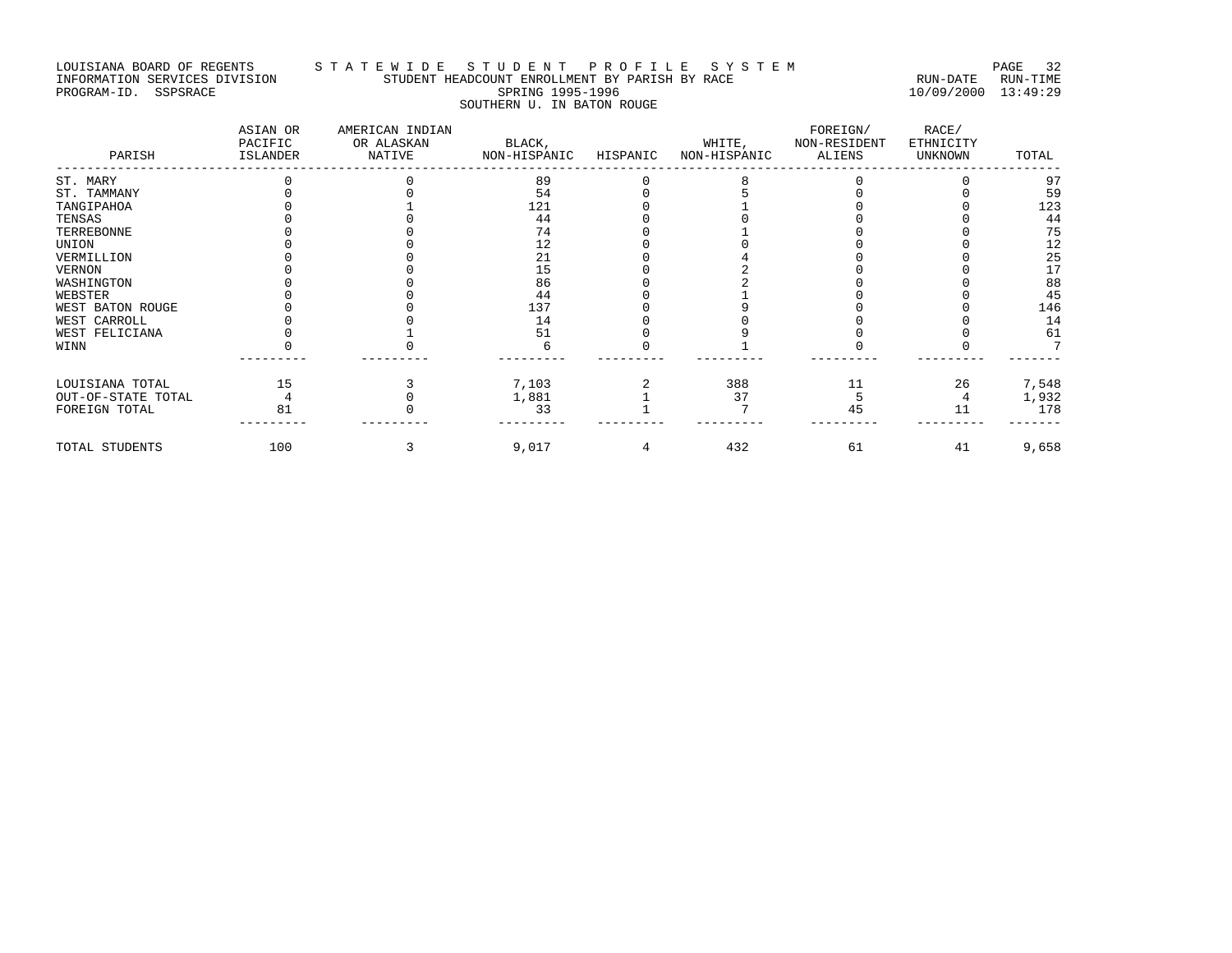# LOUISIANA BOARD OF REGENTS STATEWIDE STUDE STUDENT PROFILE SYSTEM<br>INFORMATION SERVICES DIVISION STUDENT HEADCOUNT ENROLLMENT BY PARISH BY RACE INFORMATION SERVICES DIVISION STUDENT HEADCOUNT ENROLLMENT BY PARISH BY RACE RUN-DATE RUN-TIME PROGRAM-ID. SSPSRACE SPRING 1995-1996 10/09/2000 13:49:29 SOUTHERN U. IN BATON ROUGE

| PARISH             | ASIAN OR<br>PACIFIC<br>ISLANDER | AMERICAN INDIAN<br>OR ALASKAN<br>NATIVE | BLACK,<br>NON-HISPANIC | HISPANIC | WHITE,<br>NON-HISPANIC | FOREIGN/<br>NON-RESIDENT<br>ALIENS | RACE/<br>ETHNICITY<br><b>UNKNOWN</b> | TOTAL                                   |
|--------------------|---------------------------------|-----------------------------------------|------------------------|----------|------------------------|------------------------------------|--------------------------------------|-----------------------------------------|
| ST. MARY           |                                 |                                         | 89                     |          |                        |                                    |                                      | 97                                      |
| ST. TAMMANY        |                                 |                                         | 54                     |          |                        |                                    |                                      | 59                                      |
| TANGIPAHOA         |                                 |                                         | 121                    |          |                        |                                    |                                      | 123                                     |
| TENSAS             |                                 |                                         | 44                     |          |                        |                                    |                                      | 44                                      |
| TERREBONNE         |                                 |                                         | 74                     |          |                        |                                    |                                      | 75                                      |
| UNION              |                                 |                                         | 12                     |          |                        |                                    |                                      | $\begin{array}{c} 12 \\ 25 \end{array}$ |
| VERMILLION         |                                 |                                         | 21                     |          |                        |                                    |                                      |                                         |
| VERNON             |                                 |                                         | 15                     |          |                        |                                    |                                      | 17                                      |
| WASHINGTON         |                                 |                                         | 86                     |          |                        |                                    |                                      | $\begin{array}{c} 88 \\ 45 \end{array}$ |
| WEBSTER            |                                 |                                         | 44                     |          |                        |                                    |                                      |                                         |
| WEST BATON ROUGE   |                                 |                                         | 137                    |          |                        |                                    |                                      | 146                                     |
| WEST CARROLL       |                                 |                                         | 14                     |          |                        |                                    |                                      | 14                                      |
| WEST FELICIANA     |                                 |                                         | 51                     |          |                        |                                    |                                      | 61                                      |
| WINN               |                                 |                                         |                        |          |                        |                                    |                                      |                                         |
| LOUISIANA TOTAL    | 15                              |                                         | 7,103                  |          | 388                    | 11                                 | 26                                   | 7,548                                   |
| OUT-OF-STATE TOTAL |                                 |                                         | 1,881                  |          | 37                     |                                    |                                      | 1,932                                   |
| FOREIGN TOTAL      | 81                              |                                         | 33                     |          |                        | 45                                 | 11                                   | 178                                     |
| TOTAL STUDENTS     | 100                             |                                         | 9,017                  |          | 432                    | 61                                 | 41                                   | 9,658                                   |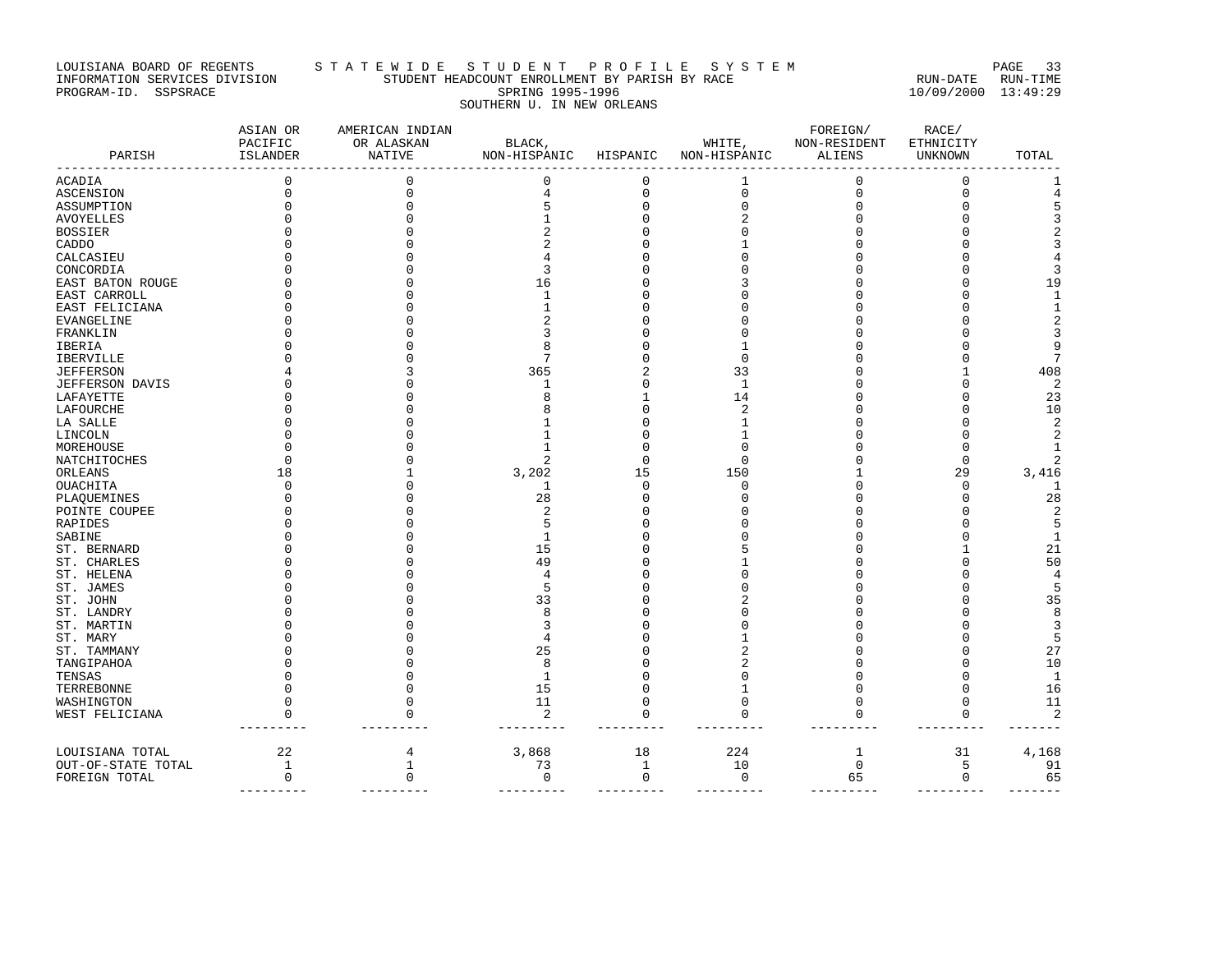# LOUISIANA BOARD OF REGENTS STA TE WIDE STUDENT PROFILE SYSTEM PAGE 33 INFORMATION SERVICES DIVISION STUDENT HEADCOUNT ENROLLMENT BY PARISH BY RACE RUN-DATE RUN-TIME PROGRAM-ID. SSPSRACE SPRING 1995-1996 10/09/2000 13:49:29 SOUTHERN U. IN NEW ORLEANS

| PARISH             | ASIAN OR<br>PACIFIC<br>ISLANDER | AMERICAN INDIAN<br>OR ALASKAN<br><b>NATIVE</b> | BLACK,<br>NON-HISPANIC | HISPANIC     | WHITE,<br>NON-HISPANIC | FOREIGN/<br>NON-RESIDENT<br><b>ALIENS</b> | RACE/<br>ETHNICITY<br><b>UNKNOWN</b> | TOTAL            |
|--------------------|---------------------------------|------------------------------------------------|------------------------|--------------|------------------------|-------------------------------------------|--------------------------------------|------------------|
| ACADIA             |                                 |                                                | 0                      | 0            | 1                      | <sup>0</sup>                              | $\Omega$                             | 1                |
| ASCENSION          | $\Omega$                        | $\Omega$                                       | 4                      | $\mathsf 0$  | $\Omega$               | $\Omega$                                  | $\Omega$                             | 4                |
| ASSUMPTION         | O                               | O                                              |                        | 0            |                        |                                           | C                                    | 5                |
| AVOYELLES          |                                 |                                                |                        |              |                        |                                           |                                      | 3                |
| BOSSIER            |                                 |                                                |                        |              |                        |                                           |                                      |                  |
| CADDO              |                                 |                                                |                        |              |                        |                                           |                                      | 3                |
| CALCASIEU          |                                 |                                                |                        |              |                        |                                           |                                      |                  |
| CONCORDIA          |                                 |                                                | 3                      |              |                        |                                           |                                      | 3                |
| EAST BATON ROUGE   |                                 |                                                | 16                     |              |                        |                                           |                                      | 19               |
| EAST CARROLL       |                                 |                                                |                        |              |                        |                                           |                                      | $\mathbf{1}$     |
| EAST FELICIANA     |                                 |                                                |                        |              |                        |                                           |                                      | $1\,$            |
| EVANGELINE         |                                 |                                                |                        |              |                        |                                           |                                      | $\overline{2}$   |
| FRANKLIN           |                                 |                                                |                        |              |                        |                                           |                                      | 3                |
| IBERIA             |                                 |                                                |                        |              |                        |                                           |                                      | 9                |
| IBERVILLE          |                                 |                                                |                        |              | U                      |                                           |                                      | 7                |
| JEFFERSON          |                                 |                                                | 365                    |              | 33                     |                                           |                                      | 408              |
| JEFFERSON DAVIS    |                                 |                                                | ำ                      | U            | -1                     |                                           |                                      | 2                |
| LAFAYETTE          |                                 |                                                | Я                      |              | 14                     |                                           |                                      | 23               |
| LAFOURCHE          |                                 |                                                |                        |              | 2                      |                                           |                                      | 10               |
| LA SALLE           |                                 |                                                |                        |              |                        |                                           |                                      | $\boldsymbol{2}$ |
| LINCOLN            |                                 |                                                |                        |              |                        |                                           |                                      | $\overline{2}$   |
| MOREHOUSE          |                                 |                                                |                        | U            | O                      |                                           | C                                    | 1                |
| NATCHITOCHES       | O                               |                                                |                        | $\mathbf 0$  | n                      |                                           | $\Omega$                             | 2                |
| ORLEANS            | 18                              |                                                | 3,202                  | 15           | 150                    |                                           | 29                                   | 3,416            |
| OUACHITA           | U                               |                                                | 1                      | 0            |                        |                                           | n                                    | 1                |
| PLAQUEMINES        |                                 |                                                | 28                     | O            |                        |                                           | C                                    | 28               |
| POINTE COUPEE      |                                 |                                                |                        |              |                        |                                           |                                      | 2                |
| RAPIDES            |                                 |                                                | 5                      |              |                        |                                           |                                      | 5                |
| SABINE             |                                 |                                                |                        |              |                        |                                           |                                      | 1                |
| ST. BERNARD        |                                 |                                                | 15                     |              |                        |                                           |                                      | 21               |
| ST. CHARLES        |                                 |                                                | 49                     |              |                        |                                           |                                      | 50               |
| ST. HELENA         |                                 |                                                | 4                      |              |                        |                                           |                                      | 4                |
| ST. JAMES          |                                 |                                                | 5                      |              |                        |                                           |                                      | 5                |
| ST. JOHN           |                                 |                                                | 33                     |              |                        |                                           |                                      | 35               |
| ST. LANDRY         |                                 |                                                | 8                      |              |                        |                                           |                                      | 8                |
| ST. MARTIN         |                                 |                                                |                        |              |                        |                                           |                                      | 3                |
|                    |                                 |                                                |                        |              |                        |                                           |                                      | 5                |
| ST. MARY           |                                 |                                                | 25                     |              |                        |                                           |                                      | 27               |
| ST. TAMMANY        |                                 |                                                | 8                      |              |                        |                                           |                                      | 10               |
| TANGIPAHOA         |                                 |                                                | -1                     | 0            |                        |                                           | ſ                                    |                  |
| TENSAS             |                                 |                                                |                        |              |                        |                                           | C                                    | $\mathbf{1}$     |
| TERREBONNE         |                                 |                                                | 15                     | 0            |                        |                                           |                                      | 16               |
| WASHINGTON         | O<br>$\cap$                     | O<br>$\cap$                                    | 11                     | 0            | $\Omega$<br>$\cap$     | <sup>0</sup>                              | $\Omega$                             | 11               |
| WEST FELICIANA     |                                 |                                                | 2                      | 0            |                        | ∩                                         | 0                                    | $\overline{2}$   |
| LOUISIANA TOTAL    | 22                              | 4                                              | 3,868                  | 18           | 224                    | 1                                         | 31                                   | 4,168            |
| OUT-OF-STATE TOTAL | 1                               | $\mathbf 1$                                    | 73                     | $\mathbf{1}$ | 10                     | $\Omega$                                  | 5                                    | 91               |
| FOREIGN TOTAL      | $\mathbf 0$                     | $\Omega$                                       | $\mathbf{0}$           | $\mathbf 0$  | $\Omega$               | 65                                        | $\mathbf 0$                          | 65               |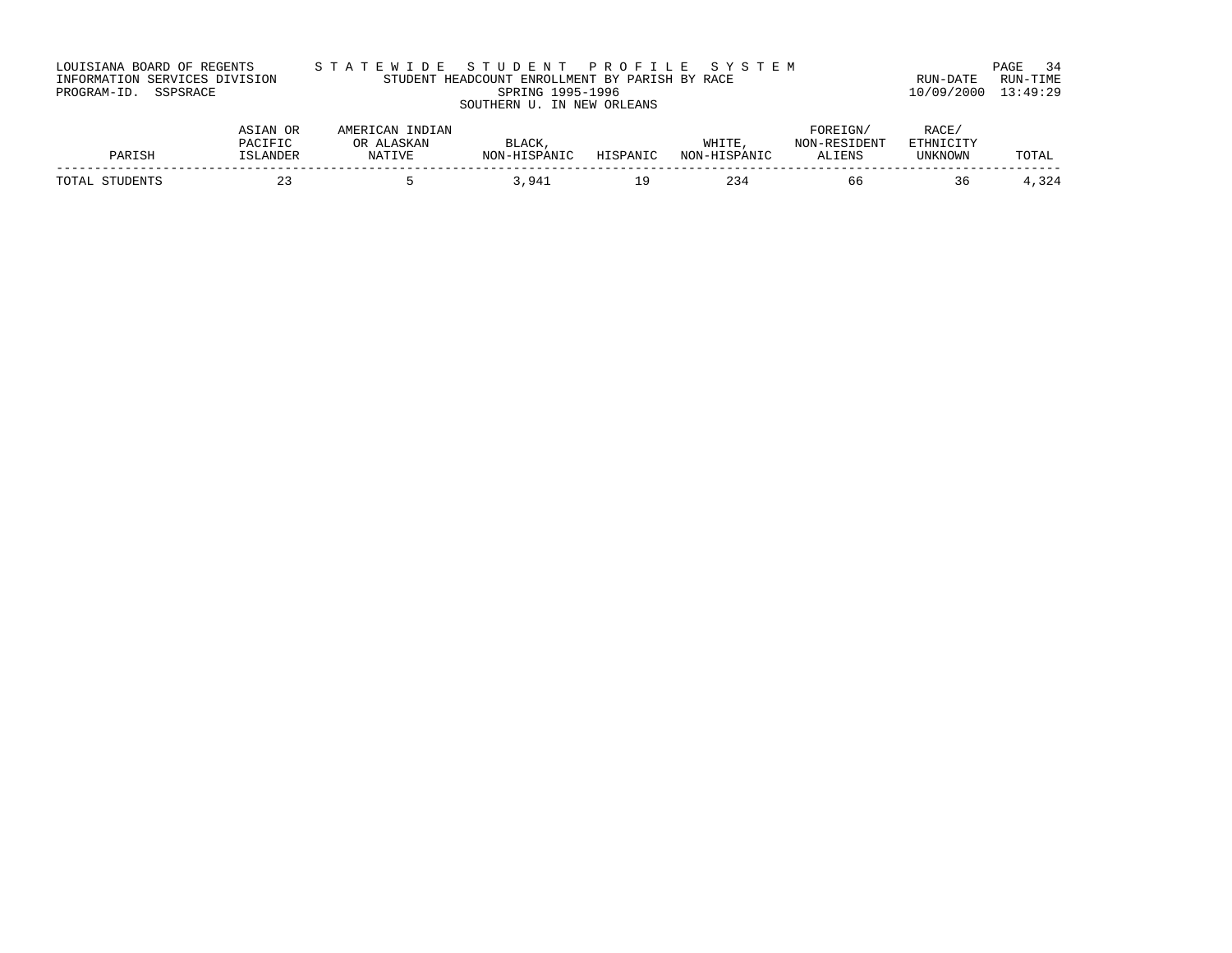| LOUISIANA BOARD OF REGENTS    | STATEWIDE STUDENT PROFILE SYSTEM               |                     | PAGE 34 |
|-------------------------------|------------------------------------------------|---------------------|---------|
| INFORMATION SERVICES DIVISION | STUDENT HEADCOUNT ENROLLMENT BY PARISH BY RACE | RUN-DATE RUN-TIME   |         |
| PROGRAM-ID. SSPSRACE          | SPRING 1995-1996                               | 10/09/2000 13:49:29 |         |
|                               | SOUTHERN U. IN NEW ORLEANS                     |                     |         |

|                   | ASIAN OR                          | INDIAN<br>AMERICAN     |                              |          |                       | <b>FOREIGN</b>              | RACE.                              |        |
|-------------------|-----------------------------------|------------------------|------------------------------|----------|-----------------------|-----------------------------|------------------------------------|--------|
| PARISH            | <b>PACIFIC</b><br><b>LSLANDER</b> | ASKAN<br>OR.<br>NATIVE | <b>BLACK</b><br>NON-HISPANIC | HISPANIC | WHITE<br>NON-HISPANIC | -RESIDENT<br>NON-<br>ALIENS | <b>ETHNICITY</b><br><b>UNKNOWN</b> | TOTAL  |
| TOTAL<br>STUDENTS | ∼                                 |                        | .941                         | --       | 234                   | 66                          | 36                                 | 324ء م |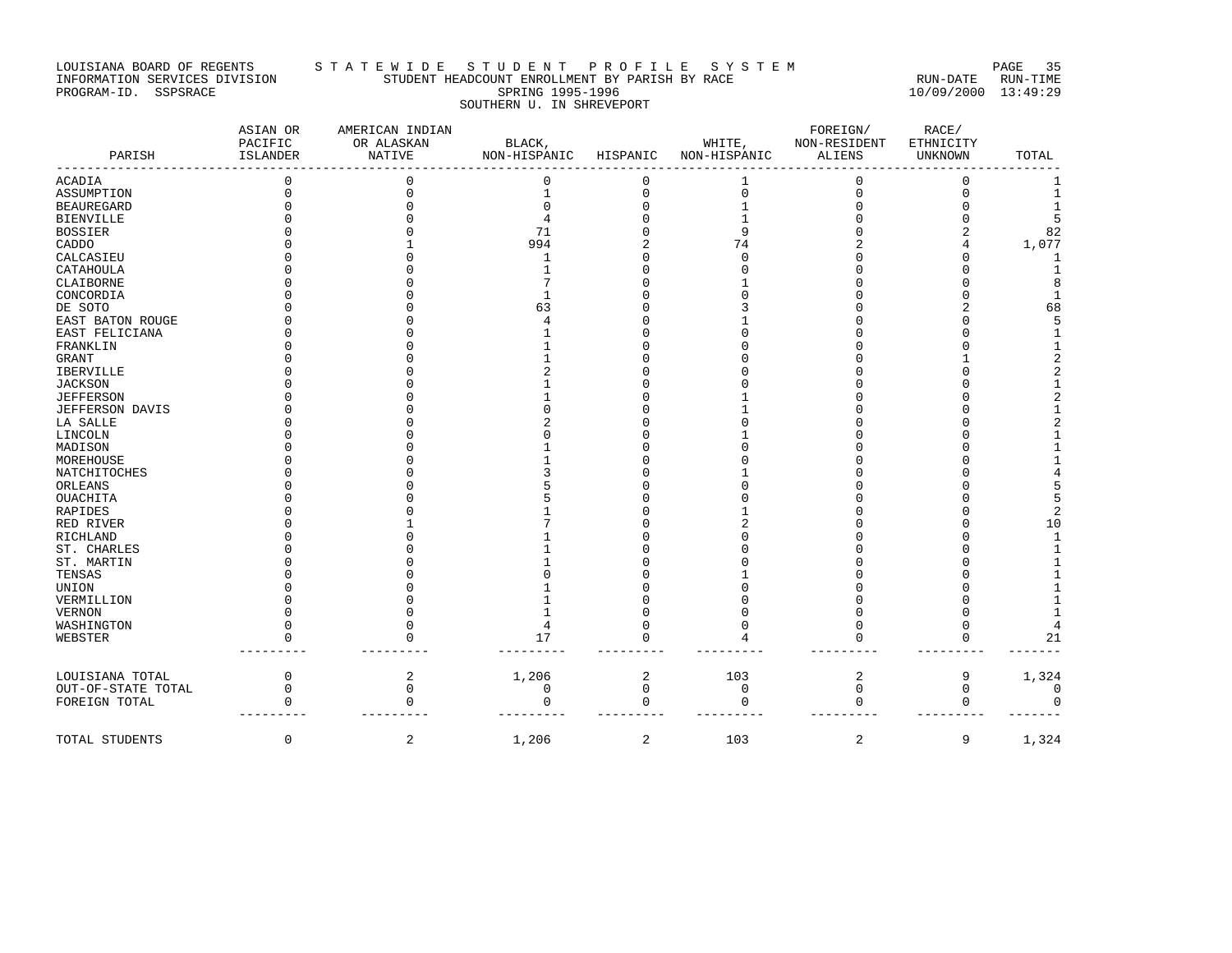# LOUISIANA BOARD OF REGENTS STATEWIDE STUDENT END AT PROFILE SYSTEM FAGE 35<br>INFORMATION SERVICES DIVISION STUDENT HEADCOUNT ENROLLMENT BY PARISH BY RACE INFORMATION SERVICES DIVISION STATE STUDENT HEADCOUNT ENROLLMENT BY PARISH BY RACE PROGRAM-ID. SSPSRACE SPRING 1995-1996 SOUTHERN U. IN SHREVEPORT

PROGRAM-ID. SSPSRACE SPRING 1995-1996 10/09/2000 13:49:29

| PARISH                 | ASIAN OR<br>PACIFIC<br>ISLANDER | AMERICAN INDIAN<br>OR ALASKAN<br>NATIVE | BLACK,<br>NON-HISPANIC | HISPANIC       | WHITE,<br>NON-HISPANIC | FOREIGN/<br>NON-RESIDENT<br>ALIENS | RACE/<br>ETHNICITY<br>UNKNOWN | TOTAL          |
|------------------------|---------------------------------|-----------------------------------------|------------------------|----------------|------------------------|------------------------------------|-------------------------------|----------------|
| <b>ACADIA</b>          |                                 |                                         |                        | $\Omega$       |                        | $\Omega$                           | $\Omega$                      |                |
| ASSUMPTION             | $\Omega$                        | $\Omega$                                |                        | 0              | 0                      | 0                                  | $\Omega$                      | 1              |
| <b>BEAUREGARD</b>      |                                 |                                         |                        |                |                        |                                    |                               | $\mathbf{1}$   |
| <b>BIENVILLE</b>       |                                 |                                         |                        |                |                        |                                    |                               | 5              |
| <b>BOSSIER</b>         |                                 |                                         | 71                     |                | 9                      |                                    |                               | 82             |
| CADDO                  |                                 |                                         | 994                    |                | 74                     |                                    |                               | 1,077          |
| CALCASIEU              |                                 |                                         |                        |                | C                      |                                    |                               |                |
| CATAHOULA              |                                 |                                         |                        |                |                        |                                    |                               |                |
| CLAIBORNE              |                                 |                                         |                        |                |                        |                                    |                               | 8              |
| CONCORDIA              |                                 |                                         |                        |                |                        |                                    |                               | $\mathbf{1}$   |
| DE SOTO                |                                 |                                         | 63                     |                |                        |                                    |                               | 68             |
| EAST BATON ROUGE       |                                 |                                         |                        |                |                        |                                    |                               | 5              |
| EAST FELICIANA         |                                 |                                         |                        |                |                        |                                    |                               |                |
| FRANKLIN               |                                 |                                         |                        |                |                        |                                    |                               |                |
| <b>GRANT</b>           |                                 |                                         |                        |                |                        |                                    |                               |                |
| IBERVILLE              |                                 |                                         |                        |                |                        |                                    |                               |                |
| <b>JACKSON</b>         |                                 |                                         |                        |                |                        |                                    |                               |                |
| <b>JEFFERSON</b>       |                                 |                                         |                        |                |                        |                                    |                               |                |
| <b>JEFFERSON DAVIS</b> |                                 |                                         |                        |                |                        |                                    |                               |                |
| LA SALLE               |                                 |                                         |                        |                |                        |                                    |                               |                |
| LINCOLN                |                                 |                                         |                        |                |                        |                                    |                               |                |
| MADISON                |                                 |                                         |                        |                |                        |                                    |                               |                |
| MOREHOUSE              |                                 |                                         |                        |                |                        |                                    |                               |                |
| NATCHITOCHES           |                                 |                                         |                        |                |                        |                                    |                               |                |
| ORLEANS                |                                 |                                         |                        |                |                        |                                    |                               |                |
| OUACHITA               |                                 |                                         |                        |                |                        |                                    |                               |                |
| <b>RAPIDES</b>         |                                 |                                         |                        |                |                        |                                    |                               | $\overline{2}$ |
| RED RIVER              |                                 |                                         |                        |                |                        |                                    |                               | 10             |
| RICHLAND               |                                 |                                         |                        |                |                        |                                    |                               | $\mathbf{1}$   |
| ST. CHARLES            |                                 |                                         |                        |                |                        |                                    |                               |                |
| ST. MARTIN             |                                 |                                         |                        |                |                        |                                    |                               |                |
| TENSAS                 |                                 |                                         |                        |                |                        |                                    |                               |                |
| UNION                  |                                 |                                         |                        |                |                        |                                    |                               |                |
| VERMILLION             |                                 |                                         |                        |                |                        |                                    |                               |                |
| <b>VERNON</b>          |                                 |                                         |                        |                |                        |                                    |                               |                |
| WASHINGTON             |                                 |                                         |                        |                |                        | U                                  |                               |                |
| WEBSTER                |                                 |                                         | 17                     |                |                        |                                    |                               | 21             |
| LOUISIANA TOTAL        | 0                               | $\overline{\mathbf{c}}$                 | 1,206                  | $\overline{2}$ | 103                    | 2                                  | 9                             | 1,324          |
| OUT-OF-STATE TOTAL     | 0                               | $\mathbf{0}$                            | 0                      | $\mathbf 0$    | $\mathbf 0$            | 0                                  | $\mathbf 0$                   | $\Omega$       |
| FOREIGN TOTAL          |                                 |                                         | $\cap$                 | $\cap$         | U                      |                                    |                               | $\Omega$       |
| TOTAL STUDENTS         | $\mathbf 0$                     | 2                                       | 1,206                  | 2              | 103                    | 2                                  | 9                             | 1,324          |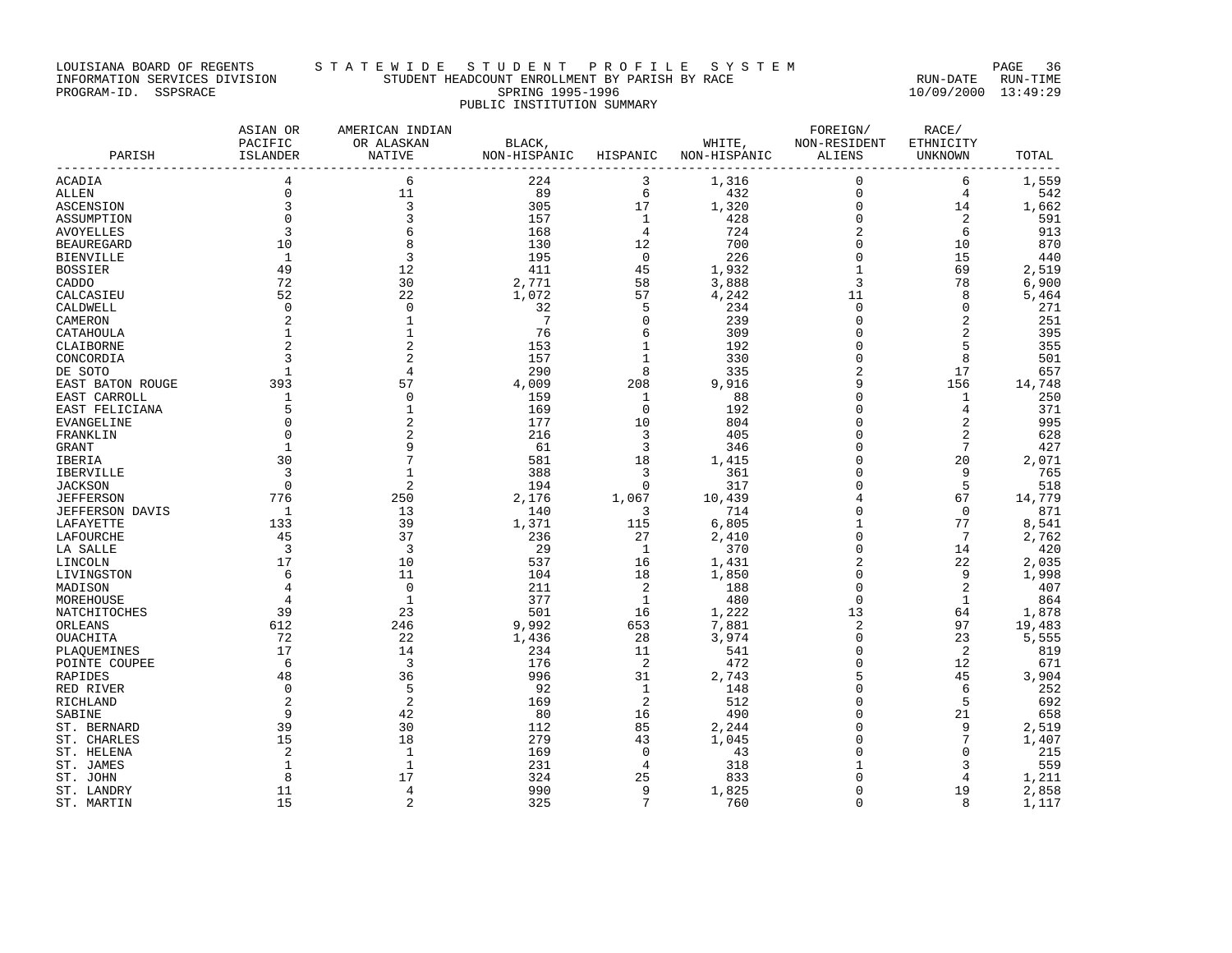# LOUISIANA BOARD OF REGENTS STA T E W I D E S T U D E N T P R O F I L E S Y S T E M PAGE 36 INFORMATION SERVICES DIVISION STUDENT HEADCOUNT ENROLLMENT BY PARISH BY RACE RUN-DATE RUN-TIME PROGRAM-ID. SSPSRACE SPRING 1995-1996 10/09/2000 13:49:29 PUBLIC INSTITUTION SUMMARY

| PARISH                    | ASIAN OR<br>PACIFIC<br>ISLANDER | AMERICAN INDIAN<br>OR ALASKAN<br>NATIVE | BLACK,<br>NON-HISPANIC HISPANIC |                 | NON-HISPANIC | FOREIGN/<br>WHITE, NON-RESIDENT<br>ALIENS | RACE/<br>ETHNICITY<br>UNKNOWN | TOTAL           |
|---------------------------|---------------------------------|-----------------------------------------|---------------------------------|-----------------|--------------|-------------------------------------------|-------------------------------|-----------------|
| ACADIA                    | ------------------------<br>4   | ---------------<br>6                    | 224                             | 3               | 1,316        | $\mathbf 0$                               | 6                             | 1,559           |
| ALLEN                     | $\mathbf 0$                     | 11                                      | 89                              | 6               | 432          | $\mathbf 0$                               | $\overline{4}$                | 542             |
| ASCENSION                 | 3                               | 3                                       | 305                             | 17              | 1,320        | $\mathbf 0$                               | 14                            | 1,662           |
| ASSUMPTION                | $\Omega$                        | 3                                       | 157                             | $\mathbf{1}$    | 428          | $\Omega$                                  | $\overline{2}$                | 591             |
| AVOYELLES                 | 3                               | 6                                       | 168                             | 4               | 724          |                                           | 6                             | 913             |
| BEAUREGARD                | 10                              | 8                                       | 130                             | 12              | 700          | $\mathbf 0$                               | 10                            | 870             |
| <b>BIENVILLE</b>          | 1                               | 3                                       | 195                             | $\mathbf 0$     | 226          | $\mathbf 0$                               | 15                            | 440             |
| BOSSIER                   | 49                              | 12                                      | 411                             | 45              | 1,932        | 1                                         | 69                            | 2,519           |
| CADDO                     | 72                              | 30                                      | 2,771                           | 58              | 3,888        | 3                                         | 78                            | 6,900           |
| CALCASIEU                 | 52                              | 22                                      | 1,072                           | 57              | 4,242        | 11                                        | 8                             | 5,464           |
| CALDWELL                  | $\mathbf 0$                     | $\mathbf 0$                             | 32                              | 5               | 234          | $\mathbf 0$                               | $\mathbf 0$                   | 271             |
| CAMERON                   |                                 | 1                                       | $7\phantom{.0}$                 | 0               | 239          | $\Omega$                                  | $\overline{c}$                | 251             |
| CATAHOULA                 | $\mathbf{1}$                    | $\mathbf{1}$                            | 76                              | 6               | 309          | $\Omega$                                  | $\overline{2}$                | 395             |
| CLAIBORNE                 | $\overline{2}$                  | $\overline{2}$                          | 153                             | $\mathbf{1}$    | 192          | 0                                         | 5                             | 355             |
| CONCORDIA                 | 3                               | $\overline{2}$                          | 157                             | $\mathbf{1}$    | 330          | $\Omega$                                  | 8                             | 501             |
| DE SOTO                   | <sup>1</sup>                    | $\overline{4}$                          | 290                             | 8               | 335          | 2                                         | 17                            | 657             |
| EAST BATON ROUGE          | 393                             | 57                                      | 4,009                           | 208             | 9,916        | 9                                         | 156                           | 14,748          |
| EAST CARROLL              | 1                               | $\mathbf 0$                             | 159                             | $\mathbf{1}$    | 88           | 0                                         | 1                             | 250             |
| EAST FELICIANA            | 5                               | $\mathbf{1}$                            | 169                             | $\mathbf 0$     | 192          | $\mathbf 0$                               | 4                             | 371             |
| EVANGELINE                | $\Omega$                        | $\overline{2}$                          | 177                             | 10              | 804          | $\Omega$                                  | 2                             | 995             |
| FRANKLIN                  | $\Omega$                        | $\overline{2}$                          | 216                             | 3               | 405          | 0                                         | $\overline{2}$                | 628             |
| GRANT                     | 1                               | 9                                       | - 61                            | $\overline{3}$  | 346          | 0                                         | 7                             | 427             |
| IBERIA                    | 30                              | 7                                       | 581                             | 18              | 1,415        | $\mathbf 0$                               | 20                            | 2,071           |
| IBERVILLE                 | $\overline{3}$                  | $\mathbf{1}$                            | 388                             | 3               | 361          | $\mathbf 0$                               | 9                             | 765             |
| <b>JACKSON</b>            | $\Omega$                        | 2                                       | 194                             | $\mathbf 0$     | 317          | $\Omega$                                  | 5                             | 518             |
| <b>JEFFERSON</b>          | 776                             | 250                                     | 2,176                           | 1,067           | 10,439       | 4                                         | 67                            | 14,779          |
| JEFFERSON DAVIS           | $\overline{1}$                  | 13                                      | 140                             | -3              | 714          | 0                                         | $\Omega$                      | 871             |
| LAFAYETTE                 | 133                             | 39                                      | 1,371                           | 115             | 6,805        | $\mathbf 1$                               | 77                            | 8,541           |
| LAFOURCHE                 | 45                              | 37                                      | 236                             | 27              | 2,410        | 0                                         | -7                            | 2,762           |
| LA SALLE                  | $\overline{\mathbf{3}}$         | 3                                       | 29                              | $\mathbf{1}$    | 370          | $\Omega$                                  | 14                            | 420             |
| LINCOLN                   | 17                              | 10                                      | 537                             | 16              | 1,431        | 2                                         | 22                            | 2,035           |
| LIVINGSTON                | 6                               | 11                                      | 104                             | 18              | 1,850        | $\Omega$                                  | 9                             | 1,998           |
| MADISON                   | 4                               | $\mathbf 0$                             | 211                             | $\overline{c}$  | 188          | $\mathbf 0$                               | $\overline{2}$                | 407             |
| MOREHOUSE<br>NATCHITOCHES | 4<br>39                         | -1<br>23                                | 377<br>501                      | 1<br>16         | 480<br>1,222 | $\mathbf 0$<br>13                         | 1<br>64                       | 864             |
|                           | 612                             | 246                                     | 9,992                           | 653             | 7,881        | $\overline{2}$                            | 97                            | 1,878<br>19,483 |
| ORLEANS<br>OUACHITA       | 72                              | 22                                      | 1,436                           | 28              | 3,974        | $\Omega$                                  | 23                            | 5,555           |
| PLAQUEMINES               | 17                              | 14                                      | 234                             | 11              | 541          | 0                                         | 2                             | 819             |
| POINTE COUPEE             | - 6                             | $\overline{3}$                          | 176                             | -2              | 472          | $\Omega$                                  | 12                            | 671             |
| RAPIDES                   | 48                              | 36                                      | 996                             | 31              | 2,743        | 5                                         | 45                            | 3,904           |
| RED RIVER                 | $\mathbf 0$                     | 5                                       | 92                              | 1               | 148          | 0                                         | 6                             | 252             |
| RICHLAND                  | $\overline{2}$                  | $\overline{2}$                          | 169                             | 2               | 512          | $\mathbf 0$                               | 5                             | 692             |
| SABINE                    | 9                               | 42                                      | 80                              | 16              | 490          | $\Omega$                                  | 21                            | 658             |
| ST. BERNARD               | 39                              | 30                                      | 112                             | 85              | 2,244        | $\Omega$                                  | 9                             | 2,519           |
| ST. CHARLES               | 15                              | 18                                      | 279                             | 43              | 1,045        | 0                                         | $\overline{7}$                | 1,407           |
| ST. HELENA                | 2                               | 1                                       | 169                             | $\mathbf 0$     | 43           |                                           | $\Omega$                      | 215             |
| ST. JAMES                 | 1                               | 1                                       | 231                             | 4               | 318          | 1                                         | 3                             | 559             |
| ST. JOHN                  | 8                               | 17                                      | 324                             | 25              | 833          | $\Omega$                                  | 4                             | 1,211           |
| ST. LANDRY                | 11                              | 4                                       | 990                             | 9               | 1,825        | 0                                         | 19                            | 2,858           |
| ST. MARTIN                | 15                              | $\overline{2}$                          | 325                             | $7\phantom{.0}$ | 760          | $\Omega$                                  | 8                             | 1,117           |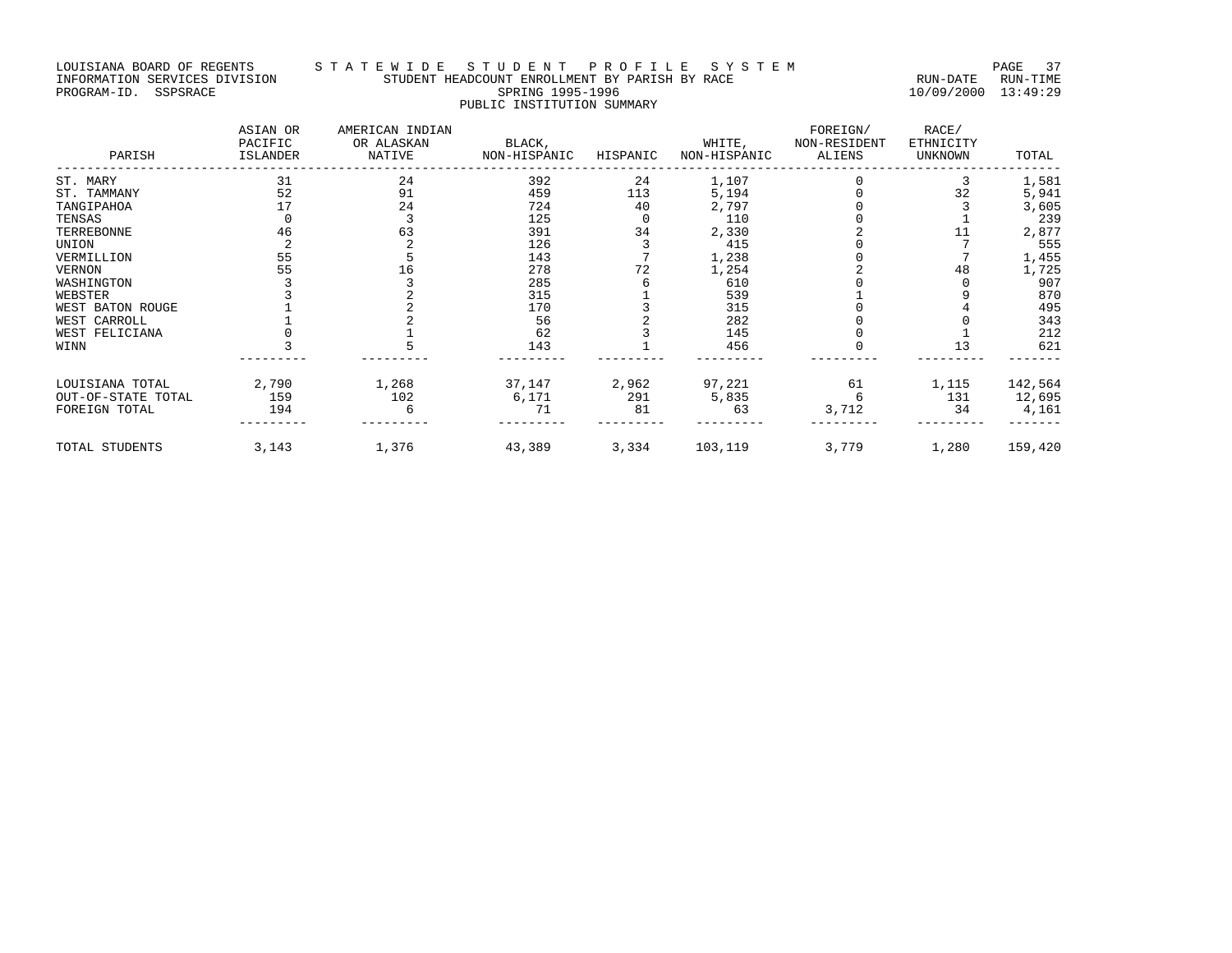# LOUISIANA BOARD OF REGENTS STA TE WIDE STUDENT PROFILE SYSTEM PAGE 37 INFORMATION SERVICES DIVISION STUDENT HEADCOUNT ENROLLMENT BY PARISH BY RACE RUN-DATE RUN-TIME PROGRAM-ID. SSPSRACE SPRING 1995-1996 10/09/2000 13:49:29 PUBLIC INSTITUTION SUMMARY

| PARISH             | ASIAN OR<br>PACIFIC<br>ISLANDER | AMERICAN INDIAN<br>OR ALASKAN<br>NATIVE | BLACK,<br>NON-HISPANIC | HISPANIC | WHITE,<br>NON-HISPANIC | FOREIGN/<br>NON-RESIDENT<br>ALIENS | RACE/<br>ETHNICITY<br><b>UNKNOWN</b> | TOTAL   |
|--------------------|---------------------------------|-----------------------------------------|------------------------|----------|------------------------|------------------------------------|--------------------------------------|---------|
| ST. MARY           | 31                              | 24                                      | 392                    | 24       | 1,107                  |                                    | 3                                    | 1,581   |
| ST. TAMMANY        | 52                              | 91                                      | 459                    | 113      | 5,194                  |                                    | 32                                   | 5,941   |
| TANGIPAHOA         | 17                              | 24                                      | 724                    | 40       | 2,797                  |                                    |                                      | 3,605   |
| TENSAS             |                                 |                                         | 125                    |          | 110                    |                                    |                                      | 239     |
| TERREBONNE         | 46                              | 63                                      | 391                    | 34       | 2,330                  |                                    |                                      | 2,877   |
| UNION              |                                 |                                         | 126                    |          | 415                    |                                    |                                      | 555     |
| VERMILLION         | 55                              |                                         | 143                    |          | 1,238                  |                                    |                                      | 1,455   |
| VERNON             | 55                              | 16                                      | 278                    | 72       | 1,254                  |                                    | 48                                   | 1,725   |
| WASHINGTON         |                                 |                                         | 285                    |          | 610                    |                                    |                                      | 907     |
| WEBSTER            |                                 |                                         | 315                    |          | 539                    |                                    |                                      | 870     |
| WEST BATON ROUGE   |                                 |                                         | 170                    |          | 315                    |                                    |                                      | 495     |
| WEST CARROLL       |                                 |                                         | 56                     |          | 282                    |                                    |                                      | 343     |
| WEST FELICIANA     |                                 |                                         | 62                     |          | 145                    |                                    |                                      | 212     |
| WINN               |                                 |                                         | 143                    |          | 456                    |                                    | 13                                   | 621     |
| LOUISIANA TOTAL    | 2,790                           | 1,268                                   | 37,147                 | 2,962    | 97,221                 | 61                                 | 1,115                                | 142,564 |
| OUT-OF-STATE TOTAL | 159                             | 102                                     | 6,171                  | 291      | 5,835                  | - 6                                | 131                                  | 12,695  |
| FOREIGN TOTAL      | 194                             | 6                                       | 71                     | 81       | 63                     | 3,712                              | 34                                   | 4,161   |
| TOTAL STUDENTS     | 3,143                           | 1,376                                   | 43,389                 |          | 3,334 103,119          | 3,779                              | 1,280                                | 159,420 |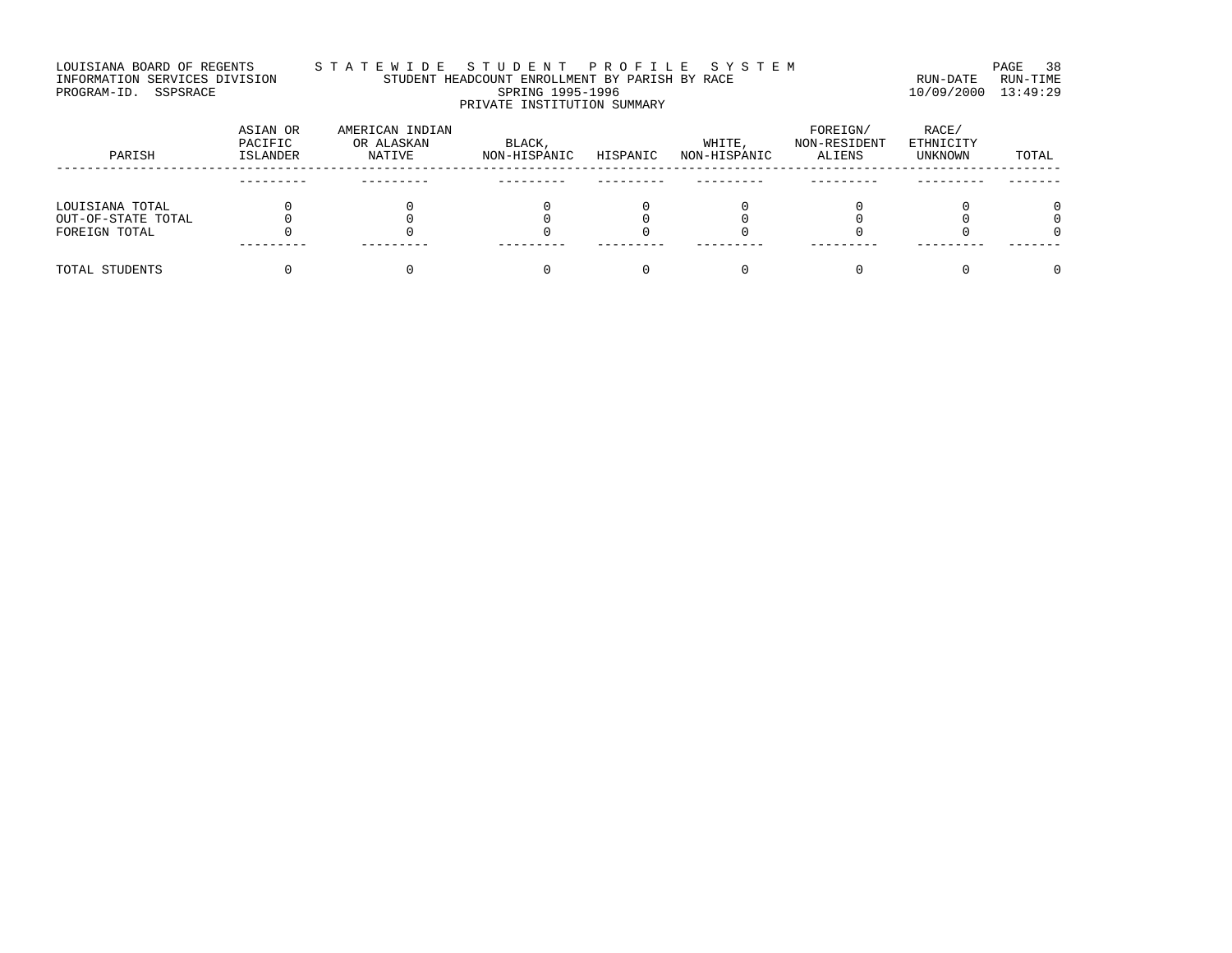# LOUISIANA BOARD OF REGENTS STA TE WIDE STUDENT PROFILE SYSTEM PAGE 38 INFORMATION SERVICES DIVISION STUDENT HEADCOUNT ENROLLMENT BY PARISH BY RACE RUN-DATE RUN-TIME PROGRAM-ID. SSPSRACE SPRING 1995-1996 10/09/2000 13:49:29 PRIVATE INSTITUTION SUMMARY

| PARISH             | ASIAN OR<br>PACIFIC<br><b>ISLANDER</b> | AMERICAN INDIAN<br>OR ALASKAN<br>NATIVE | BLACK,<br>NON-HISPANIC | HISPANIC | WHITE,<br>NON-HISPANIC | FOREIGN/<br>NON-RESIDENT<br>ALIENS | RACE/<br>ETHNICITY<br>UNKNOWN | TOTAL |
|--------------------|----------------------------------------|-----------------------------------------|------------------------|----------|------------------------|------------------------------------|-------------------------------|-------|
|                    |                                        |                                         |                        |          |                        |                                    |                               |       |
| LOUISIANA TOTAL    |                                        |                                         |                        |          |                        |                                    |                               | ∩     |
| OUT-OF-STATE TOTAL |                                        |                                         |                        |          |                        |                                    |                               |       |
| FOREIGN TOTAL      |                                        |                                         |                        |          |                        |                                    |                               |       |
| TOTAL STUDENTS     |                                        |                                         |                        |          |                        |                                    |                               | ∩     |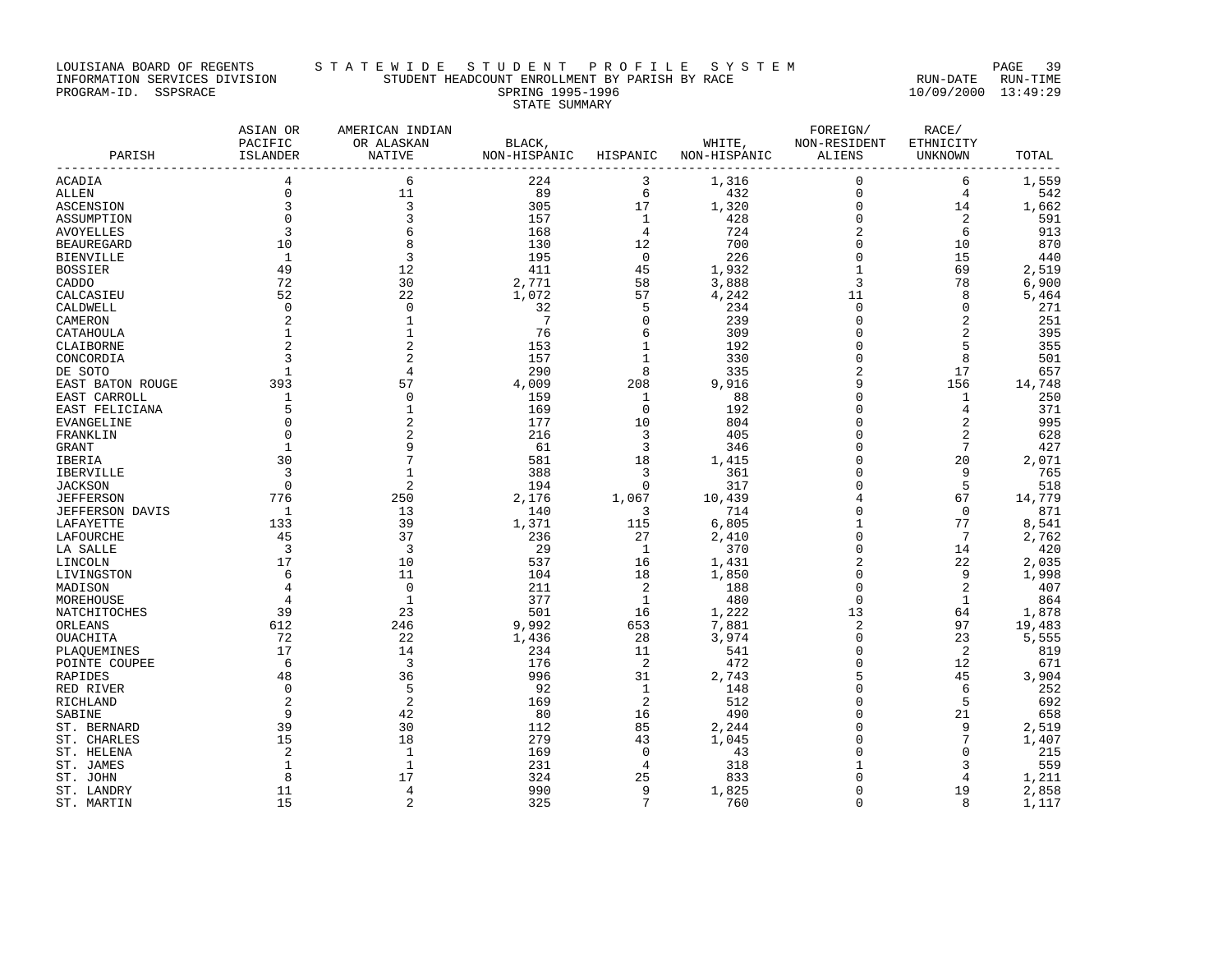# LOUISIANA BOARD OF REGENTS STATEWIDE STUDENT PROFILE SYSTEM PAGE 39<br>INFORMATION SERVICES DIVISION STUDENT HEADCOUNT ENROLLMENT BY PARISH BY RACE INFORMATION SERVICES DIVISION STUDENT HEADCOUNT ENROLLMENT BY PARISH BY RACE RUN-DATE RUN-TIME PROGRAM-ID. SSPSRACE SPRING 1995-1996 10/09/2000 13:49:29 STATE SUMMARY

| PARISH                 | ASIAN OR<br>PACIFIC     | AMERICAN INDIAN<br>OR ALASKAN | BLACK,<br>NON-HISPANIC |                            | WHITE,              | FOREIGN/<br>NON-RESIDENT | RACE/<br>ETHNICITY |        |
|------------------------|-------------------------|-------------------------------|------------------------|----------------------------|---------------------|--------------------------|--------------------|--------|
|                        | ISLANDER                | NATIVE                        |                        | HISPANIC                   | NON-HISPANIC ALIENS |                          | UNKNOWN            | TOTAL  |
| ACADIA                 | $\overline{4}$          | 6                             | 224                    | 3                          | 1,316               | $\circ$                  | 6                  | 1,559  |
| <b>ALLEN</b>           | $\mathbf 0$             | 11                            | 89                     | 6                          | 432                 | $\mathbf 0$              | 4                  | 542    |
| <b>ASCENSION</b>       | 3                       | $\overline{3}$                | 305                    | 17                         | 1,320               | $\overline{0}$           | 14                 | 1,662  |
| ASSUMPTION             | $\Omega$                | $\overline{3}$                | 157                    | $\mathbf{1}$               | 428                 | $\mathbf 0$              | 2                  | 591    |
| AVOYELLES              | 3                       | 6                             | 168                    | $\overline{4}$             | 724                 | 2                        | 6                  | 913    |
| <b>BEAUREGARD</b>      | 10                      | 8                             | 130                    | 12                         | 700                 | $\mathbf 0$              | 10                 | 870    |
| <b>BIENVILLE</b>       | $\mathbf{1}$            | 3                             | 195                    | $\overline{0}$             | 226                 | $\mathbf 0$              | 15                 | 440    |
| <b>BOSSIER</b>         | 49                      | 12                            | 411                    | 45                         | 1,932               | $\mathbf{1}$             | 69                 | 2,519  |
| CADDO                  | 72                      | 30                            | 2,771                  | 58                         | 3,888               | 3                        | 78                 | 6,900  |
| CALCASIEU              | 52                      | 22                            | 1,072                  | 57                         | 4,242               | 11                       | 8                  | 5,464  |
| CALDWELL               | $\overline{0}$          | $\mathbf 0$                   | 32                     | 5                          | 234                 | $\mathbf 0$              | $\mathbf 0$        | 271    |
| CAMERON                | 2                       | $\mathbf{1}$                  | 7                      | $\overline{0}$             | 239                 | $\mathbf 0$              | $\overline{2}$     | 251    |
| CATAHOULA              | $\mathbf{1}$            | $\mathbf{1}$                  | 76                     | 6                          | 309                 | $\mathbf 0$              | $\overline{2}$     | 395    |
| CLAIBORNE              |                         | 2                             | 153                    | $\mathbf{1}$               | 192                 | $\mathbf 0$              | 5                  | 355    |
| CONCORDIA              | 3                       |                               | 157                    | $\mathbf{1}$               | 330                 | $\mathbf 0$              | 8                  | 501    |
| DE SOTO                | 1                       | 4                             | 290                    | 8                          | 335                 | $\overline{c}$           | 17                 | 657    |
| EAST BATON ROUGE       | 393                     | 57                            | 4,009                  | 208                        | 9,916               | 9                        | 156                | 14,748 |
| EAST CARROLL           | 1                       | $\mathbf 0$                   | 159                    | 1                          | 88                  | $\mathbf 0$              | 1                  | 250    |
| EAST FELICIANA         | 5                       | $\mathbf{1}$                  | 169                    | $\overline{0}$             | 192                 | 0                        | 4                  | 371    |
| EVANGELINE             | $\mathbf 0$             |                               | 177                    | 10                         | 804                 | $\mathbf 0$              | $\overline{c}$     | 995    |
| FRANKLIN               | $\mathbf 0$             |                               | 216                    | $\overline{\mathbf{3}}$    | 405                 | $\mathbf 0$              | $\overline{2}$     | 628    |
| <b>GRANT</b>           | $\mathbf{1}$            | 9                             | 61                     | $\overline{3}$             | 346                 | $\mathbf 0$              | $7\phantom{.0}$    | 427    |
| IBERIA                 | 30                      |                               | 581                    | 18                         | 1,415               | $\mathbf 0$              | 20                 | 2,071  |
| IBERVILLE              | $\overline{3}$          | $\mathbf{1}$                  | 388                    | $\overline{3}$             | 361                 | $\mathbf 0$              | 9                  | 765    |
| <b>JACKSON</b>         | $\Omega$                | 2                             | 194                    | $\overline{0}$             | 317                 | $\Omega$                 | 5                  | 518    |
| <b>JEFFERSON</b>       | 776                     | 250                           | 2,176                  | 1,067                      | 10,439              |                          | 67                 | 14,779 |
| <b>JEFFERSON DAVIS</b> | 1                       | 13                            | 140                    | $\overline{\mathbf{3}}$    | 714                 | 0                        | $\Omega$           | 871    |
| LAFAYETTE              | 133                     | 39                            | 1,371                  | 115                        | 6,805               | $\mathbf{1}$             | 77                 | 8,541  |
| LAFOURCHE              | 45                      | 37                            | 236                    | 27                         | 2,410               | $\mathbf 0$              | $7\phantom{.0}$    | 2,762  |
| LA SALLE               | $\overline{\mathbf{3}}$ | $\overline{3}$                | 29                     | $\overline{\phantom{0}}$   | 370                 | $\mathbf 0$              | 14                 | 420    |
| LINCOLN                | 17                      | 10                            | 537                    | 16                         | 1,431               |                          | 22                 | 2,035  |
| LIVINGSTON             | 6                       | 11                            | 104                    | 18                         | 1,850               | 0                        | 9                  | 1,998  |
| MADISON                | 4                       | $\mathbf 0$                   | 211                    | $\overline{\phantom{0}}^2$ | 188                 | $\mathbf 0$              | $\overline{2}$     | 407    |
| MOREHOUSE              | 4                       | $\mathbf{1}$                  | 377                    | 1                          | 480                 | $\mathbf 0$              | $\mathbf{1}$       | 864    |
| NATCHITOCHES           | 39                      | 23                            | 501                    | 16                         | 1,222               | 13                       | 64                 | 1,878  |
| ORLEANS                | 612                     | 246                           | 9,992                  | 653                        | 7,881               | $\overline{c}$           | 97                 | 19,483 |
| OUACHITA               | 72                      | 22                            | 1,436                  | 28                         | 3,974               | 0                        | 23                 | 5,555  |
| PLAQUEMINES            | 17                      | 14                            | 234                    | 11                         | 541                 | $\mathbf 0$              | 2                  | 819    |
| POINTE COUPEE          | 6                       | $\overline{3}$                | 176                    | 2                          | 472                 | $\mathbf 0$              | 12                 | 671    |
| RAPIDES                | 48                      | 36                            | 996                    | 31                         | 2,743               | 5                        | 45                 | 3,904  |
| RED RIVER              | $\overline{0}$          | 5                             | 92                     | 1                          | 148                 | $\mathbf 0$              | 6                  | 252    |
| RICHLAND               | $\overline{2}$          | 2                             | 169                    | 2                          | 512                 | $\mathbf 0$              | 5                  | 692    |
| SABINE                 | 9                       | 42                            | 80                     | 16                         | 490                 | $\mathbf 0$              | 21                 | 658    |
| ST. BERNARD            | 39                      | 30                            | 112                    | 85                         | 2,244               | $\mathbf 0$              | 9                  | 2,519  |
| ST. CHARLES            | 15                      | 18                            | 279                    | 43                         | 1,045               | 0                        | $\overline{7}$     | 1,407  |
| ST. HELENA             | 2                       | $\mathbf{1}$                  | 169                    | $\overline{0}$             | 43                  | $\mathbf 0$              | $\mathbf{0}$       | 215    |
| ST. JAMES              | 1                       | $\mathbf{1}$                  | 231                    | 4                          | 318                 | $\mathbf{1}$             | 3                  | 559    |
| ST. JOHN               | 8                       | 17                            | 324                    | 25                         | 833                 | $\mathbf 0$              | 4                  | 1,211  |
| ST. LANDRY             | 11                      | 4                             | 990                    | 9                          | 1,825               | $\mathbf 0$              | 19                 | 2,858  |
| ST. MARTIN             | 15                      | $\overline{a}$                | 325                    | $7\phantom{.0}$            | 760                 | $\Omega$                 | 8                  | 1,117  |